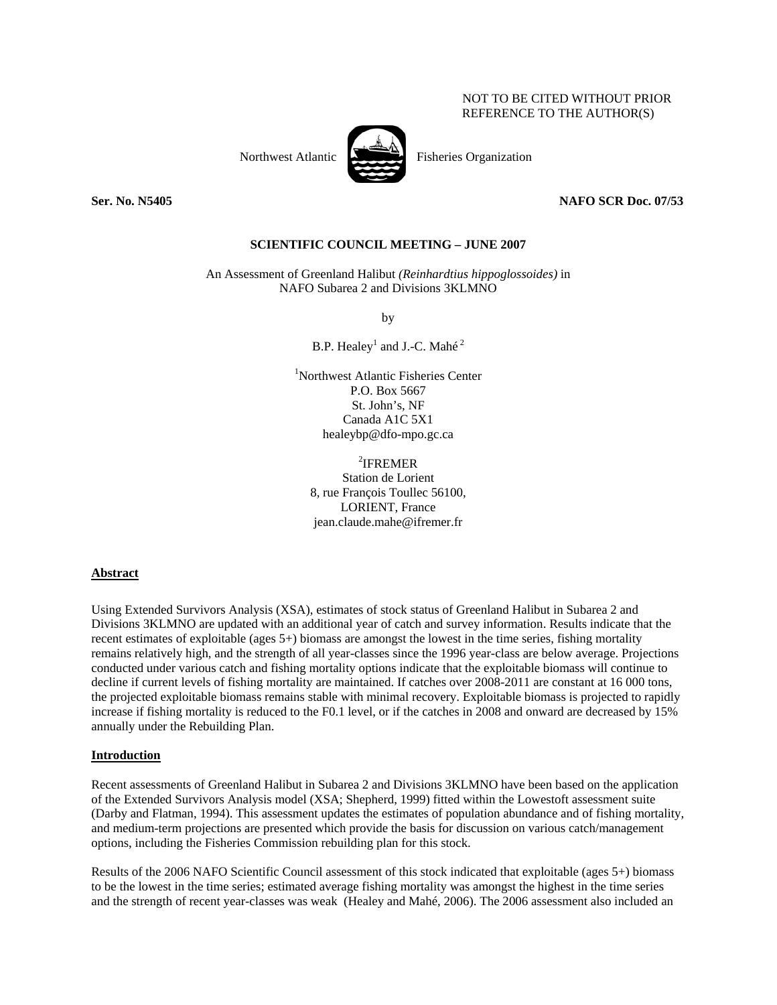## NOT TO BE CITED WITHOUT PRIOR REFERENCE TO THE AUTHOR(S)



Northwest Atlantic Fisheries Organization

## **Ser. No. N5405 NAFO SCR Doc. 07/53**

## **SCIENTIFIC COUNCIL MEETING – JUNE 2007**

An Assessment of Greenland Halibut *(Reinhardtius hippoglossoides)* in NAFO Subarea 2 and Divisions 3KLMNO

by

B.P. Healey<sup>1</sup> and J.-C. Mahé<sup>2</sup>

1 Northwest Atlantic Fisheries Center P.O. Box 5667 St. John's, NF Canada A1C 5X1 healeybp@dfo-mpo.gc.ca

2 IFREMER Station de Lorient 8, rue François Toullec 56100, LORIENT, France jean.claude.mahe@ifremer.fr

## **Abstract**

Using Extended Survivors Analysis (XSA), estimates of stock status of Greenland Halibut in Subarea 2 and Divisions 3KLMNO are updated with an additional year of catch and survey information. Results indicate that the recent estimates of exploitable (ages 5+) biomass are amongst the lowest in the time series, fishing mortality remains relatively high, and the strength of all year-classes since the 1996 year-class are below average. Projections conducted under various catch and fishing mortality options indicate that the exploitable biomass will continue to decline if current levels of fishing mortality are maintained. If catches over 2008-2011 are constant at 16 000 tons, the projected exploitable biomass remains stable with minimal recovery. Exploitable biomass is projected to rapidly increase if fishing mortality is reduced to the F0.1 level, or if the catches in 2008 and onward are decreased by 15% annually under the Rebuilding Plan.

## **Introduction**

Recent assessments of Greenland Halibut in Subarea 2 and Divisions 3KLMNO have been based on the application of the Extended Survivors Analysis model (XSA; Shepherd, 1999) fitted within the Lowestoft assessment suite (Darby and Flatman, 1994). This assessment updates the estimates of population abundance and of fishing mortality, and medium-term projections are presented which provide the basis for discussion on various catch/management options, including the Fisheries Commission rebuilding plan for this stock.

Results of the 2006 NAFO Scientific Council assessment of this stock indicated that exploitable (ages 5+) biomass to be the lowest in the time series; estimated average fishing mortality was amongst the highest in the time series and the strength of recent year-classes was weak (Healey and Mahé, 2006). The 2006 assessment also included an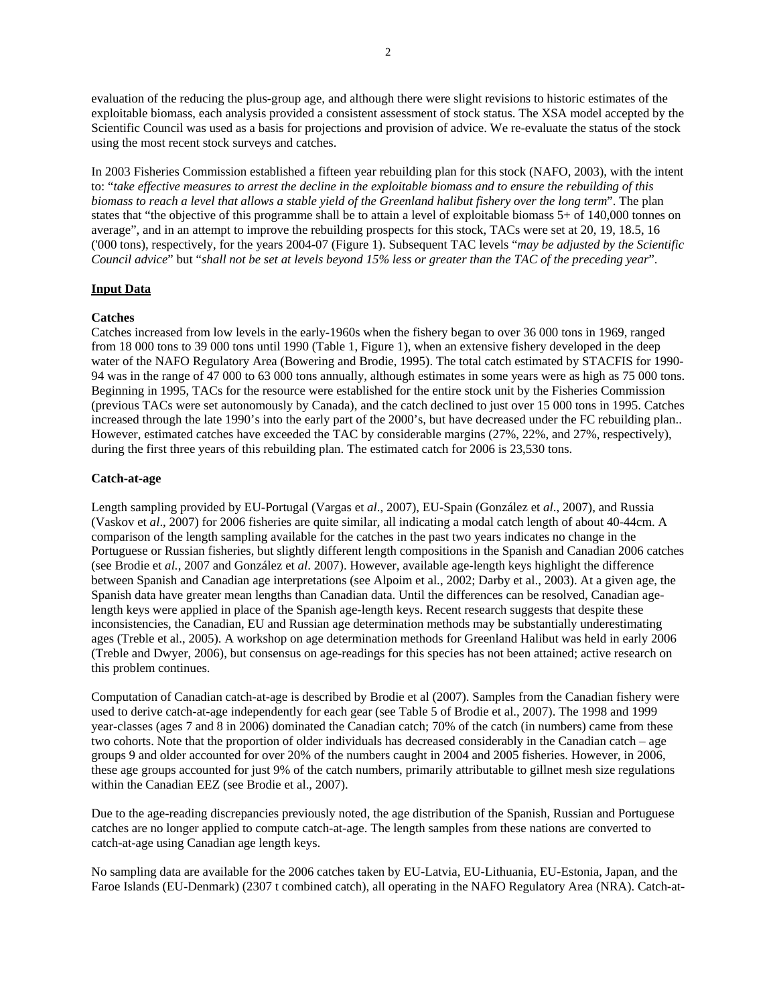evaluation of the reducing the plus-group age, and although there were slight revisions to historic estimates of the exploitable biomass, each analysis provided a consistent assessment of stock status. The XSA model accepted by the Scientific Council was used as a basis for projections and provision of advice. We re-evaluate the status of the stock using the most recent stock surveys and catches.

In 2003 Fisheries Commission established a fifteen year rebuilding plan for this stock (NAFO, 2003), with the intent to: "*take effective measures to arrest the decline in the exploitable biomass and to ensure the rebuilding of this biomass to reach a level that allows a stable yield of the Greenland halibut fishery over the long term*". The plan states that "the objective of this programme shall be to attain a level of exploitable biomass 5+ of 140,000 tonnes on average", and in an attempt to improve the rebuilding prospects for this stock, TACs were set at 20, 19, 18.5, 16 ('000 tons), respectively, for the years 2004-07 (Figure 1). Subsequent TAC levels "*may be adjusted by the Scientific Council advice*" but "*shall not be set at levels beyond 15% less or greater than the TAC of the preceding year*".

## **Input Data**

## **Catches**

Catches increased from low levels in the early-1960s when the fishery began to over 36 000 tons in 1969, ranged from 18 000 tons to 39 000 tons until 1990 (Table 1, Figure 1), when an extensive fishery developed in the deep water of the NAFO Regulatory Area (Bowering and Brodie, 1995). The total catch estimated by STACFIS for 1990- 94 was in the range of 47 000 to 63 000 tons annually, although estimates in some years were as high as 75 000 tons. Beginning in 1995, TACs for the resource were established for the entire stock unit by the Fisheries Commission (previous TACs were set autonomously by Canada), and the catch declined to just over 15 000 tons in 1995. Catches increased through the late 1990's into the early part of the 2000's, but have decreased under the FC rebuilding plan.. However, estimated catches have exceeded the TAC by considerable margins (27%, 22%, and 27%, respectively), during the first three years of this rebuilding plan. The estimated catch for 2006 is 23,530 tons.

## **Catch-at-age**

Length sampling provided by EU-Portugal (Vargas et *al*., 2007), EU-Spain (González et *al*., 2007), and Russia (Vaskov et *al*., 2007) for 2006 fisheries are quite similar, all indicating a modal catch length of about 40-44cm. A comparison of the length sampling available for the catches in the past two years indicates no change in the Portuguese or Russian fisheries, but slightly different length compositions in the Spanish and Canadian 2006 catches (see Brodie et *al.*, 2007 and González et *al*. 2007). However, available age-length keys highlight the difference between Spanish and Canadian age interpretations (see Alpoim et al., 2002; Darby et al., 2003). At a given age, the Spanish data have greater mean lengths than Canadian data. Until the differences can be resolved, Canadian agelength keys were applied in place of the Spanish age-length keys. Recent research suggests that despite these inconsistencies, the Canadian, EU and Russian age determination methods may be substantially underestimating ages (Treble et al., 2005). A workshop on age determination methods for Greenland Halibut was held in early 2006 (Treble and Dwyer, 2006), but consensus on age-readings for this species has not been attained; active research on this problem continues.

Computation of Canadian catch-at-age is described by Brodie et al (2007). Samples from the Canadian fishery were used to derive catch-at-age independently for each gear (see Table 5 of Brodie et al., 2007). The 1998 and 1999 year-classes (ages 7 and 8 in 2006) dominated the Canadian catch; 70% of the catch (in numbers) came from these two cohorts. Note that the proportion of older individuals has decreased considerably in the Canadian catch – age groups 9 and older accounted for over 20% of the numbers caught in 2004 and 2005 fisheries. However, in 2006, these age groups accounted for just 9% of the catch numbers, primarily attributable to gillnet mesh size regulations within the Canadian EEZ (see Brodie et al., 2007).

Due to the age-reading discrepancies previously noted, the age distribution of the Spanish, Russian and Portuguese catches are no longer applied to compute catch-at-age. The length samples from these nations are converted to catch-at-age using Canadian age length keys.

No sampling data are available for the 2006 catches taken by EU-Latvia, EU-Lithuania, EU-Estonia, Japan, and the Faroe Islands (EU-Denmark) (2307 t combined catch), all operating in the NAFO Regulatory Area (NRA). Catch-at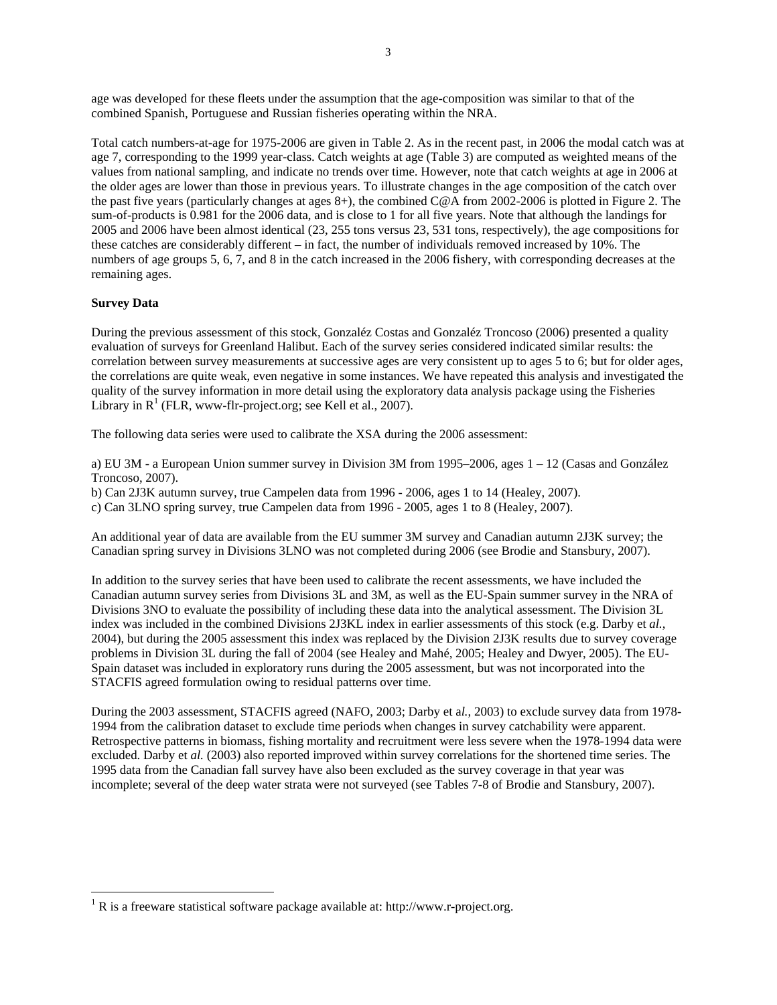age was developed for these fleets under the assumption that the age-composition was similar to that of the combined Spanish, Portuguese and Russian fisheries operating within the NRA.

Total catch numbers-at-age for 1975-2006 are given in Table 2. As in the recent past, in 2006 the modal catch was at age 7, corresponding to the 1999 year-class. Catch weights at age (Table 3) are computed as weighted means of the values from national sampling, and indicate no trends over time. However, note that catch weights at age in 2006 at the older ages are lower than those in previous years. To illustrate changes in the age composition of the catch over the past five years (particularly changes at ages 8+), the combined C@A from 2002-2006 is plotted in Figure 2. The sum-of-products is 0.981 for the 2006 data, and is close to 1 for all five years. Note that although the landings for 2005 and 2006 have been almost identical (23, 255 tons versus 23, 531 tons, respectively), the age compositions for these catches are considerably different – in fact, the number of individuals removed increased by 10%. The numbers of age groups 5, 6, 7, and 8 in the catch increased in the 2006 fishery, with corresponding decreases at the remaining ages.

## **Survey Data**

 $\overline{a}$ 

During the previous assessment of this stock, Gonzaléz Costas and Gonzaléz Troncoso (2006) presented a quality evaluation of surveys for Greenland Halibut. Each of the survey series considered indicated similar results: the correlation between survey measurements at successive ages are very consistent up to ages 5 to 6; but for older ages, the correlations are quite weak, even negative in some instances. We have repeated this analysis and investigated the quality of the survey information in more detail using the exploratory data analysis package using the Fisheries Library in  $R^1$  (FLR, www-flr-project.org; see Kell et al., 2007).

The following data series were used to calibrate the XSA during the 2006 assessment:

a) EU 3M - a European Union summer survey in Division 3M from 1995–2006, ages 1 – 12 (Casas and González Troncoso, 2007).

b) Can 2J3K autumn survey, true Campelen data from 1996 - 2006, ages 1 to 14 (Healey, 2007). c) Can 3LNO spring survey, true Campelen data from 1996 - 2005, ages 1 to 8 (Healey, 2007).

An additional year of data are available from the EU summer 3M survey and Canadian autumn 2J3K survey; the Canadian spring survey in Divisions 3LNO was not completed during 2006 (see Brodie and Stansbury, 2007).

In addition to the survey series that have been used to calibrate the recent assessments, we have included the Canadian autumn survey series from Divisions 3L and 3M, as well as the EU-Spain summer survey in the NRA of Divisions 3NO to evaluate the possibility of including these data into the analytical assessment. The Division 3L index was included in the combined Divisions 2J3KL index in earlier assessments of this stock (e.g. Darby et *al.*, 2004), but during the 2005 assessment this index was replaced by the Division 2J3K results due to survey coverage problems in Division 3L during the fall of 2004 (see Healey and Mahé, 2005; Healey and Dwyer, 2005). The EU-Spain dataset was included in exploratory runs during the 2005 assessment, but was not incorporated into the STACFIS agreed formulation owing to residual patterns over time.

During the 2003 assessment, STACFIS agreed (NAFO, 2003; Darby et a*l.*, 2003) to exclude survey data from 1978- 1994 from the calibration dataset to exclude time periods when changes in survey catchability were apparent. Retrospective patterns in biomass, fishing mortality and recruitment were less severe when the 1978-1994 data were excluded. Darby et *al.* (2003) also reported improved within survey correlations for the shortened time series. The 1995 data from the Canadian fall survey have also been excluded as the survey coverage in that year was incomplete; several of the deep water strata were not surveyed (see Tables 7-8 of Brodie and Stansbury, 2007).

<sup>&</sup>lt;sup>1</sup> R is a freeware statistical software package available at: http://www.r-project.org.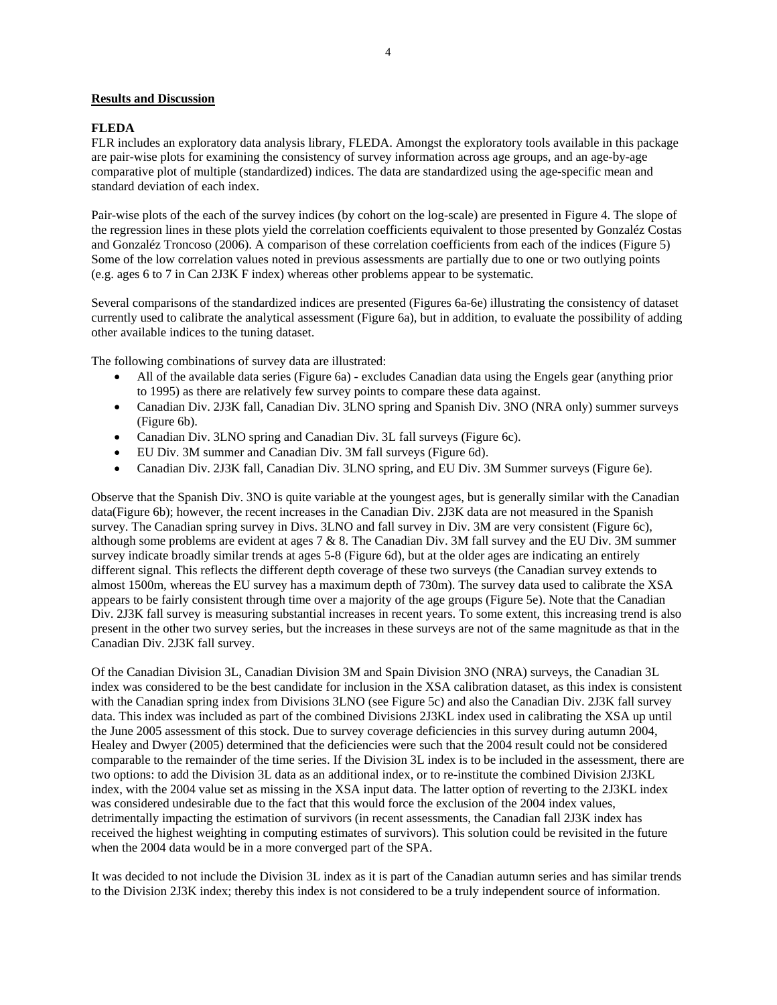## **Results and Discussion**

## **FLEDA**

FLR includes an exploratory data analysis library, FLEDA. Amongst the exploratory tools available in this package are pair-wise plots for examining the consistency of survey information across age groups, and an age-by-age comparative plot of multiple (standardized) indices. The data are standardized using the age-specific mean and standard deviation of each index.

Pair-wise plots of the each of the survey indices (by cohort on the log-scale) are presented in Figure 4. The slope of the regression lines in these plots yield the correlation coefficients equivalent to those presented by Gonzaléz Costas and Gonzaléz Troncoso (2006). A comparison of these correlation coefficients from each of the indices (Figure 5) Some of the low correlation values noted in previous assessments are partially due to one or two outlying points (e.g. ages 6 to 7 in Can 2J3K F index) whereas other problems appear to be systematic.

Several comparisons of the standardized indices are presented (Figures 6a-6e) illustrating the consistency of dataset currently used to calibrate the analytical assessment (Figure 6a), but in addition, to evaluate the possibility of adding other available indices to the tuning dataset.

The following combinations of survey data are illustrated:

- All of the available data series (Figure 6a) excludes Canadian data using the Engels gear (anything prior to 1995) as there are relatively few survey points to compare these data against.
- Canadian Div. 2J3K fall, Canadian Div. 3LNO spring and Spanish Div. 3NO (NRA only) summer surveys (Figure 6b).
- Canadian Div. 3LNO spring and Canadian Div. 3L fall surveys (Figure 6c).
- EU Div. 3M summer and Canadian Div. 3M fall surveys (Figure 6d).
- Canadian Div. 2J3K fall, Canadian Div. 3LNO spring, and EU Div. 3M Summer surveys (Figure 6e).

Observe that the Spanish Div. 3NO is quite variable at the youngest ages, but is generally similar with the Canadian data(Figure 6b); however, the recent increases in the Canadian Div. 2J3K data are not measured in the Spanish survey. The Canadian spring survey in Divs. 3LNO and fall survey in Div. 3M are very consistent (Figure 6c), although some problems are evident at ages 7 & 8. The Canadian Div. 3M fall survey and the EU Div. 3M summer survey indicate broadly similar trends at ages 5-8 (Figure 6d), but at the older ages are indicating an entirely different signal. This reflects the different depth coverage of these two surveys (the Canadian survey extends to almost 1500m, whereas the EU survey has a maximum depth of 730m). The survey data used to calibrate the XSA appears to be fairly consistent through time over a majority of the age groups (Figure 5e). Note that the Canadian Div. 2J3K fall survey is measuring substantial increases in recent years. To some extent, this increasing trend is also present in the other two survey series, but the increases in these surveys are not of the same magnitude as that in the Canadian Div. 2J3K fall survey.

Of the Canadian Division 3L, Canadian Division 3M and Spain Division 3NO (NRA) surveys, the Canadian 3L index was considered to be the best candidate for inclusion in the XSA calibration dataset, as this index is consistent with the Canadian spring index from Divisions 3LNO (see Figure 5c) and also the Canadian Div. 2J3K fall survey data. This index was included as part of the combined Divisions 2J3KL index used in calibrating the XSA up until the June 2005 assessment of this stock. Due to survey coverage deficiencies in this survey during autumn 2004, Healey and Dwyer (2005) determined that the deficiencies were such that the 2004 result could not be considered comparable to the remainder of the time series. If the Division 3L index is to be included in the assessment, there are two options: to add the Division 3L data as an additional index, or to re-institute the combined Division 2J3KL index, with the 2004 value set as missing in the XSA input data. The latter option of reverting to the 2J3KL index was considered undesirable due to the fact that this would force the exclusion of the 2004 index values, detrimentally impacting the estimation of survivors (in recent assessments, the Canadian fall 2J3K index has received the highest weighting in computing estimates of survivors). This solution could be revisited in the future when the 2004 data would be in a more converged part of the SPA.

It was decided to not include the Division 3L index as it is part of the Canadian autumn series and has similar trends to the Division 2J3K index; thereby this index is not considered to be a truly independent source of information.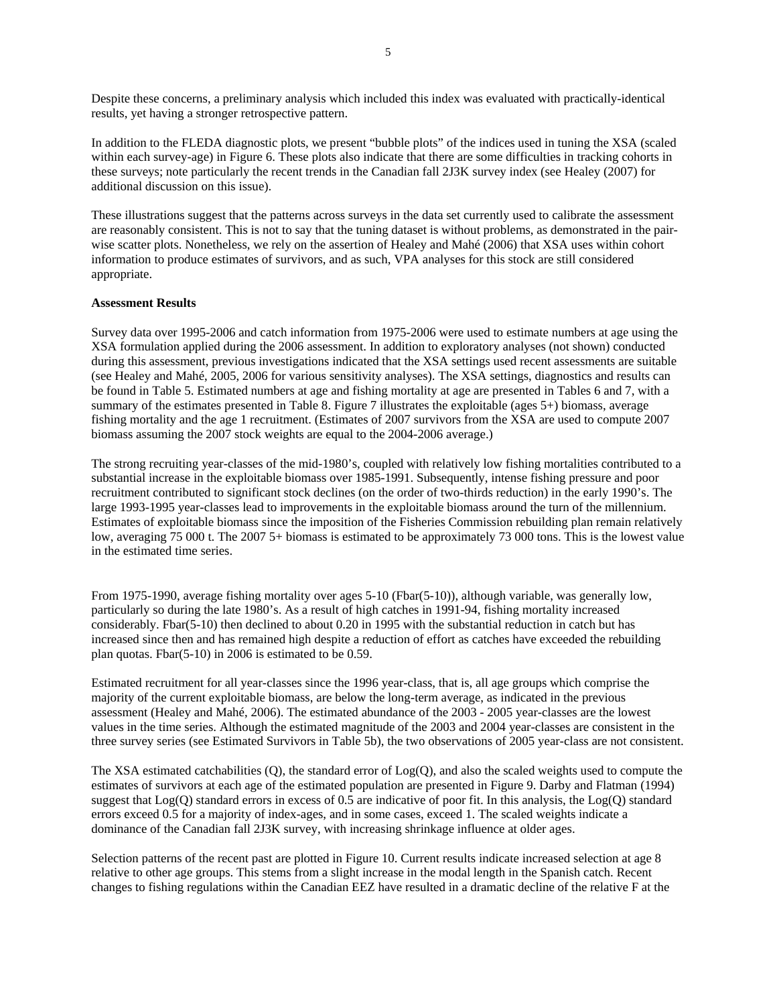Despite these concerns, a preliminary analysis which included this index was evaluated with practically-identical results, yet having a stronger retrospective pattern.

In addition to the FLEDA diagnostic plots, we present "bubble plots" of the indices used in tuning the XSA (scaled within each survey-age) in Figure 6. These plots also indicate that there are some difficulties in tracking cohorts in these surveys; note particularly the recent trends in the Canadian fall 2J3K survey index (see Healey (2007) for additional discussion on this issue).

These illustrations suggest that the patterns across surveys in the data set currently used to calibrate the assessment are reasonably consistent. This is not to say that the tuning dataset is without problems, as demonstrated in the pairwise scatter plots. Nonetheless, we rely on the assertion of Healey and Mahé (2006) that XSA uses within cohort information to produce estimates of survivors, and as such, VPA analyses for this stock are still considered appropriate.

## **Assessment Results**

Survey data over 1995-2006 and catch information from 1975-2006 were used to estimate numbers at age using the XSA formulation applied during the 2006 assessment. In addition to exploratory analyses (not shown) conducted during this assessment, previous investigations indicated that the XSA settings used recent assessments are suitable (see Healey and Mahé, 2005, 2006 for various sensitivity analyses). The XSA settings, diagnostics and results can be found in Table 5. Estimated numbers at age and fishing mortality at age are presented in Tables 6 and 7, with a summary of the estimates presented in Table 8. Figure 7 illustrates the exploitable (ages 5+) biomass, average fishing mortality and the age 1 recruitment. (Estimates of 2007 survivors from the XSA are used to compute 2007 biomass assuming the 2007 stock weights are equal to the 2004-2006 average.)

The strong recruiting year-classes of the mid-1980's, coupled with relatively low fishing mortalities contributed to a substantial increase in the exploitable biomass over 1985-1991. Subsequently, intense fishing pressure and poor recruitment contributed to significant stock declines (on the order of two-thirds reduction) in the early 1990's. The large 1993-1995 year-classes lead to improvements in the exploitable biomass around the turn of the millennium. Estimates of exploitable biomass since the imposition of the Fisheries Commission rebuilding plan remain relatively low, averaging 75 000 t. The 2007 5+ biomass is estimated to be approximately 73 000 tons. This is the lowest value in the estimated time series.

From 1975-1990, average fishing mortality over ages 5-10 (Fbar(5-10)), although variable, was generally low, particularly so during the late 1980's. As a result of high catches in 1991-94, fishing mortality increased considerably. Fbar(5-10) then declined to about 0.20 in 1995 with the substantial reduction in catch but has increased since then and has remained high despite a reduction of effort as catches have exceeded the rebuilding plan quotas. Fbar(5-10) in 2006 is estimated to be 0.59.

Estimated recruitment for all year-classes since the 1996 year-class, that is, all age groups which comprise the majority of the current exploitable biomass, are below the long-term average, as indicated in the previous assessment (Healey and Mahé, 2006). The estimated abundance of the 2003 - 2005 year-classes are the lowest values in the time series. Although the estimated magnitude of the 2003 and 2004 year-classes are consistent in the three survey series (see Estimated Survivors in Table 5b), the two observations of 2005 year-class are not consistent.

The XSA estimated catchabilities  $(Q)$ , the standard error of  $Log(Q)$ , and also the scaled weights used to compute the estimates of survivors at each age of the estimated population are presented in Figure 9. Darby and Flatman (1994) suggest that Log(Q) standard errors in excess of 0.5 are indicative of poor fit. In this analysis, the Log(Q) standard errors exceed 0.5 for a majority of index-ages, and in some cases, exceed 1. The scaled weights indicate a dominance of the Canadian fall 2J3K survey, with increasing shrinkage influence at older ages.

Selection patterns of the recent past are plotted in Figure 10. Current results indicate increased selection at age 8 relative to other age groups. This stems from a slight increase in the modal length in the Spanish catch. Recent changes to fishing regulations within the Canadian EEZ have resulted in a dramatic decline of the relative F at the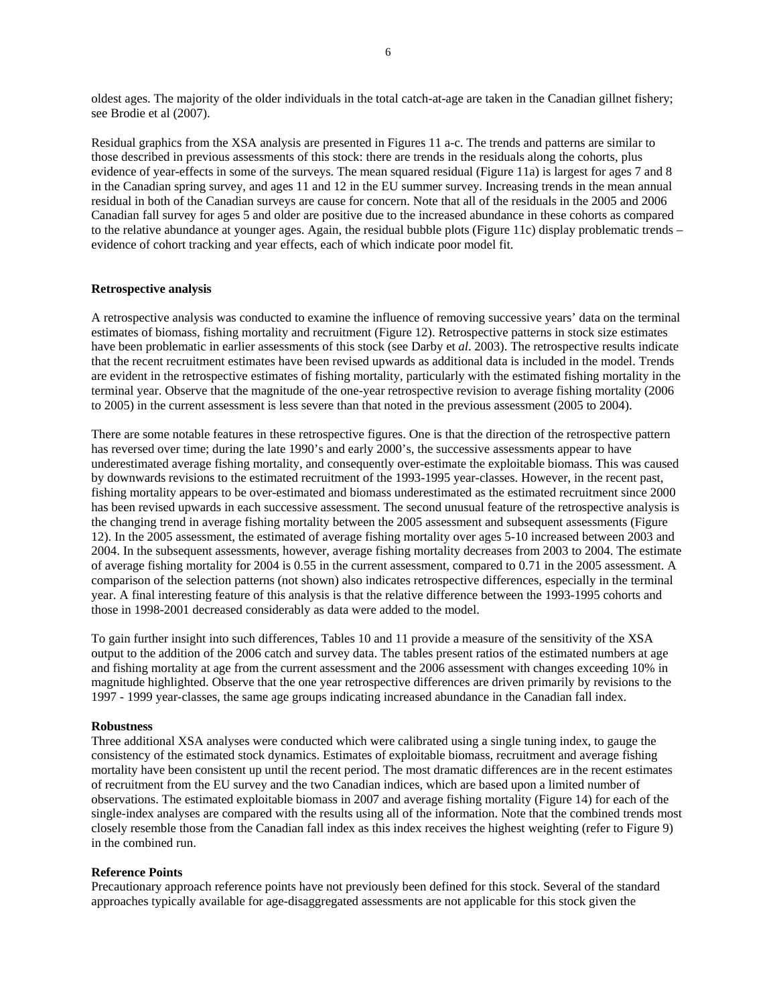oldest ages. The majority of the older individuals in the total catch-at-age are taken in the Canadian gillnet fishery; see Brodie et al (2007).

Residual graphics from the XSA analysis are presented in Figures 11 a-c. The trends and patterns are similar to those described in previous assessments of this stock: there are trends in the residuals along the cohorts, plus evidence of year-effects in some of the surveys. The mean squared residual (Figure 11a) is largest for ages 7 and 8 in the Canadian spring survey, and ages 11 and 12 in the EU summer survey. Increasing trends in the mean annual residual in both of the Canadian surveys are cause for concern. Note that all of the residuals in the 2005 and 2006 Canadian fall survey for ages 5 and older are positive due to the increased abundance in these cohorts as compared to the relative abundance at younger ages. Again, the residual bubble plots (Figure 11c) display problematic trends – evidence of cohort tracking and year effects, each of which indicate poor model fit.

#### **Retrospective analysis**

A retrospective analysis was conducted to examine the influence of removing successive years' data on the terminal estimates of biomass, fishing mortality and recruitment (Figure 12). Retrospective patterns in stock size estimates have been problematic in earlier assessments of this stock (see Darby et *al*. 2003). The retrospective results indicate that the recent recruitment estimates have been revised upwards as additional data is included in the model. Trends are evident in the retrospective estimates of fishing mortality, particularly with the estimated fishing mortality in the terminal year. Observe that the magnitude of the one-year retrospective revision to average fishing mortality (2006 to 2005) in the current assessment is less severe than that noted in the previous assessment (2005 to 2004).

There are some notable features in these retrospective figures. One is that the direction of the retrospective pattern has reversed over time; during the late 1990's and early 2000's, the successive assessments appear to have underestimated average fishing mortality, and consequently over-estimate the exploitable biomass. This was caused by downwards revisions to the estimated recruitment of the 1993-1995 year-classes. However, in the recent past, fishing mortality appears to be over-estimated and biomass underestimated as the estimated recruitment since 2000 has been revised upwards in each successive assessment. The second unusual feature of the retrospective analysis is the changing trend in average fishing mortality between the 2005 assessment and subsequent assessments (Figure 12). In the 2005 assessment, the estimated of average fishing mortality over ages 5-10 increased between 2003 and 2004. In the subsequent assessments, however, average fishing mortality decreases from 2003 to 2004. The estimate of average fishing mortality for 2004 is 0.55 in the current assessment, compared to 0.71 in the 2005 assessment. A comparison of the selection patterns (not shown) also indicates retrospective differences, especially in the terminal year. A final interesting feature of this analysis is that the relative difference between the 1993-1995 cohorts and those in 1998-2001 decreased considerably as data were added to the model.

To gain further insight into such differences, Tables 10 and 11 provide a measure of the sensitivity of the XSA output to the addition of the 2006 catch and survey data. The tables present ratios of the estimated numbers at age and fishing mortality at age from the current assessment and the 2006 assessment with changes exceeding 10% in magnitude highlighted. Observe that the one year retrospective differences are driven primarily by revisions to the 1997 - 1999 year-classes, the same age groups indicating increased abundance in the Canadian fall index.

#### **Robustness**

Three additional XSA analyses were conducted which were calibrated using a single tuning index, to gauge the consistency of the estimated stock dynamics. Estimates of exploitable biomass, recruitment and average fishing mortality have been consistent up until the recent period. The most dramatic differences are in the recent estimates of recruitment from the EU survey and the two Canadian indices, which are based upon a limited number of observations. The estimated exploitable biomass in 2007 and average fishing mortality (Figure 14) for each of the single-index analyses are compared with the results using all of the information. Note that the combined trends most closely resemble those from the Canadian fall index as this index receives the highest weighting (refer to Figure 9) in the combined run.

## **Reference Points**

Precautionary approach reference points have not previously been defined for this stock. Several of the standard approaches typically available for age-disaggregated assessments are not applicable for this stock given the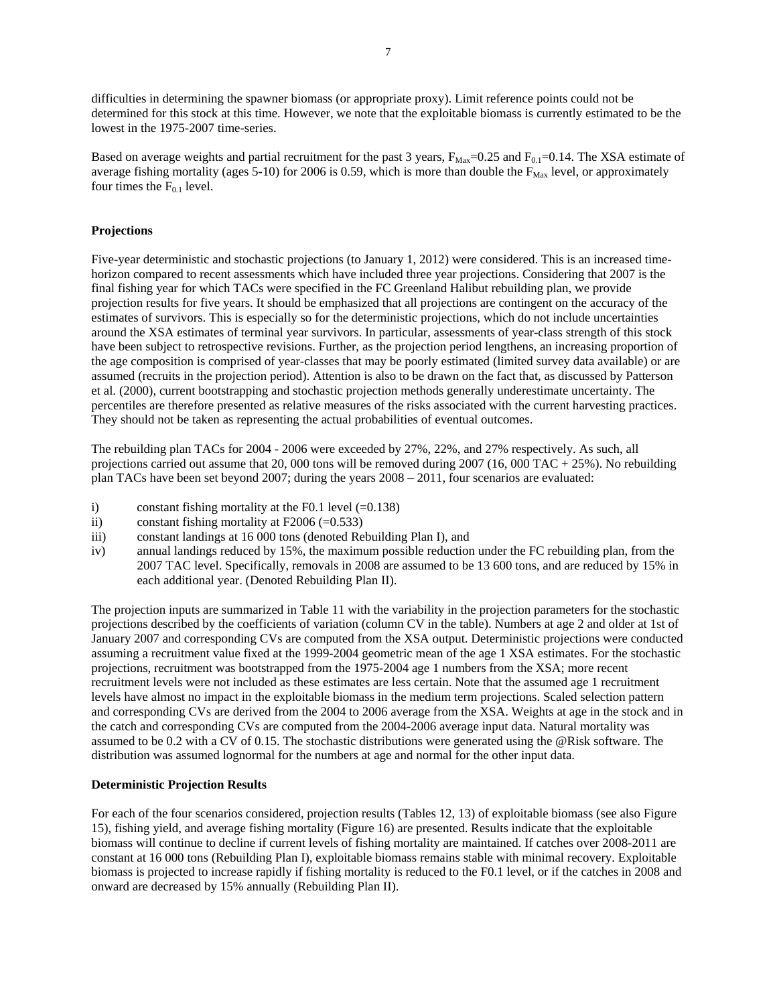difficulties in determining the spawner biomass (or appropriate proxy). Limit reference points could not be determined for this stock at this time. However, we note that the exploitable biomass is currently estimated to be the lowest in the 1975-2007 time-series.

Based on average weights and partial recruitment for the past 3 years,  $F_{\text{Max}}=0.25$  and  $F_{0.1}=0.14$ . The XSA estimate of average fishing mortality (ages 5-10) for 2006 is 0.59, which is more than double the  $F_{\text{Max}}$  level, or approximately four times the  $F_{0,1}$  level.

## **Projections**

Five-year deterministic and stochastic projections (to January 1, 2012) were considered. This is an increased timehorizon compared to recent assessments which have included three year projections. Considering that 2007 is the final fishing year for which TACs were specified in the FC Greenland Halibut rebuilding plan, we provide projection results for five years. It should be emphasized that all projections are contingent on the accuracy of the estimates of survivors. This is especially so for the deterministic projections, which do not include uncertainties around the XSA estimates of terminal year survivors. In particular, assessments of year-class strength of this stock have been subject to retrospective revisions. Further, as the projection period lengthens, an increasing proportion of the age composition is comprised of year-classes that may be poorly estimated (limited survey data available) or are assumed (recruits in the projection period). Attention is also to be drawn on the fact that, as discussed by Patterson et al. (2000), current bootstrapping and stochastic projection methods generally underestimate uncertainty. The percentiles are therefore presented as relative measures of the risks associated with the current harvesting practices. They should not be taken as representing the actual probabilities of eventual outcomes.

The rebuilding plan TACs for 2004 - 2006 were exceeded by 27%, 22%, and 27% respectively. As such, all projections carried out assume that 20, 000 tons will be removed during  $2007 (16,000 \text{ TAC} + 25\%)$ . No rebuilding plan TACs have been set beyond 2007; during the years 2008 – 2011, four scenarios are evaluated:

- i) constant fishing mortality at the F0.1 level  $(=0.138)$
- ii) constant fishing mortality at  $F2006 (=0.533)$
- iii) constant landings at 16 000 tons (denoted Rebuilding Plan I), and
- iv) annual landings reduced by 15%, the maximum possible reduction under the FC rebuilding plan, from the 2007 TAC level. Specifically, removals in 2008 are assumed to be 13 600 tons, and are reduced by 15% in each additional year. (Denoted Rebuilding Plan II).

The projection inputs are summarized in Table 11 with the variability in the projection parameters for the stochastic projections described by the coefficients of variation (column CV in the table). Numbers at age 2 and older at 1st of January 2007 and corresponding CVs are computed from the XSA output. Deterministic projections were conducted assuming a recruitment value fixed at the 1999-2004 geometric mean of the age 1 XSA estimates. For the stochastic projections, recruitment was bootstrapped from the 1975-2004 age 1 numbers from the XSA; more recent recruitment levels were not included as these estimates are less certain. Note that the assumed age 1 recruitment levels have almost no impact in the exploitable biomass in the medium term projections. Scaled selection pattern and corresponding CVs are derived from the 2004 to 2006 average from the XSA. Weights at age in the stock and in the catch and corresponding CVs are computed from the 2004-2006 average input data. Natural mortality was assumed to be 0.2 with a CV of 0.15. The stochastic distributions were generated using the @Risk software. The distribution was assumed lognormal for the numbers at age and normal for the other input data.

## **Deterministic Projection Results**

For each of the four scenarios considered, projection results (Tables 12, 13) of exploitable biomass (see also Figure 15), fishing yield, and average fishing mortality (Figure 16) are presented. Results indicate that the exploitable biomass will continue to decline if current levels of fishing mortality are maintained. If catches over 2008-2011 are constant at 16 000 tons (Rebuilding Plan I), exploitable biomass remains stable with minimal recovery. Exploitable biomass is projected to increase rapidly if fishing mortality is reduced to the F0.1 level, or if the catches in 2008 and onward are decreased by 15% annually (Rebuilding Plan II).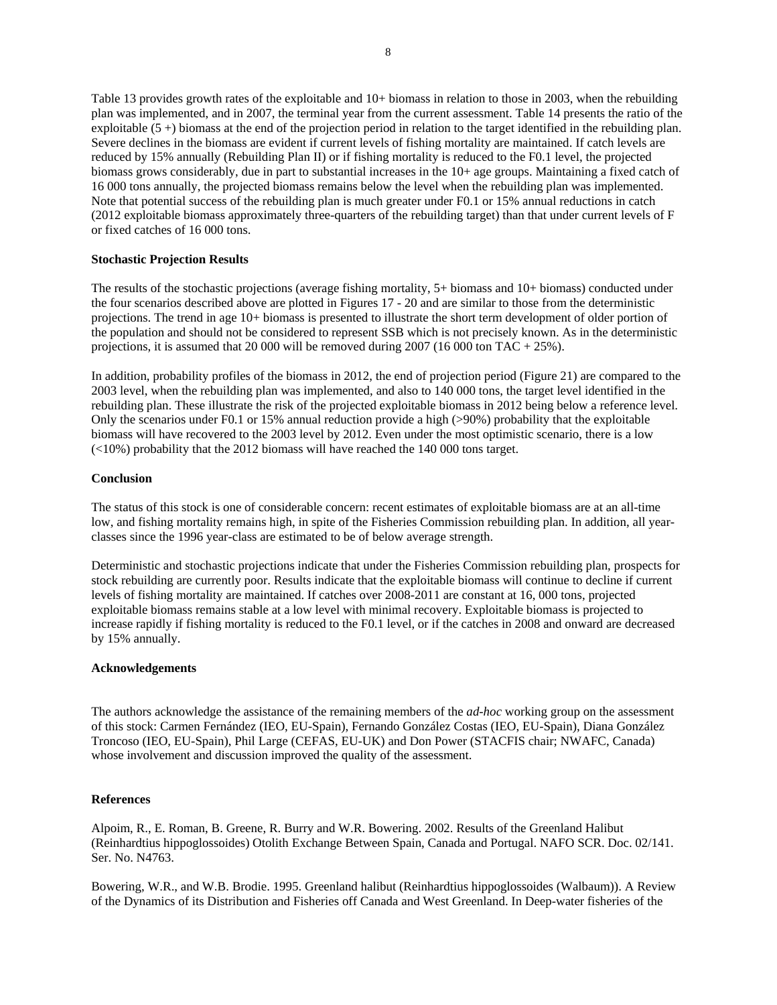Table 13 provides growth rates of the exploitable and 10+ biomass in relation to those in 2003, when the rebuilding plan was implemented, and in 2007, the terminal year from the current assessment. Table 14 presents the ratio of the exploitable  $(5 +)$  biomass at the end of the projection period in relation to the target identified in the rebuilding plan. Severe declines in the biomass are evident if current levels of fishing mortality are maintained. If catch levels are reduced by 15% annually (Rebuilding Plan II) or if fishing mortality is reduced to the F0.1 level, the projected biomass grows considerably, due in part to substantial increases in the 10+ age groups. Maintaining a fixed catch of 16 000 tons annually, the projected biomass remains below the level when the rebuilding plan was implemented. Note that potential success of the rebuilding plan is much greater under F0.1 or 15% annual reductions in catch (2012 exploitable biomass approximately three-quarters of the rebuilding target) than that under current levels of F or fixed catches of 16 000 tons.

## **Stochastic Projection Results**

The results of the stochastic projections (average fishing mortality, 5+ biomass and 10+ biomass) conducted under the four scenarios described above are plotted in Figures 17 - 20 and are similar to those from the deterministic projections. The trend in age 10+ biomass is presented to illustrate the short term development of older portion of the population and should not be considered to represent SSB which is not precisely known. As in the deterministic projections, it is assumed that 20 000 will be removed during 2007 (16 000 ton TAC + 25%).

In addition, probability profiles of the biomass in 2012, the end of projection period (Figure 21) are compared to the 2003 level, when the rebuilding plan was implemented, and also to 140 000 tons, the target level identified in the rebuilding plan. These illustrate the risk of the projected exploitable biomass in 2012 being below a reference level. Only the scenarios under F0.1 or 15% annual reduction provide a high (>90%) probability that the exploitable biomass will have recovered to the 2003 level by 2012. Even under the most optimistic scenario, there is a low  $\left($  <10%) probability that the 2012 biomass will have reached the 140 000 tons target.

#### **Conclusion**

The status of this stock is one of considerable concern: recent estimates of exploitable biomass are at an all-time low, and fishing mortality remains high, in spite of the Fisheries Commission rebuilding plan. In addition, all yearclasses since the 1996 year-class are estimated to be of below average strength.

Deterministic and stochastic projections indicate that under the Fisheries Commission rebuilding plan, prospects for stock rebuilding are currently poor. Results indicate that the exploitable biomass will continue to decline if current levels of fishing mortality are maintained. If catches over 2008-2011 are constant at 16, 000 tons, projected exploitable biomass remains stable at a low level with minimal recovery. Exploitable biomass is projected to increase rapidly if fishing mortality is reduced to the F0.1 level, or if the catches in 2008 and onward are decreased by 15% annually.

#### **Acknowledgements**

The authors acknowledge the assistance of the remaining members of the *ad-hoc* working group on the assessment of this stock: Carmen Fernández (IEO, EU-Spain), Fernando González Costas (IEO, EU-Spain), Diana González Troncoso (IEO, EU-Spain), Phil Large (CEFAS, EU-UK) and Don Power (STACFIS chair; NWAFC, Canada) whose involvement and discussion improved the quality of the assessment.

#### **References**

Alpoim, R., E. Roman, B. Greene, R. Burry and W.R. Bowering. 2002. Results of the Greenland Halibut (Reinhardtius hippoglossoides) Otolith Exchange Between Spain, Canada and Portugal. NAFO SCR. Doc. 02/141. Ser. No. N4763.

Bowering, W.R., and W.B. Brodie. 1995. Greenland halibut (Reinhardtius hippoglossoides (Walbaum)). A Review of the Dynamics of its Distribution and Fisheries off Canada and West Greenland. In Deep-water fisheries of the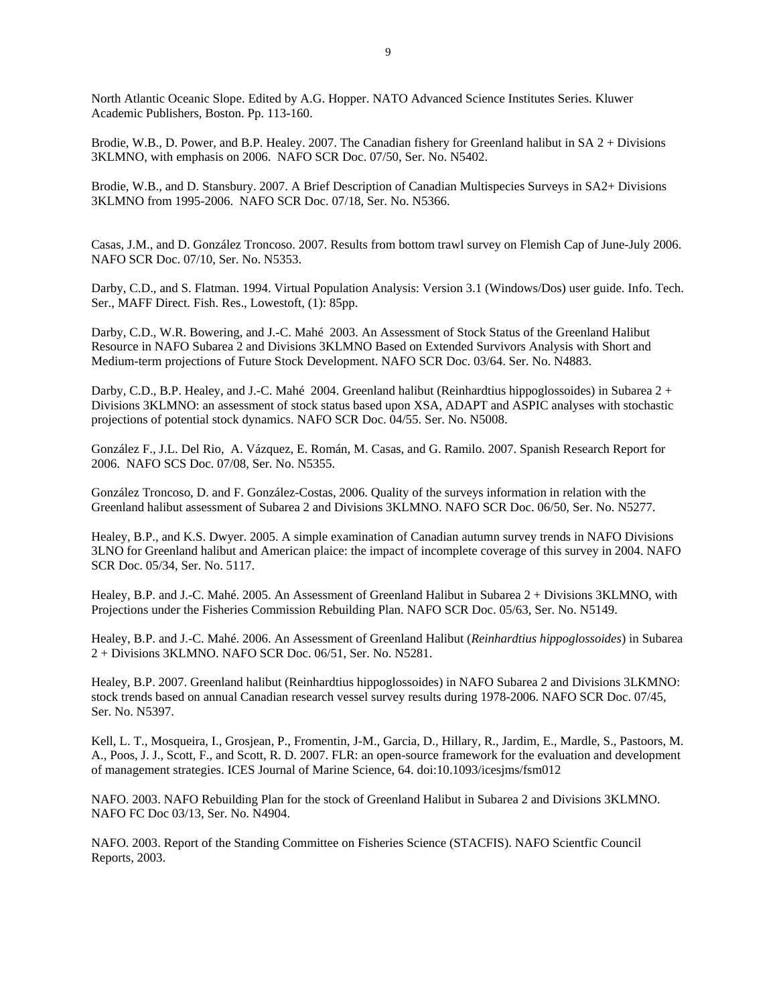North Atlantic Oceanic Slope. Edited by A.G. Hopper. NATO Advanced Science Institutes Series. Kluwer Academic Publishers, Boston. Pp. 113-160.

Brodie, W.B., D. Power, and B.P. Healey. 2007. The Canadian fishery for Greenland halibut in SA 2 + Divisions 3KLMNO, with emphasis on 2006. NAFO SCR Doc. 07/50, Ser. No. N5402.

Brodie, W.B., and D. Stansbury. 2007. A Brief Description of Canadian Multispecies Surveys in SA2+ Divisions 3KLMNO from 1995-2006. NAFO SCR Doc. 07/18, Ser. No. N5366.

Casas, J.M., and D. González Troncoso. 2007. Results from bottom trawl survey on Flemish Cap of June-July 2006. NAFO SCR Doc. 07/10, Ser. No. N5353.

Darby, C.D., and S. Flatman. 1994. Virtual Population Analysis: Version 3.1 (Windows/Dos) user guide. Info. Tech. Ser., MAFF Direct. Fish. Res., Lowestoft, (1): 85pp.

Darby, C.D., W.R. Bowering, and J.-C. Mahé 2003. An Assessment of Stock Status of the Greenland Halibut Resource in NAFO Subarea 2 and Divisions 3KLMNO Based on Extended Survivors Analysis with Short and Medium-term projections of Future Stock Development. NAFO SCR Doc. 03/64. Ser. No. N4883.

Darby, C.D., B.P. Healey, and J.-C. Mahé 2004. Greenland halibut (Reinhardtius hippoglossoides) in Subarea 2 + Divisions 3KLMNO: an assessment of stock status based upon XSA, ADAPT and ASPIC analyses with stochastic projections of potential stock dynamics. NAFO SCR Doc. 04/55. Ser. No. N5008.

González F., J.L. Del Rio, A. Vázquez, E. Román, M. Casas, and G. Ramilo. 2007. Spanish Research Report for 2006. NAFO SCS Doc. 07/08, Ser. No. N5355.

González Troncoso, D. and F. González-Costas, 2006. Quality of the surveys information in relation with the Greenland halibut assessment of Subarea 2 and Divisions 3KLMNO. NAFO SCR Doc. 06/50, Ser. No. N5277.

Healey, B.P., and K.S. Dwyer. 2005. A simple examination of Canadian autumn survey trends in NAFO Divisions 3LNO for Greenland halibut and American plaice: the impact of incomplete coverage of this survey in 2004. NAFO SCR Doc. 05/34, Ser. No. 5117.

Healey, B.P. and J.-C. Mahé. 2005. An Assessment of Greenland Halibut in Subarea 2 + Divisions 3KLMNO, with Projections under the Fisheries Commission Rebuilding Plan. NAFO SCR Doc. 05/63, Ser. No. N5149.

Healey, B.P. and J.-C. Mahé. 2006. An Assessment of Greenland Halibut (*Reinhardtius hippoglossoides*) in Subarea 2 + Divisions 3KLMNO. NAFO SCR Doc. 06/51, Ser. No. N5281.

Healey, B.P. 2007. Greenland halibut (Reinhardtius hippoglossoides) in NAFO Subarea 2 and Divisions 3LKMNO: stock trends based on annual Canadian research vessel survey results during 1978-2006. NAFO SCR Doc. 07/45, Ser. No. N5397.

Kell, L. T., Mosqueira, I., Grosjean, P., Fromentin, J-M., Garcia, D., Hillary, R., Jardim, E., Mardle, S., Pastoors, M. A., Poos, J. J., Scott, F., and Scott, R. D. 2007. FLR: an open-source framework for the evaluation and development of management strategies. ICES Journal of Marine Science, 64. doi:10.1093/icesjms/fsm012

NAFO. 2003. NAFO Rebuilding Plan for the stock of Greenland Halibut in Subarea 2 and Divisions 3KLMNO. NAFO FC Doc 03/13, Ser. No. N4904.

NAFO. 2003. Report of the Standing Committee on Fisheries Science (STACFIS). NAFO Scientfic Council Reports, 2003.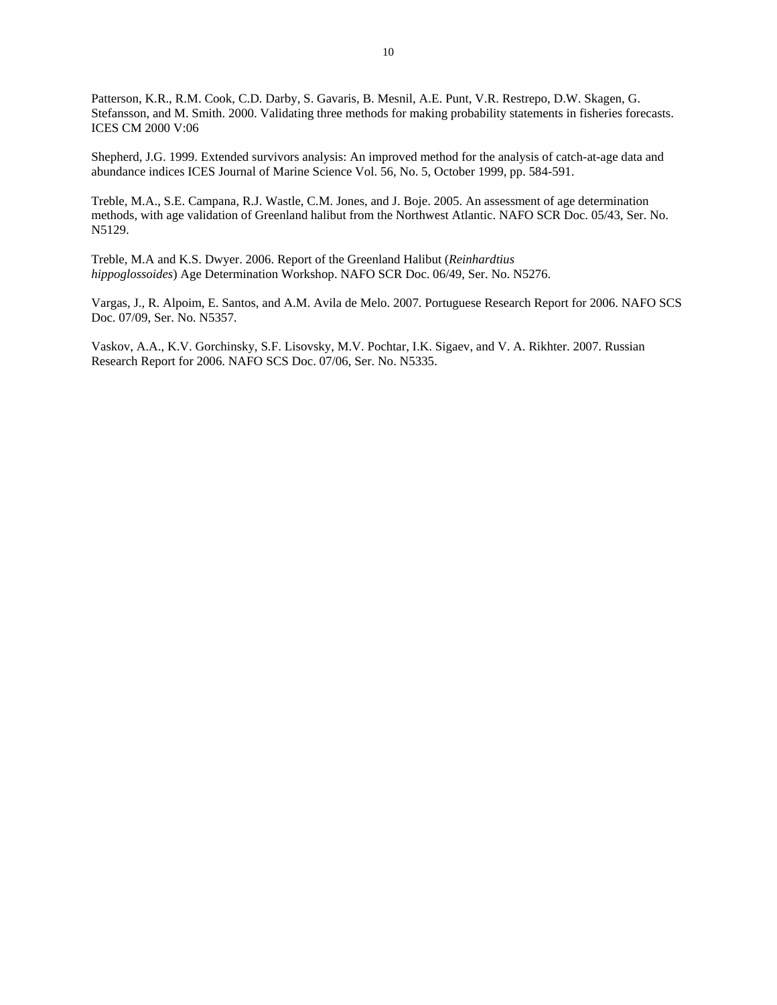Patterson, K.R., R.M. Cook, C.D. Darby, S. Gavaris, B. Mesnil, A.E. Punt, V.R. Restrepo, D.W. Skagen, G. Stefansson, and M. Smith. 2000. Validating three methods for making probability statements in fisheries forecasts. ICES CM 2000 V:06

Shepherd, J.G. 1999. Extended survivors analysis: An improved method for the analysis of catch-at-age data and abundance indices ICES Journal of Marine Science Vol. 56, No. 5, October 1999, pp. 584-591.

Treble, M.A., S.E. Campana, R.J. Wastle, C.M. Jones, and J. Boje. 2005. An assessment of age determination methods, with age validation of Greenland halibut from the Northwest Atlantic. NAFO SCR Doc. 05/43, Ser. No. N5129.

Treble, M.A and K.S. Dwyer. 2006. Report of the Greenland Halibut (*Reinhardtius hippoglossoides*) Age Determination Workshop. NAFO SCR Doc. 06/49, Ser. No. N5276.

Vargas, J., R. Alpoim, E. Santos, and A.M. Avila de Melo. 2007. Portuguese Research Report for 2006. NAFO SCS Doc. 07/09, Ser. No. N5357.

Vaskov, A.A., K.V. Gorchinsky, S.F. Lisovsky, M.V. Pochtar, I.K. Sigaev, and V. A. Rikhter. 2007. Russian Research Report for 2006. NAFO SCS Doc. 07/06, Ser. No. N5335.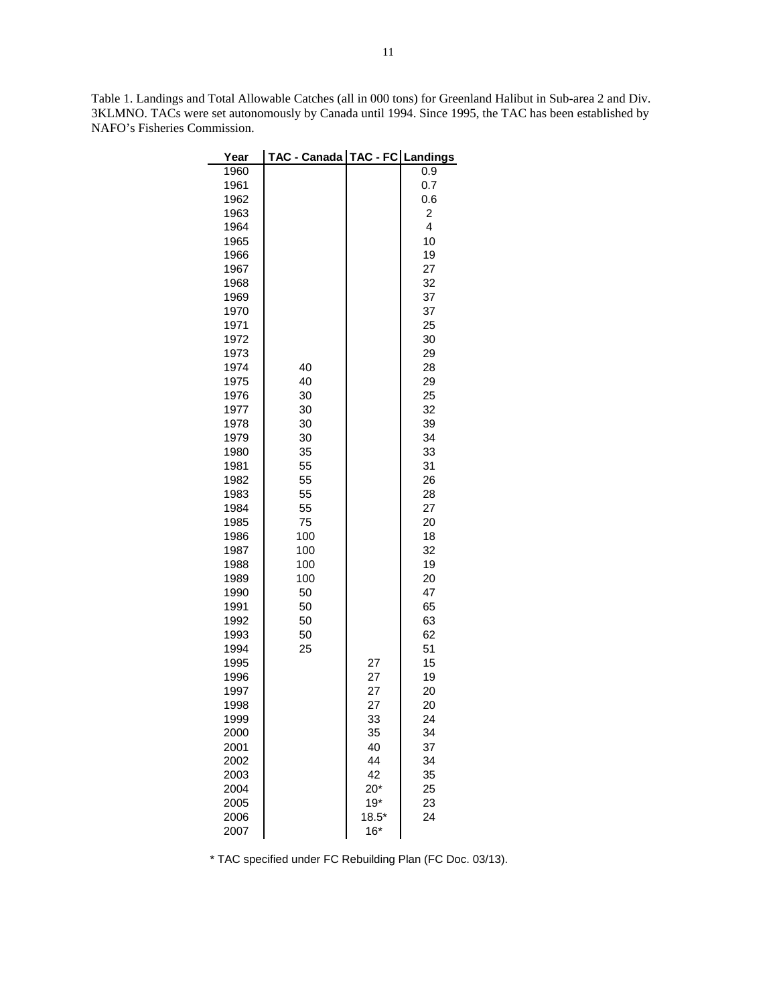Table 1. Landings and Total Allowable Catches (all in 000 tons) for Greenland Halibut in Sub-area 2 and Div. 3KLMNO. TACs were set autonomously by Canada until 1994. Since 1995, the TAC has been established by NAFO's Fisheries Commission.

| Year         | TAC - Canada   TAC - FC   Landings |          |                |
|--------------|------------------------------------|----------|----------------|
| 1960         |                                    |          | 0.9            |
| 1961         |                                    |          | 0.7            |
| 1962         |                                    |          | 0.6            |
| 1963         |                                    |          | $\overline{c}$ |
| 1964         |                                    |          | 4              |
| 1965         |                                    |          | 10             |
| 1966         |                                    |          | 19             |
| 1967         |                                    |          | 27             |
| 1968         |                                    |          | 32             |
| 1969         |                                    |          | 37             |
| 1970         |                                    |          | 37             |
| 1971         |                                    |          | 25             |
| 1972<br>1973 |                                    |          | 30<br>29       |
| 1974         | 40                                 |          | 28             |
| 1975         | 40                                 |          | 29             |
| 1976         | 30                                 |          | 25             |
| 1977         | 30                                 |          | 32             |
| 1978         | 30                                 |          | 39             |
| 1979         | 30                                 |          | 34             |
| 1980         | 35                                 |          | 33             |
| 1981         | 55                                 |          | 31             |
| 1982         | 55                                 |          | 26             |
| 1983         | 55                                 |          | 28             |
| 1984         | 55                                 |          | 27             |
| 1985         | 75                                 |          | 20             |
| 1986         | 100                                |          | 18             |
| 1987         | 100                                |          | 32             |
| 1988         | 100                                |          | 19             |
| 1989         | 100                                |          | 20             |
| 1990         | 50                                 |          | 47             |
| 1991         | 50                                 |          | 65             |
| 1992         | 50                                 |          | 63             |
| 1993         | 50                                 |          | 62             |
| 1994         | 25                                 |          | 51             |
| 1995         |                                    | 27       | 15             |
| 1996         |                                    | 27       | 19             |
| 1997<br>1998 |                                    | 27<br>27 | 20<br>20       |
| 1999         |                                    | 33       | 24             |
| 2000         |                                    | 35       | 34             |
| 2001         |                                    | 40       | 37             |
| 2002         |                                    | 44       | 34             |
| 2003         |                                    | 42       | 35             |
| 2004         |                                    | $20*$    | 25             |
| 2005         |                                    | $19*$    | 23             |
| 2006         |                                    | $18.5*$  | 24             |
| 2007         |                                    | $16*$    |                |

\* TAC specified under FC Rebuilding Plan (FC Doc. 03/13).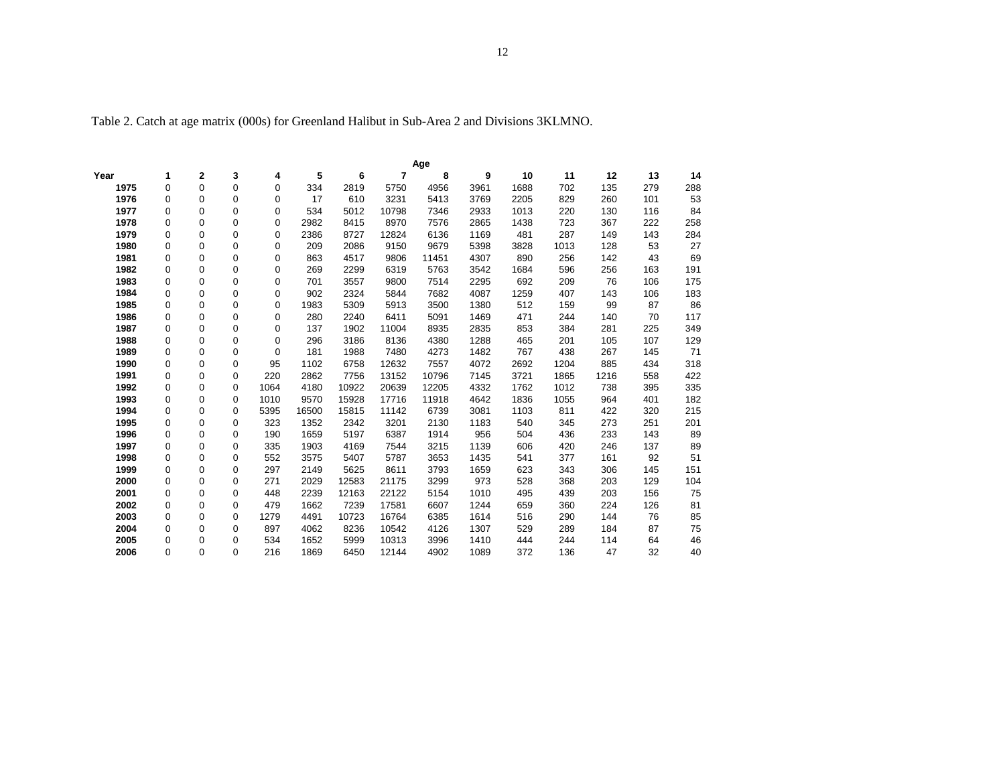Table 2. Catch at age matrix (000s) for Greenland Halibut in Sub-Area 2 and Divisions 3KLMNO.

|      |             |             |   |      |       |       |                | Age   |      |      |      |      |     |     |
|------|-------------|-------------|---|------|-------|-------|----------------|-------|------|------|------|------|-----|-----|
| Year | 1           | $\mathbf 2$ | 3 | 4    | 5     | 6     | $\overline{7}$ | 8     | 9    | 10   | 11   | 12   | 13  | 14  |
| 1975 | $\mathbf 0$ | $\Omega$    | 0 | 0    | 334   | 2819  | 5750           | 4956  | 3961 | 1688 | 702  | 135  | 279 | 288 |
| 1976 | $\mathbf 0$ | 0           | 0 | 0    | 17    | 610   | 3231           | 5413  | 3769 | 2205 | 829  | 260  | 101 | 53  |
| 1977 | $\mathbf 0$ | $\Omega$    | 0 | 0    | 534   | 5012  | 10798          | 7346  | 2933 | 1013 | 220  | 130  | 116 | 84  |
| 1978 | $\mathbf 0$ | 0           | 0 | 0    | 2982  | 8415  | 8970           | 7576  | 2865 | 1438 | 723  | 367  | 222 | 258 |
| 1979 | 0           | 0           | 0 | 0    | 2386  | 8727  | 12824          | 6136  | 1169 | 481  | 287  | 149  | 143 | 284 |
| 1980 | $\mathbf 0$ | 0           | 0 | 0    | 209   | 2086  | 9150           | 9679  | 5398 | 3828 | 1013 | 128  | 53  | 27  |
| 1981 | 0           | 0           | 0 | 0    | 863   | 4517  | 9806           | 11451 | 4307 | 890  | 256  | 142  | 43  | 69  |
| 1982 | 0           | 0           | 0 | 0    | 269   | 2299  | 6319           | 5763  | 3542 | 1684 | 596  | 256  | 163 | 191 |
| 1983 | $\mathbf 0$ | 0           | 0 | 0    | 701   | 3557  | 9800           | 7514  | 2295 | 692  | 209  | 76   | 106 | 175 |
| 1984 | $\mathbf 0$ | 0           | 0 | 0    | 902   | 2324  | 5844           | 7682  | 4087 | 1259 | 407  | 143  | 106 | 183 |
| 1985 | $\mathbf 0$ | 0           | 0 | 0    | 1983  | 5309  | 5913           | 3500  | 1380 | 512  | 159  | 99   | 87  | 86  |
| 1986 | $\mathbf 0$ | 0           | 0 | 0    | 280   | 2240  | 6411           | 5091  | 1469 | 471  | 244  | 140  | 70  | 117 |
| 1987 | 0           | 0           | 0 | 0    | 137   | 1902  | 11004          | 8935  | 2835 | 853  | 384  | 281  | 225 | 349 |
| 1988 | 0           | 0           | 0 | 0    | 296   | 3186  | 8136           | 4380  | 1288 | 465  | 201  | 105  | 107 | 129 |
| 1989 | 0           | 0           | 0 | 0    | 181   | 1988  | 7480           | 4273  | 1482 | 767  | 438  | 267  | 145 | 71  |
| 1990 | $\mathbf 0$ | 0           | 0 | 95   | 1102  | 6758  | 12632          | 7557  | 4072 | 2692 | 1204 | 885  | 434 | 318 |
| 1991 | 0           | 0           | 0 | 220  | 2862  | 7756  | 13152          | 10796 | 7145 | 3721 | 1865 | 1216 | 558 | 422 |
| 1992 | 0           | 0           | 0 | 1064 | 4180  | 10922 | 20639          | 12205 | 4332 | 1762 | 1012 | 738  | 395 | 335 |
| 1993 | $\mathbf 0$ | 0           | 0 | 1010 | 9570  | 15928 | 17716          | 11918 | 4642 | 1836 | 1055 | 964  | 401 | 182 |
| 1994 | 0           | 0           | 0 | 5395 | 16500 | 15815 | 11142          | 6739  | 3081 | 1103 | 811  | 422  | 320 | 215 |
| 1995 | 0           | 0           | 0 | 323  | 1352  | 2342  | 3201           | 2130  | 1183 | 540  | 345  | 273  | 251 | 201 |
| 1996 | $\mathbf 0$ | 0           | 0 | 190  | 1659  | 5197  | 6387           | 1914  | 956  | 504  | 436  | 233  | 143 | 89  |
| 1997 | $\mathbf 0$ | 0           | 0 | 335  | 1903  | 4169  | 7544           | 3215  | 1139 | 606  | 420  | 246  | 137 | 89  |
| 1998 | $\mathbf 0$ | 0           | 0 | 552  | 3575  | 5407  | 5787           | 3653  | 1435 | 541  | 377  | 161  | 92  | 51  |
| 1999 | $\mathbf 0$ | 0           | 0 | 297  | 2149  | 5625  | 8611           | 3793  | 1659 | 623  | 343  | 306  | 145 | 151 |
| 2000 | 0           | 0           | 0 | 271  | 2029  | 12583 | 21175          | 3299  | 973  | 528  | 368  | 203  | 129 | 104 |
| 2001 | 0           | 0           | 0 | 448  | 2239  | 12163 | 22122          | 5154  | 1010 | 495  | 439  | 203  | 156 | 75  |
| 2002 | $\mathbf 0$ | 0           | 0 | 479  | 1662  | 7239  | 17581          | 6607  | 1244 | 659  | 360  | 224  | 126 | 81  |
| 2003 | $\mathbf 0$ | 0           | 0 | 1279 | 4491  | 10723 | 16764          | 6385  | 1614 | 516  | 290  | 144  | 76  | 85  |
| 2004 | 0           | 0           | 0 | 897  | 4062  | 8236  | 10542          | 4126  | 1307 | 529  | 289  | 184  | 87  | 75  |
| 2005 | 0           | 0           | 0 | 534  | 1652  | 5999  | 10313          | 3996  | 1410 | 444  | 244  | 114  | 64  | 46  |
| 2006 | 0           | $\Omega$    | 0 | 216  | 1869  | 6450  | 12144          | 4902  | 1089 | 372  | 136  | 47   | 32  | 40  |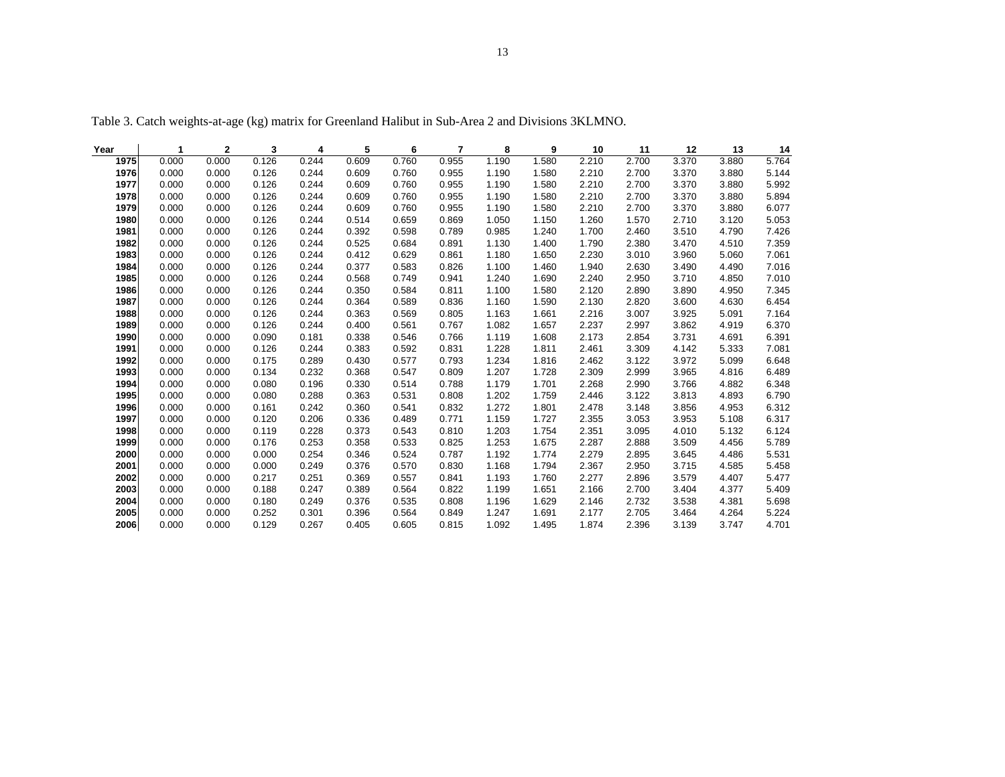| Year | 1     | 2     | 3     | 4     | 5     | 6     | 7     | 8     | 9     | 10    | 11    | 12    | 13    | 14    |
|------|-------|-------|-------|-------|-------|-------|-------|-------|-------|-------|-------|-------|-------|-------|
| 1975 | 0.000 | 0.000 | 0.126 | 0.244 | 0.609 | 0.760 | 0.955 | 1.190 | 1.580 | 2.210 | 2.700 | 3.370 | 3.880 | 5.764 |
| 1976 | 0.000 | 0.000 | 0.126 | 0.244 | 0.609 | 0.760 | 0.955 | 1.190 | 1.580 | 2.210 | 2.700 | 3.370 | 3.880 | 5.144 |
| 1977 | 0.000 | 0.000 | 0.126 | 0.244 | 0.609 | 0.760 | 0.955 | 1.190 | 1.580 | 2.210 | 2.700 | 3.370 | 3.880 | 5.992 |
| 1978 | 0.000 | 0.000 | 0.126 | 0.244 | 0.609 | 0.760 | 0.955 | 1.190 | 1.580 | 2.210 | 2.700 | 3.370 | 3.880 | 5.894 |
| 1979 | 0.000 | 0.000 | 0.126 | 0.244 | 0.609 | 0.760 | 0.955 | 1.190 | 1.580 | 2.210 | 2.700 | 3.370 | 3.880 | 6.077 |
| 1980 | 0.000 | 0.000 | 0.126 | 0.244 | 0.514 | 0.659 | 0.869 | 1.050 | 1.150 | 1.260 | 1.570 | 2.710 | 3.120 | 5.053 |
| 1981 | 0.000 | 0.000 | 0.126 | 0.244 | 0.392 | 0.598 | 0.789 | 0.985 | 1.240 | 1.700 | 2.460 | 3.510 | 4.790 | 7.426 |
| 1982 | 0.000 | 0.000 | 0.126 | 0.244 | 0.525 | 0.684 | 0.891 | 1.130 | 1.400 | 1.790 | 2.380 | 3.470 | 4.510 | 7.359 |
| 1983 | 0.000 | 0.000 | 0.126 | 0.244 | 0.412 | 0.629 | 0.861 | 1.180 | 1.650 | 2.230 | 3.010 | 3.960 | 5.060 | 7.061 |
| 1984 | 0.000 | 0.000 | 0.126 | 0.244 | 0.377 | 0.583 | 0.826 | 1.100 | 1.460 | 1.940 | 2.630 | 3.490 | 4.490 | 7.016 |
| 1985 | 0.000 | 0.000 | 0.126 | 0.244 | 0.568 | 0.749 | 0.941 | 1.240 | 1.690 | 2.240 | 2.950 | 3.710 | 4.850 | 7.010 |
| 1986 | 0.000 | 0.000 | 0.126 | 0.244 | 0.350 | 0.584 | 0.811 | 1.100 | 1.580 | 2.120 | 2.890 | 3.890 | 4.950 | 7.345 |
| 1987 | 0.000 | 0.000 | 0.126 | 0.244 | 0.364 | 0.589 | 0.836 | 1.160 | 1.590 | 2.130 | 2.820 | 3.600 | 4.630 | 6.454 |
| 1988 | 0.000 | 0.000 | 0.126 | 0.244 | 0.363 | 0.569 | 0.805 | 1.163 | 1.661 | 2.216 | 3.007 | 3.925 | 5.091 | 7.164 |
| 1989 | 0.000 | 0.000 | 0.126 | 0.244 | 0.400 | 0.561 | 0.767 | 1.082 | 1.657 | 2.237 | 2.997 | 3.862 | 4.919 | 6.370 |
| 1990 | 0.000 | 0.000 | 0.090 | 0.181 | 0.338 | 0.546 | 0.766 | 1.119 | 1.608 | 2.173 | 2.854 | 3.731 | 4.691 | 6.391 |
| 1991 | 0.000 | 0.000 | 0.126 | 0.244 | 0.383 | 0.592 | 0.831 | 1.228 | 1.811 | 2.461 | 3.309 | 4.142 | 5.333 | 7.081 |
| 1992 | 0.000 | 0.000 | 0.175 | 0.289 | 0.430 | 0.577 | 0.793 | 1.234 | 1.816 | 2.462 | 3.122 | 3.972 | 5.099 | 6.648 |
| 1993 | 0.000 | 0.000 | 0.134 | 0.232 | 0.368 | 0.547 | 0.809 | 1.207 | 1.728 | 2.309 | 2.999 | 3.965 | 4.816 | 6.489 |
| 1994 | 0.000 | 0.000 | 0.080 | 0.196 | 0.330 | 0.514 | 0.788 | 1.179 | 1.701 | 2.268 | 2.990 | 3.766 | 4.882 | 6.348 |
| 1995 | 0.000 | 0.000 | 0.080 | 0.288 | 0.363 | 0.531 | 0.808 | 1.202 | 1.759 | 2.446 | 3.122 | 3.813 | 4.893 | 6.790 |
| 1996 | 0.000 | 0.000 | 0.161 | 0.242 | 0.360 | 0.541 | 0.832 | 1.272 | 1.801 | 2.478 | 3.148 | 3.856 | 4.953 | 6.312 |
| 1997 | 0.000 | 0.000 | 0.120 | 0.206 | 0.336 | 0.489 | 0.771 | 1.159 | 1.727 | 2.355 | 3.053 | 3.953 | 5.108 | 6.317 |
| 1998 | 0.000 | 0.000 | 0.119 | 0.228 | 0.373 | 0.543 | 0.810 | 1.203 | 1.754 | 2.351 | 3.095 | 4.010 | 5.132 | 6.124 |
| 1999 | 0.000 | 0.000 | 0.176 | 0.253 | 0.358 | 0.533 | 0.825 | 1.253 | 1.675 | 2.287 | 2.888 | 3.509 | 4.456 | 5.789 |
| 2000 | 0.000 | 0.000 | 0.000 | 0.254 | 0.346 | 0.524 | 0.787 | 1.192 | 1.774 | 2.279 | 2.895 | 3.645 | 4.486 | 5.531 |
| 2001 | 0.000 | 0.000 | 0.000 | 0.249 | 0.376 | 0.570 | 0.830 | 1.168 | 1.794 | 2.367 | 2.950 | 3.715 | 4.585 | 5.458 |
| 2002 | 0.000 | 0.000 | 0.217 | 0.251 | 0.369 | 0.557 | 0.841 | 1.193 | 1.760 | 2.277 | 2.896 | 3.579 | 4.407 | 5.477 |
| 2003 | 0.000 | 0.000 | 0.188 | 0.247 | 0.389 | 0.564 | 0.822 | 1.199 | 1.651 | 2.166 | 2.700 | 3.404 | 4.377 | 5.409 |
| 2004 | 0.000 | 0.000 | 0.180 | 0.249 | 0.376 | 0.535 | 0.808 | 1.196 | 1.629 | 2.146 | 2.732 | 3.538 | 4.381 | 5.698 |
| 2005 | 0.000 | 0.000 | 0.252 | 0.301 | 0.396 | 0.564 | 0.849 | 1.247 | 1.691 | 2.177 | 2.705 | 3.464 | 4.264 | 5.224 |
| 2006 | 0.000 | 0.000 | 0.129 | 0.267 | 0.405 | 0.605 | 0.815 | 1.092 | 1.495 | 1.874 | 2.396 | 3.139 | 3.747 | 4.701 |

Table 3. Catch weights-at-age (kg) matrix for Greenland Halibut in Sub-Area 2 and Divisions 3KLMNO.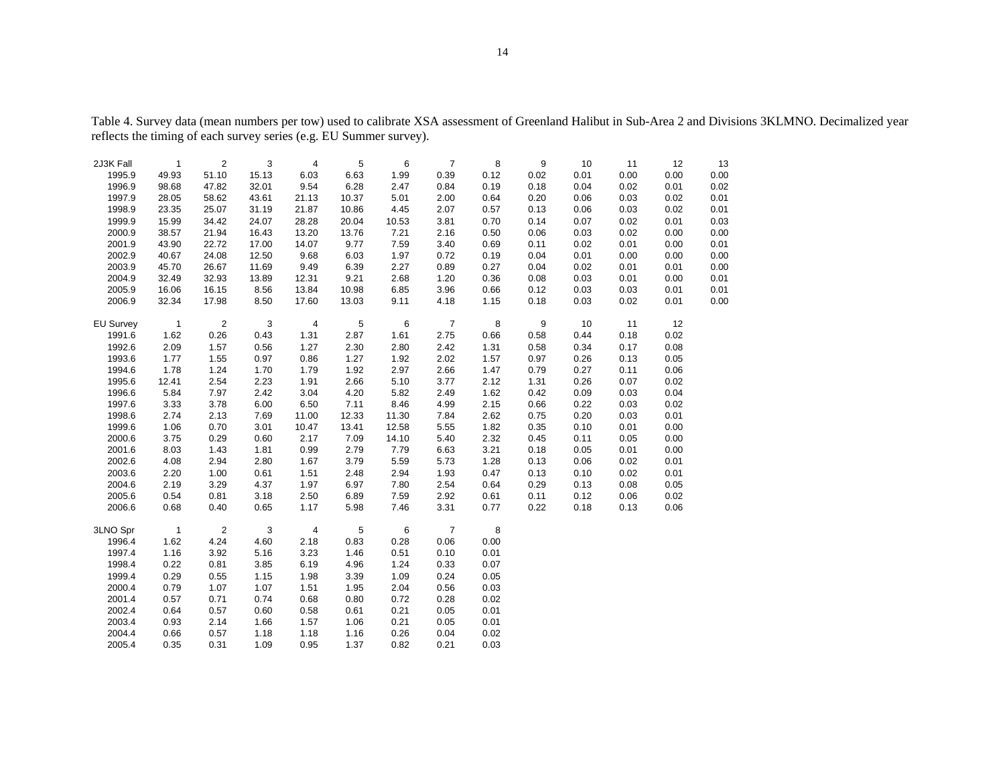| $\overline{2}$<br>3<br>5<br>6<br>8<br>9<br>12<br>13<br>2J3K Fall<br>$\mathbf{1}$<br>4<br>$\overline{7}$<br>10<br>11<br>6.63<br>0.39<br>0.12<br>0.00<br>1995.9<br>49.93<br>51.10<br>15.13<br>6.03<br>1.99<br>0.02<br>0.01<br>0.00<br>0.00<br>1996.9<br>9.54<br>6.28<br>0.19<br>98.68<br>47.82<br>32.01<br>2.47<br>0.84<br>0.18<br>0.04<br>0.02<br>0.01<br>0.02<br>1997.9<br>21.13<br>2.00<br>0.06<br>0.01<br>28.05<br>58.62<br>43.61<br>10.37<br>5.01<br>0.64<br>0.20<br>0.03<br>0.02<br>1998.9<br>23.35<br>25.07<br>21.87<br>10.86<br>2.07<br>0.13<br>0.06<br>0.03<br>0.02<br>0.01<br>31.19<br>4.45<br>0.57<br>3.81<br>0.03<br>1999.9<br>15.99<br>34.42<br>24.07<br>28.28<br>20.04<br>10.53<br>0.70<br>0.14<br>0.07<br>0.02<br>0.01<br>2000.9<br>38.57<br>13.20<br>7.21<br>2.16<br>21.94<br>16.43<br>13.76<br>0.50<br>0.06<br>0.03<br>0.02<br>0.00<br>0.00<br>2001.9<br>43.90<br>22.72<br>17.00<br>14.07<br>9.77<br>7.59<br>3.40<br>0.69<br>0.02<br>0.01<br>0.00<br>0.01<br>0.11<br>0.01<br>0.00<br>2002.9<br>40.67<br>24.08<br>12.50<br>9.68<br>6.03<br>1.97<br>0.72<br>0.19<br>0.04<br>0.00<br>0.00<br>2003.9<br>45.70<br>2.27<br>26.67<br>11.69<br>9.49<br>6.39<br>0.89<br>0.27<br>0.04<br>0.02<br>0.01<br>0.01<br>0.00<br>2004.9<br>2.68<br>0.03<br>32.49<br>32.93<br>13.89<br>12.31<br>9.21<br>1.20<br>0.36<br>0.08<br>0.01<br>0.00<br>0.01<br>2005.9<br>16.06<br>16.15<br>8.56<br>13.84<br>10.98<br>6.85<br>3.96<br>0.66<br>0.12<br>0.03<br>0.03<br>0.01<br>0.01<br>2006.9<br>32.34<br>17.98<br>8.50<br>17.60<br>13.03<br>9.11<br>4.18<br>1.15<br>0.18<br>0.03<br>0.02<br>0.01<br>0.00<br>9<br><b>EU Survey</b><br>$\overline{1}$<br>2<br>3<br>$\overline{4}$<br>5<br>6<br>$\overline{7}$<br>8<br>10<br>11<br>12<br>0.26<br>2.75<br>0.02<br>1991.6<br>1.62<br>0.43<br>1.31<br>2.87<br>1.61<br>0.66<br>0.58<br>0.44<br>0.18<br>2.42<br>1992.6<br>2.09<br>1.57<br>0.56<br>1.27<br>2.30<br>2.80<br>1.31<br>0.58<br>0.34<br>0.17<br>0.08<br>1993.6<br>1.55<br>2.02<br>0.26<br>1.77<br>0.97<br>0.86<br>1.27<br>1.92<br>1.57<br>0.97<br>0.13<br>0.05<br>1994.6<br>1.78<br>1.24<br>1.70<br>1.79<br>1.92<br>2.97<br>2.66<br>1.47<br>0.79<br>0.27<br>0.11<br>0.06<br>1.91<br>3.77<br>1995.6<br>12.41<br>2.54<br>2.23<br>2.66<br>5.10<br>2.12<br>1.31<br>0.26<br>0.07<br>0.02<br>1996.6<br>5.84<br>7.97<br>2.42<br>3.04<br>4.20<br>5.82<br>2.49<br>1.62<br>0.42<br>0.09<br>0.04<br>0.03<br>1997.6<br>3.33<br>3.78<br>6.00<br>6.50<br>7.11<br>8.46<br>4.99<br>2.15<br>0.66<br>0.22<br>0.03<br>0.02<br>1998.6<br>2.74<br>2.13<br>2.62<br>0.20<br>0.01<br>7.69<br>11.00<br>12.33<br>11.30<br>7.84<br>0.75<br>0.03<br>1999.6<br>1.06<br>0.70<br>3.01<br>10.47<br>13.41<br>12.58<br>5.55<br>1.82<br>0.35<br>0.10<br>0.01<br>0.00<br>2000.6<br>3.75<br>0.29<br>2.17<br>7.09<br>14.10<br>5.40<br>2.32<br>0.11<br>0.00<br>0.60<br>0.45<br>0.05<br>2001.6<br>8.03<br>1.43<br>1.81<br>0.99<br>2.79<br>7.79<br>6.63<br>3.21<br>0.18<br>0.05<br>0.01<br>0.00<br>2002.6<br>4.08<br>2.94<br>2.80<br>1.67<br>3.79<br>5.59<br>5.73<br>1.28<br>0.13<br>0.06<br>0.02<br>0.01<br>2003.6<br>2.20<br>1.00<br>1.51<br>2.94<br>1.93<br>0.10<br>0.01<br>0.61<br>2.48<br>0.47<br>0.13<br>0.02<br>2004.6<br>2.19<br>3.29<br>4.37<br>1.97<br>6.97<br>7.80<br>2.54<br>0.29<br>0.05<br>0.64<br>0.13<br>0.08 |
|----------------------------------------------------------------------------------------------------------------------------------------------------------------------------------------------------------------------------------------------------------------------------------------------------------------------------------------------------------------------------------------------------------------------------------------------------------------------------------------------------------------------------------------------------------------------------------------------------------------------------------------------------------------------------------------------------------------------------------------------------------------------------------------------------------------------------------------------------------------------------------------------------------------------------------------------------------------------------------------------------------------------------------------------------------------------------------------------------------------------------------------------------------------------------------------------------------------------------------------------------------------------------------------------------------------------------------------------------------------------------------------------------------------------------------------------------------------------------------------------------------------------------------------------------------------------------------------------------------------------------------------------------------------------------------------------------------------------------------------------------------------------------------------------------------------------------------------------------------------------------------------------------------------------------------------------------------------------------------------------------------------------------------------------------------------------------------------------------------------------------------------------------------------------------------------------------------------------------------------------------------------------------------------------------------------------------------------------------------------------------------------------------------------------------------------------------------------------------------------------------------------------------------------------------------------------------------------------------------------------------------------------------------------------------------------------------------------------------------------------------------------------------------------------------------------------------------------------------------------------------------------------------------------------------------------------------------------------------------------------------------------------------------------------------------------------------------------------------------------------------------------------------------------------------------------------------------------------------------------------------------------------------|
|                                                                                                                                                                                                                                                                                                                                                                                                                                                                                                                                                                                                                                                                                                                                                                                                                                                                                                                                                                                                                                                                                                                                                                                                                                                                                                                                                                                                                                                                                                                                                                                                                                                                                                                                                                                                                                                                                                                                                                                                                                                                                                                                                                                                                                                                                                                                                                                                                                                                                                                                                                                                                                                                                                                                                                                                                                                                                                                                                                                                                                                                                                                                                                                                                                                                            |
|                                                                                                                                                                                                                                                                                                                                                                                                                                                                                                                                                                                                                                                                                                                                                                                                                                                                                                                                                                                                                                                                                                                                                                                                                                                                                                                                                                                                                                                                                                                                                                                                                                                                                                                                                                                                                                                                                                                                                                                                                                                                                                                                                                                                                                                                                                                                                                                                                                                                                                                                                                                                                                                                                                                                                                                                                                                                                                                                                                                                                                                                                                                                                                                                                                                                            |
|                                                                                                                                                                                                                                                                                                                                                                                                                                                                                                                                                                                                                                                                                                                                                                                                                                                                                                                                                                                                                                                                                                                                                                                                                                                                                                                                                                                                                                                                                                                                                                                                                                                                                                                                                                                                                                                                                                                                                                                                                                                                                                                                                                                                                                                                                                                                                                                                                                                                                                                                                                                                                                                                                                                                                                                                                                                                                                                                                                                                                                                                                                                                                                                                                                                                            |
|                                                                                                                                                                                                                                                                                                                                                                                                                                                                                                                                                                                                                                                                                                                                                                                                                                                                                                                                                                                                                                                                                                                                                                                                                                                                                                                                                                                                                                                                                                                                                                                                                                                                                                                                                                                                                                                                                                                                                                                                                                                                                                                                                                                                                                                                                                                                                                                                                                                                                                                                                                                                                                                                                                                                                                                                                                                                                                                                                                                                                                                                                                                                                                                                                                                                            |
|                                                                                                                                                                                                                                                                                                                                                                                                                                                                                                                                                                                                                                                                                                                                                                                                                                                                                                                                                                                                                                                                                                                                                                                                                                                                                                                                                                                                                                                                                                                                                                                                                                                                                                                                                                                                                                                                                                                                                                                                                                                                                                                                                                                                                                                                                                                                                                                                                                                                                                                                                                                                                                                                                                                                                                                                                                                                                                                                                                                                                                                                                                                                                                                                                                                                            |
|                                                                                                                                                                                                                                                                                                                                                                                                                                                                                                                                                                                                                                                                                                                                                                                                                                                                                                                                                                                                                                                                                                                                                                                                                                                                                                                                                                                                                                                                                                                                                                                                                                                                                                                                                                                                                                                                                                                                                                                                                                                                                                                                                                                                                                                                                                                                                                                                                                                                                                                                                                                                                                                                                                                                                                                                                                                                                                                                                                                                                                                                                                                                                                                                                                                                            |
|                                                                                                                                                                                                                                                                                                                                                                                                                                                                                                                                                                                                                                                                                                                                                                                                                                                                                                                                                                                                                                                                                                                                                                                                                                                                                                                                                                                                                                                                                                                                                                                                                                                                                                                                                                                                                                                                                                                                                                                                                                                                                                                                                                                                                                                                                                                                                                                                                                                                                                                                                                                                                                                                                                                                                                                                                                                                                                                                                                                                                                                                                                                                                                                                                                                                            |
|                                                                                                                                                                                                                                                                                                                                                                                                                                                                                                                                                                                                                                                                                                                                                                                                                                                                                                                                                                                                                                                                                                                                                                                                                                                                                                                                                                                                                                                                                                                                                                                                                                                                                                                                                                                                                                                                                                                                                                                                                                                                                                                                                                                                                                                                                                                                                                                                                                                                                                                                                                                                                                                                                                                                                                                                                                                                                                                                                                                                                                                                                                                                                                                                                                                                            |
|                                                                                                                                                                                                                                                                                                                                                                                                                                                                                                                                                                                                                                                                                                                                                                                                                                                                                                                                                                                                                                                                                                                                                                                                                                                                                                                                                                                                                                                                                                                                                                                                                                                                                                                                                                                                                                                                                                                                                                                                                                                                                                                                                                                                                                                                                                                                                                                                                                                                                                                                                                                                                                                                                                                                                                                                                                                                                                                                                                                                                                                                                                                                                                                                                                                                            |
|                                                                                                                                                                                                                                                                                                                                                                                                                                                                                                                                                                                                                                                                                                                                                                                                                                                                                                                                                                                                                                                                                                                                                                                                                                                                                                                                                                                                                                                                                                                                                                                                                                                                                                                                                                                                                                                                                                                                                                                                                                                                                                                                                                                                                                                                                                                                                                                                                                                                                                                                                                                                                                                                                                                                                                                                                                                                                                                                                                                                                                                                                                                                                                                                                                                                            |
|                                                                                                                                                                                                                                                                                                                                                                                                                                                                                                                                                                                                                                                                                                                                                                                                                                                                                                                                                                                                                                                                                                                                                                                                                                                                                                                                                                                                                                                                                                                                                                                                                                                                                                                                                                                                                                                                                                                                                                                                                                                                                                                                                                                                                                                                                                                                                                                                                                                                                                                                                                                                                                                                                                                                                                                                                                                                                                                                                                                                                                                                                                                                                                                                                                                                            |
|                                                                                                                                                                                                                                                                                                                                                                                                                                                                                                                                                                                                                                                                                                                                                                                                                                                                                                                                                                                                                                                                                                                                                                                                                                                                                                                                                                                                                                                                                                                                                                                                                                                                                                                                                                                                                                                                                                                                                                                                                                                                                                                                                                                                                                                                                                                                                                                                                                                                                                                                                                                                                                                                                                                                                                                                                                                                                                                                                                                                                                                                                                                                                                                                                                                                            |
|                                                                                                                                                                                                                                                                                                                                                                                                                                                                                                                                                                                                                                                                                                                                                                                                                                                                                                                                                                                                                                                                                                                                                                                                                                                                                                                                                                                                                                                                                                                                                                                                                                                                                                                                                                                                                                                                                                                                                                                                                                                                                                                                                                                                                                                                                                                                                                                                                                                                                                                                                                                                                                                                                                                                                                                                                                                                                                                                                                                                                                                                                                                                                                                                                                                                            |
|                                                                                                                                                                                                                                                                                                                                                                                                                                                                                                                                                                                                                                                                                                                                                                                                                                                                                                                                                                                                                                                                                                                                                                                                                                                                                                                                                                                                                                                                                                                                                                                                                                                                                                                                                                                                                                                                                                                                                                                                                                                                                                                                                                                                                                                                                                                                                                                                                                                                                                                                                                                                                                                                                                                                                                                                                                                                                                                                                                                                                                                                                                                                                                                                                                                                            |
|                                                                                                                                                                                                                                                                                                                                                                                                                                                                                                                                                                                                                                                                                                                                                                                                                                                                                                                                                                                                                                                                                                                                                                                                                                                                                                                                                                                                                                                                                                                                                                                                                                                                                                                                                                                                                                                                                                                                                                                                                                                                                                                                                                                                                                                                                                                                                                                                                                                                                                                                                                                                                                                                                                                                                                                                                                                                                                                                                                                                                                                                                                                                                                                                                                                                            |
|                                                                                                                                                                                                                                                                                                                                                                                                                                                                                                                                                                                                                                                                                                                                                                                                                                                                                                                                                                                                                                                                                                                                                                                                                                                                                                                                                                                                                                                                                                                                                                                                                                                                                                                                                                                                                                                                                                                                                                                                                                                                                                                                                                                                                                                                                                                                                                                                                                                                                                                                                                                                                                                                                                                                                                                                                                                                                                                                                                                                                                                                                                                                                                                                                                                                            |
|                                                                                                                                                                                                                                                                                                                                                                                                                                                                                                                                                                                                                                                                                                                                                                                                                                                                                                                                                                                                                                                                                                                                                                                                                                                                                                                                                                                                                                                                                                                                                                                                                                                                                                                                                                                                                                                                                                                                                                                                                                                                                                                                                                                                                                                                                                                                                                                                                                                                                                                                                                                                                                                                                                                                                                                                                                                                                                                                                                                                                                                                                                                                                                                                                                                                            |
|                                                                                                                                                                                                                                                                                                                                                                                                                                                                                                                                                                                                                                                                                                                                                                                                                                                                                                                                                                                                                                                                                                                                                                                                                                                                                                                                                                                                                                                                                                                                                                                                                                                                                                                                                                                                                                                                                                                                                                                                                                                                                                                                                                                                                                                                                                                                                                                                                                                                                                                                                                                                                                                                                                                                                                                                                                                                                                                                                                                                                                                                                                                                                                                                                                                                            |
|                                                                                                                                                                                                                                                                                                                                                                                                                                                                                                                                                                                                                                                                                                                                                                                                                                                                                                                                                                                                                                                                                                                                                                                                                                                                                                                                                                                                                                                                                                                                                                                                                                                                                                                                                                                                                                                                                                                                                                                                                                                                                                                                                                                                                                                                                                                                                                                                                                                                                                                                                                                                                                                                                                                                                                                                                                                                                                                                                                                                                                                                                                                                                                                                                                                                            |
|                                                                                                                                                                                                                                                                                                                                                                                                                                                                                                                                                                                                                                                                                                                                                                                                                                                                                                                                                                                                                                                                                                                                                                                                                                                                                                                                                                                                                                                                                                                                                                                                                                                                                                                                                                                                                                                                                                                                                                                                                                                                                                                                                                                                                                                                                                                                                                                                                                                                                                                                                                                                                                                                                                                                                                                                                                                                                                                                                                                                                                                                                                                                                                                                                                                                            |
|                                                                                                                                                                                                                                                                                                                                                                                                                                                                                                                                                                                                                                                                                                                                                                                                                                                                                                                                                                                                                                                                                                                                                                                                                                                                                                                                                                                                                                                                                                                                                                                                                                                                                                                                                                                                                                                                                                                                                                                                                                                                                                                                                                                                                                                                                                                                                                                                                                                                                                                                                                                                                                                                                                                                                                                                                                                                                                                                                                                                                                                                                                                                                                                                                                                                            |
|                                                                                                                                                                                                                                                                                                                                                                                                                                                                                                                                                                                                                                                                                                                                                                                                                                                                                                                                                                                                                                                                                                                                                                                                                                                                                                                                                                                                                                                                                                                                                                                                                                                                                                                                                                                                                                                                                                                                                                                                                                                                                                                                                                                                                                                                                                                                                                                                                                                                                                                                                                                                                                                                                                                                                                                                                                                                                                                                                                                                                                                                                                                                                                                                                                                                            |
|                                                                                                                                                                                                                                                                                                                                                                                                                                                                                                                                                                                                                                                                                                                                                                                                                                                                                                                                                                                                                                                                                                                                                                                                                                                                                                                                                                                                                                                                                                                                                                                                                                                                                                                                                                                                                                                                                                                                                                                                                                                                                                                                                                                                                                                                                                                                                                                                                                                                                                                                                                                                                                                                                                                                                                                                                                                                                                                                                                                                                                                                                                                                                                                                                                                                            |
|                                                                                                                                                                                                                                                                                                                                                                                                                                                                                                                                                                                                                                                                                                                                                                                                                                                                                                                                                                                                                                                                                                                                                                                                                                                                                                                                                                                                                                                                                                                                                                                                                                                                                                                                                                                                                                                                                                                                                                                                                                                                                                                                                                                                                                                                                                                                                                                                                                                                                                                                                                                                                                                                                                                                                                                                                                                                                                                                                                                                                                                                                                                                                                                                                                                                            |
|                                                                                                                                                                                                                                                                                                                                                                                                                                                                                                                                                                                                                                                                                                                                                                                                                                                                                                                                                                                                                                                                                                                                                                                                                                                                                                                                                                                                                                                                                                                                                                                                                                                                                                                                                                                                                                                                                                                                                                                                                                                                                                                                                                                                                                                                                                                                                                                                                                                                                                                                                                                                                                                                                                                                                                                                                                                                                                                                                                                                                                                                                                                                                                                                                                                                            |
|                                                                                                                                                                                                                                                                                                                                                                                                                                                                                                                                                                                                                                                                                                                                                                                                                                                                                                                                                                                                                                                                                                                                                                                                                                                                                                                                                                                                                                                                                                                                                                                                                                                                                                                                                                                                                                                                                                                                                                                                                                                                                                                                                                                                                                                                                                                                                                                                                                                                                                                                                                                                                                                                                                                                                                                                                                                                                                                                                                                                                                                                                                                                                                                                                                                                            |
|                                                                                                                                                                                                                                                                                                                                                                                                                                                                                                                                                                                                                                                                                                                                                                                                                                                                                                                                                                                                                                                                                                                                                                                                                                                                                                                                                                                                                                                                                                                                                                                                                                                                                                                                                                                                                                                                                                                                                                                                                                                                                                                                                                                                                                                                                                                                                                                                                                                                                                                                                                                                                                                                                                                                                                                                                                                                                                                                                                                                                                                                                                                                                                                                                                                                            |
|                                                                                                                                                                                                                                                                                                                                                                                                                                                                                                                                                                                                                                                                                                                                                                                                                                                                                                                                                                                                                                                                                                                                                                                                                                                                                                                                                                                                                                                                                                                                                                                                                                                                                                                                                                                                                                                                                                                                                                                                                                                                                                                                                                                                                                                                                                                                                                                                                                                                                                                                                                                                                                                                                                                                                                                                                                                                                                                                                                                                                                                                                                                                                                                                                                                                            |
| 2005.6<br>2.50<br>2.92<br>0.11<br>0.12<br>0.02<br>0.54<br>0.81<br>3.18<br>6.89<br>7.59<br>0.61<br>0.06                                                                                                                                                                                                                                                                                                                                                                                                                                                                                                                                                                                                                                                                                                                                                                                                                                                                                                                                                                                                                                                                                                                                                                                                                                                                                                                                                                                                                                                                                                                                                                                                                                                                                                                                                                                                                                                                                                                                                                                                                                                                                                                                                                                                                                                                                                                                                                                                                                                                                                                                                                                                                                                                                                                                                                                                                                                                                                                                                                                                                                                                                                                                                                     |
| 2006.6<br>0.68<br>0.40<br>0.65<br>1.17<br>5.98<br>7.46<br>3.31<br>0.77<br>0.22<br>0.18<br>0.13<br>0.06                                                                                                                                                                                                                                                                                                                                                                                                                                                                                                                                                                                                                                                                                                                                                                                                                                                                                                                                                                                                                                                                                                                                                                                                                                                                                                                                                                                                                                                                                                                                                                                                                                                                                                                                                                                                                                                                                                                                                                                                                                                                                                                                                                                                                                                                                                                                                                                                                                                                                                                                                                                                                                                                                                                                                                                                                                                                                                                                                                                                                                                                                                                                                                     |
|                                                                                                                                                                                                                                                                                                                                                                                                                                                                                                                                                                                                                                                                                                                                                                                                                                                                                                                                                                                                                                                                                                                                                                                                                                                                                                                                                                                                                                                                                                                                                                                                                                                                                                                                                                                                                                                                                                                                                                                                                                                                                                                                                                                                                                                                                                                                                                                                                                                                                                                                                                                                                                                                                                                                                                                                                                                                                                                                                                                                                                                                                                                                                                                                                                                                            |
| $\overline{1}$<br>$\overline{2}$<br>3<br>$\sqrt{5}$<br>$\overline{7}$<br>8<br>$\overline{4}$<br>6<br>3LNO Spr                                                                                                                                                                                                                                                                                                                                                                                                                                                                                                                                                                                                                                                                                                                                                                                                                                                                                                                                                                                                                                                                                                                                                                                                                                                                                                                                                                                                                                                                                                                                                                                                                                                                                                                                                                                                                                                                                                                                                                                                                                                                                                                                                                                                                                                                                                                                                                                                                                                                                                                                                                                                                                                                                                                                                                                                                                                                                                                                                                                                                                                                                                                                                              |
| 4.24<br>0.06<br>0.00<br>1996.4<br>1.62<br>4.60<br>2.18<br>0.83<br>0.28                                                                                                                                                                                                                                                                                                                                                                                                                                                                                                                                                                                                                                                                                                                                                                                                                                                                                                                                                                                                                                                                                                                                                                                                                                                                                                                                                                                                                                                                                                                                                                                                                                                                                                                                                                                                                                                                                                                                                                                                                                                                                                                                                                                                                                                                                                                                                                                                                                                                                                                                                                                                                                                                                                                                                                                                                                                                                                                                                                                                                                                                                                                                                                                                     |
| 1997.4<br>1.16<br>5.16<br>3.23<br>3.92<br>1.46<br>0.51<br>0.10<br>0.01                                                                                                                                                                                                                                                                                                                                                                                                                                                                                                                                                                                                                                                                                                                                                                                                                                                                                                                                                                                                                                                                                                                                                                                                                                                                                                                                                                                                                                                                                                                                                                                                                                                                                                                                                                                                                                                                                                                                                                                                                                                                                                                                                                                                                                                                                                                                                                                                                                                                                                                                                                                                                                                                                                                                                                                                                                                                                                                                                                                                                                                                                                                                                                                                     |
| 1998.4<br>0.22<br>0.81<br>3.85<br>6.19<br>4.96<br>1.24<br>0.33<br>0.07                                                                                                                                                                                                                                                                                                                                                                                                                                                                                                                                                                                                                                                                                                                                                                                                                                                                                                                                                                                                                                                                                                                                                                                                                                                                                                                                                                                                                                                                                                                                                                                                                                                                                                                                                                                                                                                                                                                                                                                                                                                                                                                                                                                                                                                                                                                                                                                                                                                                                                                                                                                                                                                                                                                                                                                                                                                                                                                                                                                                                                                                                                                                                                                                     |
| 1999.4<br>0.29<br>0.24<br>0.05<br>0.55<br>1.15<br>1.98<br>3.39<br>1.09                                                                                                                                                                                                                                                                                                                                                                                                                                                                                                                                                                                                                                                                                                                                                                                                                                                                                                                                                                                                                                                                                                                                                                                                                                                                                                                                                                                                                                                                                                                                                                                                                                                                                                                                                                                                                                                                                                                                                                                                                                                                                                                                                                                                                                                                                                                                                                                                                                                                                                                                                                                                                                                                                                                                                                                                                                                                                                                                                                                                                                                                                                                                                                                                     |
| 2000.4<br>0.79<br>1.07<br>1.07<br>1.51<br>2.04<br>0.56<br>0.03<br>1.95                                                                                                                                                                                                                                                                                                                                                                                                                                                                                                                                                                                                                                                                                                                                                                                                                                                                                                                                                                                                                                                                                                                                                                                                                                                                                                                                                                                                                                                                                                                                                                                                                                                                                                                                                                                                                                                                                                                                                                                                                                                                                                                                                                                                                                                                                                                                                                                                                                                                                                                                                                                                                                                                                                                                                                                                                                                                                                                                                                                                                                                                                                                                                                                                     |
| 2001.4<br>0.74<br>0.72<br>0.57<br>0.71<br>0.68<br>0.80<br>0.28<br>0.02                                                                                                                                                                                                                                                                                                                                                                                                                                                                                                                                                                                                                                                                                                                                                                                                                                                                                                                                                                                                                                                                                                                                                                                                                                                                                                                                                                                                                                                                                                                                                                                                                                                                                                                                                                                                                                                                                                                                                                                                                                                                                                                                                                                                                                                                                                                                                                                                                                                                                                                                                                                                                                                                                                                                                                                                                                                                                                                                                                                                                                                                                                                                                                                                     |
| 2002.4<br>0.57<br>0.60<br>0.58<br>0.61<br>0.21<br>0.05<br>0.01<br>0.64                                                                                                                                                                                                                                                                                                                                                                                                                                                                                                                                                                                                                                                                                                                                                                                                                                                                                                                                                                                                                                                                                                                                                                                                                                                                                                                                                                                                                                                                                                                                                                                                                                                                                                                                                                                                                                                                                                                                                                                                                                                                                                                                                                                                                                                                                                                                                                                                                                                                                                                                                                                                                                                                                                                                                                                                                                                                                                                                                                                                                                                                                                                                                                                                     |
| 2003.4<br>2.14<br>0.93<br>1.66<br>1.57<br>1.06<br>0.21<br>0.05<br>0.01                                                                                                                                                                                                                                                                                                                                                                                                                                                                                                                                                                                                                                                                                                                                                                                                                                                                                                                                                                                                                                                                                                                                                                                                                                                                                                                                                                                                                                                                                                                                                                                                                                                                                                                                                                                                                                                                                                                                                                                                                                                                                                                                                                                                                                                                                                                                                                                                                                                                                                                                                                                                                                                                                                                                                                                                                                                                                                                                                                                                                                                                                                                                                                                                     |
| 2004.4<br>0.66<br>0.57<br>1.18<br>0.04<br>1.18<br>1.16<br>0.26<br>0.02                                                                                                                                                                                                                                                                                                                                                                                                                                                                                                                                                                                                                                                                                                                                                                                                                                                                                                                                                                                                                                                                                                                                                                                                                                                                                                                                                                                                                                                                                                                                                                                                                                                                                                                                                                                                                                                                                                                                                                                                                                                                                                                                                                                                                                                                                                                                                                                                                                                                                                                                                                                                                                                                                                                                                                                                                                                                                                                                                                                                                                                                                                                                                                                                     |
| 2005.4<br>1.37<br>0.35<br>0.31<br>1.09<br>0.95<br>0.82<br>0.21<br>0.03                                                                                                                                                                                                                                                                                                                                                                                                                                                                                                                                                                                                                                                                                                                                                                                                                                                                                                                                                                                                                                                                                                                                                                                                                                                                                                                                                                                                                                                                                                                                                                                                                                                                                                                                                                                                                                                                                                                                                                                                                                                                                                                                                                                                                                                                                                                                                                                                                                                                                                                                                                                                                                                                                                                                                                                                                                                                                                                                                                                                                                                                                                                                                                                                     |

Table 4. Survey data (mean numbers per tow) used to calibrate XSA assessment of Greenland Halibut in Sub-Area 2 and Divisions 3KLMNO. Decimalized year reflects the timing of each survey series (e.g. EU Summer survey).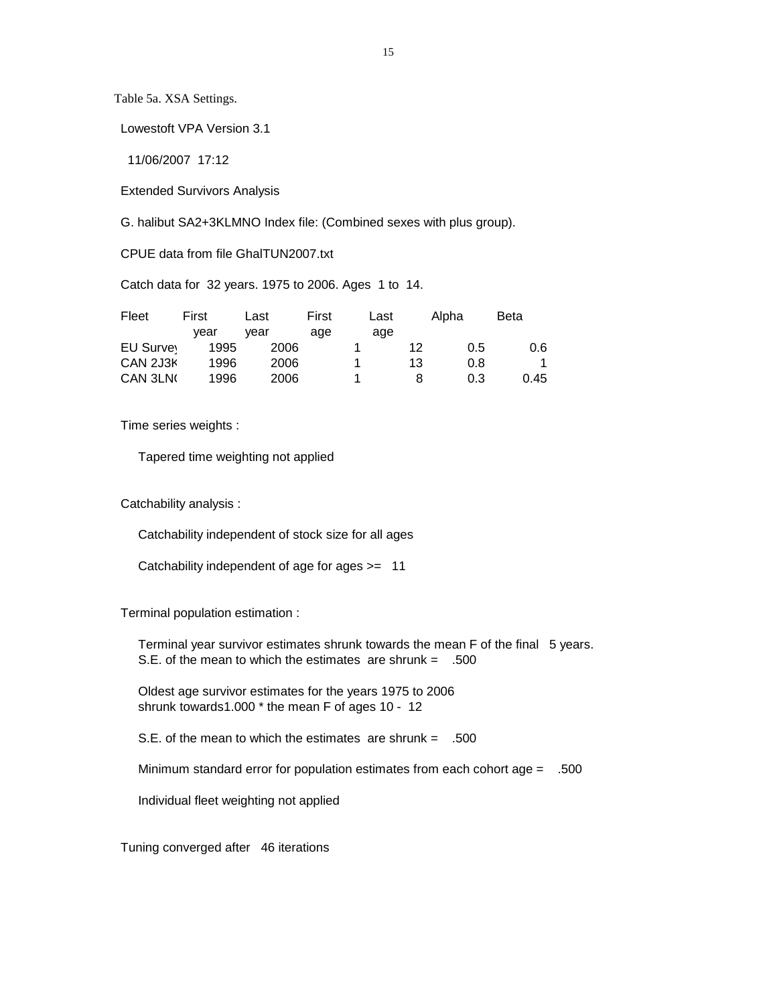Table 5a. XSA Settings.

Lowestoft VPA Version 3.1

11/06/2007 17:12

Extended Survivors Analysis

G. halibut SA2+3KLMNO Index file: (Combined sexes with plus group).

CPUE data from file GhalTUN2007.txt

Catch data for 32 years. 1975 to 2006. Ages 1 to 14.

| Fleet     | First | Last | First | Last |    | Alpha | <b>Beta</b> |
|-----------|-------|------|-------|------|----|-------|-------------|
|           | vear  | vear | age   | age  |    |       |             |
| EU Survey | 1995  | 2006 |       |      | 12 | 0.5   | 0.6         |
| CAN 2J3K  | 1996  | 2006 |       |      | 13 | 0.8   | 4           |
| CAN 3LN   | 1996  | 2006 |       |      |    | 0.3   | 0.45        |

Time series weights :

Tapered time weighting not applied

Catchability analysis :

Catchability independent of stock size for all ages

Catchability independent of age for ages >= 11

Terminal population estimation :

 Terminal year survivor estimates shrunk towards the mean F of the final 5 years. S.E. of the mean to which the estimates are shrunk  $=$  .500

 Oldest age survivor estimates for the years 1975 to 2006 shrunk towards1.000 \* the mean F of ages 10 - 12

S.E. of the mean to which the estimates are shrunk = .500

Minimum standard error for population estimates from each cohort age = .500

Individual fleet weighting not applied

Tuning converged after 46 iterations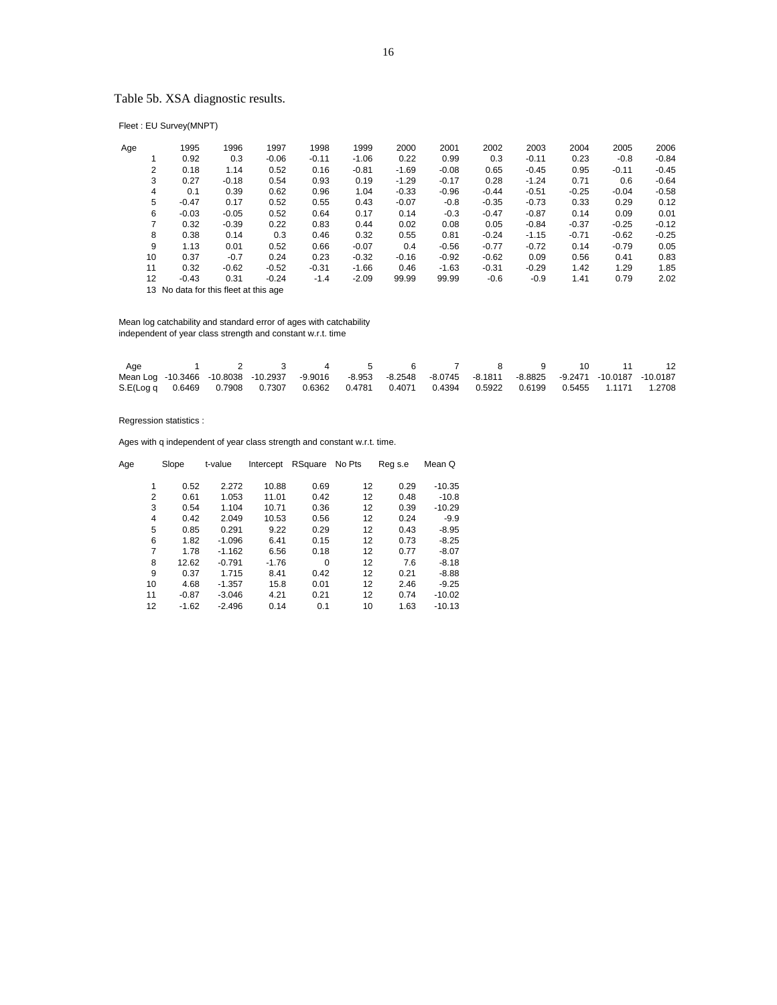## Table 5b. XSA diagnostic results.

Fleet : EU Survey(MNPT)

| Age | 1995    | 1996    | 1997    | 1998    | 1999    | 2000    | 2001    | 2002    | 2003    | 2004    | 2005    | 2006    |
|-----|---------|---------|---------|---------|---------|---------|---------|---------|---------|---------|---------|---------|
|     | 0.92    | 0.3     | $-0.06$ | $-0.11$ | $-1.06$ | 0.22    | 0.99    | 0.3     | $-0.11$ | 0.23    | $-0.8$  | $-0.84$ |
| 2   | 0.18    | 1.14    | 0.52    | 0.16    | $-0.81$ | $-1.69$ | $-0.08$ | 0.65    | $-0.45$ | 0.95    | $-0.11$ | $-0.45$ |
| 3   | 0.27    | $-0.18$ | 0.54    | 0.93    | 0.19    | $-1.29$ | $-0.17$ | 0.28    | $-1.24$ | 0.71    | 0.6     | $-0.64$ |
| 4   | 0.1     | 0.39    | 0.62    | 0.96    | 1.04    | $-0.33$ | $-0.96$ | $-0.44$ | $-0.51$ | $-0.25$ | $-0.04$ | $-0.58$ |
| 5   | $-0.47$ | 0.17    | 0.52    | 0.55    | 0.43    | $-0.07$ | $-0.8$  | $-0.35$ | $-0.73$ | 0.33    | 0.29    | 0.12    |
| 6   | $-0.03$ | $-0.05$ | 0.52    | 0.64    | 0.17    | 0.14    | $-0.3$  | $-0.47$ | $-0.87$ | 0.14    | 0.09    | 0.01    |
| 7   | 0.32    | $-0.39$ | 0.22    | 0.83    | 0.44    | 0.02    | 0.08    | 0.05    | $-0.84$ | $-0.37$ | $-0.25$ | $-0.12$ |
| 8   | 0.38    | 0.14    | 0.3     | 0.46    | 0.32    | 0.55    | 0.81    | $-0.24$ | $-1.15$ | $-0.71$ | $-0.62$ | $-0.25$ |
| 9   | 1.13    | 0.01    | 0.52    | 0.66    | $-0.07$ | 0.4     | $-0.56$ | $-0.77$ | $-0.72$ | 0.14    | $-0.79$ | 0.05    |
| 10  | 0.37    | $-0.7$  | 0.24    | 0.23    | $-0.32$ | $-0.16$ | $-0.92$ | $-0.62$ | 0.09    | 0.56    | 0.41    | 0.83    |
| 11  | 0.32    | $-0.62$ | $-0.52$ | $-0.31$ | $-1.66$ | 0.46    | $-1.63$ | $-0.31$ | $-0.29$ | 1.42    | 1.29    | 1.85    |
| 12  | $-0.43$ | 0.31    | $-0.24$ | $-1.4$  | $-2.09$ | 99.99   | 99.99   | $-0.6$  | $-0.9$  | 1.41    | 0.79    | 2.02    |

13 No data for this fleet at this age

 Mean log catchability and standard error of ages with catchability independent of year class strength and constant w.r.t. time

| Age |  | $\mathbf{3}$ | $\sim$ 4                                                                                                     | $5^{\circ}$ | 6 |  | 7 8 9 10 |  | 12 |
|-----|--|--------------|--------------------------------------------------------------------------------------------------------------|-------------|---|--|----------|--|----|
|     |  |              | Mean Log -10.3466 -10.8038 -10.2937 -9.9016 -8.953 -8.2548 -8.0745 -8.1811 -8.8825 -9.2471 -10.0187 -10.0187 |             |   |  |          |  |    |
|     |  |              | S.E(Log q 0.6469 0.7908 0.7307 0.6362 0.4781 0.4071 0.4394 0.5922 0.6199 0.5455 1.1171 1.2708                |             |   |  |          |  |    |

Regression statistics :

Ages with q independent of year class strength and constant w.r.t. time.

| Age | Slope      | t-value  | Intercept | RSquare  | No Pts | Reg s.e | Mean Q   |
|-----|------------|----------|-----------|----------|--------|---------|----------|
|     | 0.52<br>1  | 2.272    | 10.88     | 0.69     | 12     | 0.29    | $-10.35$ |
|     | 2<br>0.61  | 1.053    | 11.01     | 0.42     | 12     | 0.48    | $-10.8$  |
|     | 3<br>0.54  | 1.104    | 10.71     | 0.36     | 12     | 0.39    | $-10.29$ |
|     | 0.42<br>4  | 2.049    | 10.53     | 0.56     | 12     | 0.24    | $-9.9$   |
|     | 5<br>0.85  | 0.291    | 9.22      | 0.29     | 12     | 0.43    | $-8.95$  |
|     | 6<br>1.82  | $-1.096$ | 6.41      | 0.15     | 12     | 0.73    | $-8.25$  |
|     | 7<br>1.78  | $-1.162$ | 6.56      | 0.18     | 12     | 0.77    | $-8.07$  |
|     | 8<br>12.62 | $-0.791$ | $-1.76$   | $\Omega$ | 12     | 7.6     | $-8.18$  |
|     | 9<br>0.37  | 1.715    | 8.41      | 0.42     | 12     | 0.21    | $-8.88$  |
| 10  | 4.68       | $-1.357$ | 15.8      | 0.01     | 12     | 2.46    | $-9.25$  |
| 11  | $-0.87$    | $-3.046$ | 4.21      | 0.21     | 12     | 0.74    | $-10.02$ |
| 12  | $-1.62$    | $-2.496$ | 0.14      | 0.1      | 10     | 1.63    | $-10.13$ |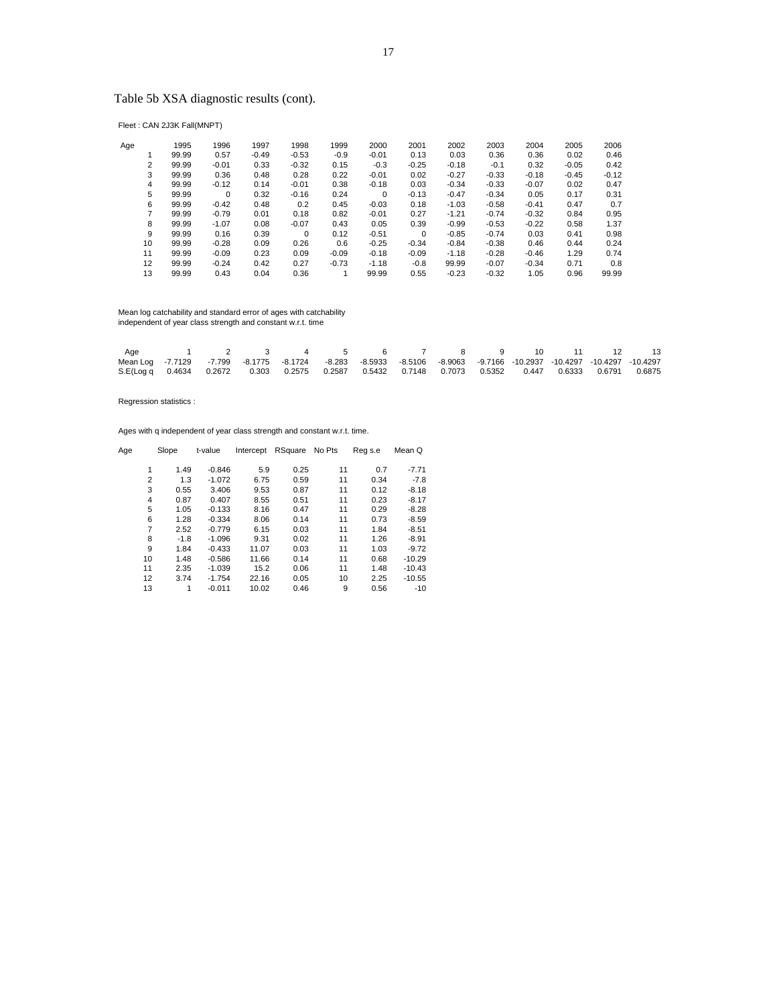## Table 5b XSA diagnostic results (cont).

Fleet : CAN 2J3K Fall(MNPT)

| Age |    | 1995  | 1996    | 1997    | 1998    | 1999    | 2000     | 2001        | 2002    | 2003    | 2004    | 2005    | 2006    |
|-----|----|-------|---------|---------|---------|---------|----------|-------------|---------|---------|---------|---------|---------|
|     |    | 99.99 | 0.57    | $-0.49$ | $-0.53$ | $-0.9$  | $-0.01$  | 0.13        | 0.03    | 0.36    | 0.36    | 0.02    | 0.46    |
|     | 2  | 99.99 | $-0.01$ | 0.33    | $-0.32$ | 0.15    | $-0.3$   | $-0.25$     | $-0.18$ | $-0.1$  | 0.32    | $-0.05$ | 0.42    |
|     | 3  | 99.99 | 0.36    | 0.48    | 0.28    | 0.22    | $-0.01$  | 0.02        | $-0.27$ | $-0.33$ | $-0.18$ | $-0.45$ | $-0.12$ |
|     | 4  | 99.99 | $-0.12$ | 0.14    | $-0.01$ | 0.38    | $-0.18$  | 0.03        | $-0.34$ | $-0.33$ | $-0.07$ | 0.02    | 0.47    |
|     | 5  | 99.99 | 0       | 0.32    | $-0.16$ | 0.24    | $\Omega$ | $-0.13$     | $-0.47$ | $-0.34$ | 0.05    | 0.17    | 0.31    |
|     | 6  | 99.99 | $-0.42$ | 0.48    | 0.2     | 0.45    | $-0.03$  | 0.18        | $-1.03$ | $-0.58$ | $-0.41$ | 0.47    | 0.7     |
|     | 7  | 99.99 | $-0.79$ | 0.01    | 0.18    | 0.82    | $-0.01$  | 0.27        | $-1.21$ | $-0.74$ | $-0.32$ | 0.84    | 0.95    |
|     | 8  | 99.99 | $-1.07$ | 0.08    | $-0.07$ | 0.43    | 0.05     | 0.39        | $-0.99$ | $-0.53$ | $-0.22$ | 0.58    | 1.37    |
|     | 9  | 99.99 | 0.16    | 0.39    | 0       | 0.12    | $-0.51$  | $\mathbf 0$ | $-0.85$ | $-0.74$ | 0.03    | 0.41    | 0.98    |
|     | 10 | 99.99 | $-0.28$ | 0.09    | 0.26    | 0.6     | $-0.25$  | $-0.34$     | $-0.84$ | $-0.38$ | 0.46    | 0.44    | 0.24    |
|     | 11 | 99.99 | $-0.09$ | 0.23    | 0.09    | $-0.09$ | $-0.18$  | $-0.09$     | $-1.18$ | $-0.28$ | $-0.46$ | 1.29    | 0.74    |
|     | 12 | 99.99 | $-0.24$ | 0.42    | 0.27    | $-0.73$ | $-1.18$  | $-0.8$      | 99.99   | $-0.07$ | $-0.34$ | 0.71    | 0.8     |
|     | 13 | 99.99 | 0.43    | 0.04    | 0.36    |         | 99.99    | 0.55        | $-0.23$ | $-0.32$ | 1.05    | 0.96    | 99.99   |

Mean log catchability and standard error of ages with catchability independent of year class strength and constant w.r.t. time

| Age                                                                                                                |  | 1 2 3 4 5 6 7 8 9 10 11 12 13 |  |  |  |  |  |
|--------------------------------------------------------------------------------------------------------------------|--|-------------------------------|--|--|--|--|--|
| Mean Log -7.7129 -7.799 -8.1775 -8.1724 -8.283 -8.5933 -8.5106 -8.9063 -9.7166 -10.2937 -10.4297 -10.4297 -10.4297 |  |                               |  |  |  |  |  |
| S.E(Log q 0.4634 0.2672 0.303 0.2575 0.2587 0.5432 0.7148 0.7073 0.5352 0.447 0.6333 0.6791 0.6875                 |  |                               |  |  |  |  |  |

Regression statistics :

Ages with q independent of year class strength and constant w.r.t. time.

| Age            | Slope  | t-value  | Intercept | RSquare | No Pts | Reg s.e | Mean Q   |
|----------------|--------|----------|-----------|---------|--------|---------|----------|
|                |        |          |           |         |        |         |          |
| 1              | 1.49   | $-0.846$ | 5.9       | 0.25    | 11     | 0.7     | $-7.71$  |
| $\overline{2}$ | 1.3    | $-1.072$ | 6.75      | 0.59    | 11     | 0.34    | $-7.8$   |
| 3              | 0.55   | 3.406    | 9.53      | 0.87    | 11     | 0.12    | $-8.18$  |
| 4              | 0.87   | 0.407    | 8.55      | 0.51    | 11     | 0.23    | $-8.17$  |
| 5              | 1.05   | $-0.133$ | 8.16      | 0.47    | 11     | 0.29    | $-8.28$  |
| 6              | 1.28   | $-0.334$ | 8.06      | 0.14    | 11     | 0.73    | $-8.59$  |
| 7              | 2.52   | $-0.779$ | 6.15      | 0.03    | 11     | 1.84    | $-8.51$  |
| 8              | $-1.8$ | $-1.096$ | 9.31      | 0.02    | 11     | 1.26    | $-8.91$  |
| 9              | 1.84   | $-0.433$ | 11.07     | 0.03    | 11     | 1.03    | $-9.72$  |
| 10             | 1.48   | $-0.586$ | 11.66     | 0.14    | 11     | 0.68    | $-10.29$ |
| 11             | 2.35   | $-1.039$ | 15.2      | 0.06    | 11     | 1.48    | $-10.43$ |
| 12             | 3.74   | $-1.754$ | 22.16     | 0.05    | 10     | 2.25    | $-10.55$ |
| 13             | 1      | $-0.011$ | 10.02     | 0.46    | 9      | 0.56    | $-10$    |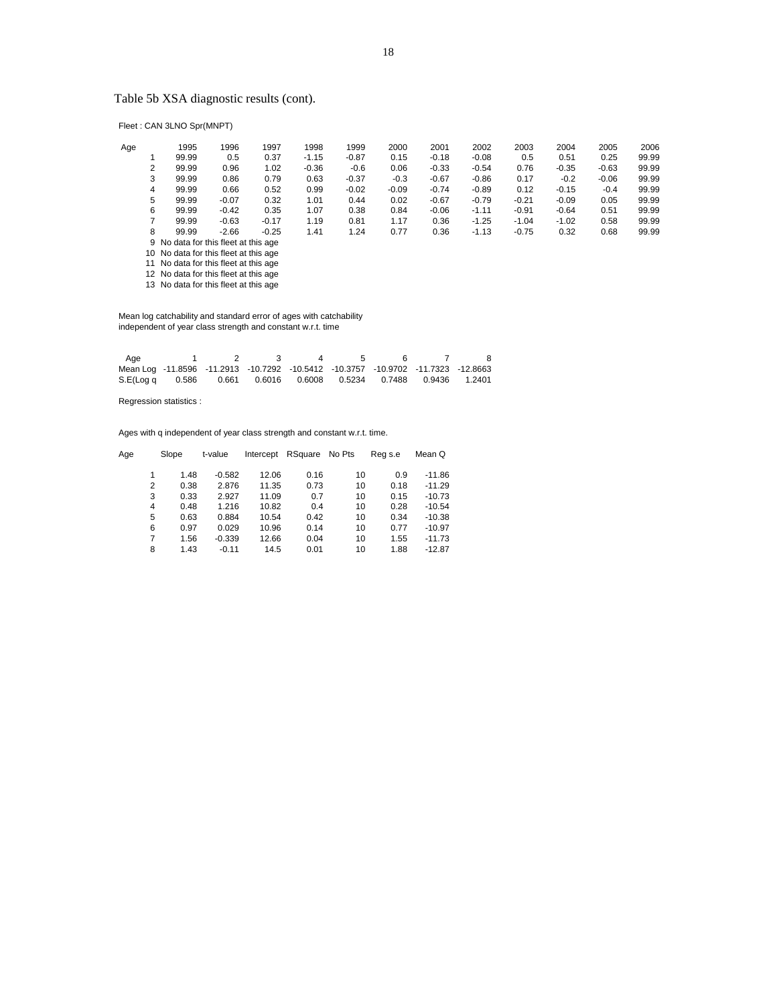## Table 5b XSA diagnostic results (cont).

Fleet : CAN 3LNO Spr(MNPT)

| Age |   | 1995                                                      | 1996    | 1997    | 1998    | 1999    | 2000    | 2001    | 2002    | 2003    | 2004    | 2005    | 2006  |
|-----|---|-----------------------------------------------------------|---------|---------|---------|---------|---------|---------|---------|---------|---------|---------|-------|
|     |   | 99.99                                                     | 0.5     | 0.37    | $-1.15$ | $-0.87$ | 0.15    | $-0.18$ | $-0.08$ | 0.5     | 0.51    | 0.25    | 99.99 |
|     | 2 | 99.99                                                     | 0.96    | 1.02    | $-0.36$ | $-0.6$  | 0.06    | $-0.33$ | $-0.54$ | 0.76    | $-0.35$ | $-0.63$ | 99.99 |
|     | 3 | 99.99                                                     | 0.86    | 0.79    | 0.63    | $-0.37$ | $-0.3$  | $-0.67$ | $-0.86$ | 0.17    | $-0.2$  | $-0.06$ | 99.99 |
|     | 4 | 99.99                                                     | 0.66    | 0.52    | 0.99    | $-0.02$ | $-0.09$ | $-0.74$ | $-0.89$ | 0.12    | $-0.15$ | $-0.4$  | 99.99 |
|     | 5 | 99.99                                                     | $-0.07$ | 0.32    | 1.01    | 0.44    | 0.02    | $-0.67$ | $-0.79$ | $-0.21$ | $-0.09$ | 0.05    | 99.99 |
|     | 6 | 99.99                                                     | $-0.42$ | 0.35    | 1.07    | 0.38    | 0.84    | $-0.06$ | $-1.11$ | $-0.91$ | $-0.64$ | 0.51    | 99.99 |
|     |   | 99.99                                                     | $-0.63$ | $-0.17$ | 1.19    | 0.81    | 1.17    | 0.36    | $-1.25$ | $-1.04$ | $-1.02$ | 0.58    | 99.99 |
|     | 8 | 99.99                                                     | $-2.66$ | $-0.25$ | 1.41    | 1.24    | 0.77    | 0.36    | $-1.13$ | $-0.75$ | 0.32    | 0.68    | 99.99 |
|     |   | 9 No data for this fleet at this age                      |         |         |         |         |         |         |         |         |         |         |       |
|     |   | $A \bigcap A$ is also formalize the standard state of $A$ |         |         |         |         |         |         |         |         |         |         |       |

10 No data for this fleet at this age 11 No data for this fleet at this age 12 No data for this fleet at this age 13 No data for this fleet at this age

 Mean log catchability and standard error of ages with catchability independent of year class strength and constant w.r.t. time

| Aae                                                                              |  | $\mathbf{R}$ | $\overline{a}$ |  |  |
|----------------------------------------------------------------------------------|--|--------------|----------------|--|--|
| Mean Log -11.8596 -11.2913 -10.7292 -10.5412 -10.3757 -10.9702 -11.7323 -12.8663 |  |              |                |  |  |
| S.E(Log q 0.586 0.661 0.6016 0.6008 0.5234 0.7488 0.9436 1.2401                  |  |              |                |  |  |

Regression statistics :

Ages with q independent of year class strength and constant w.r.t. time.

| Age |   | Slope | t-value  | Intercept | RSquare | No Pts | Reg s.e | Mean Q   |
|-----|---|-------|----------|-----------|---------|--------|---------|----------|
|     |   |       |          |           |         |        |         |          |
|     |   | 1.48  | $-0.582$ | 12.06     | 0.16    | 10     | 0.9     | $-11.86$ |
|     | 2 | 0.38  | 2.876    | 11.35     | 0.73    | 10     | 0.18    | $-11.29$ |
|     | 3 | 0.33  | 2.927    | 11.09     | 0.7     | 10     | 0.15    | $-10.73$ |
|     | 4 | 0.48  | 1.216    | 10.82     | 0.4     | 10     | 0.28    | $-10.54$ |
|     | 5 | 0.63  | 0.884    | 10.54     | 0.42    | 10     | 0.34    | $-10.38$ |
|     | 6 | 0.97  | 0.029    | 10.96     | 0.14    | 10     | 0.77    | $-10.97$ |
|     | 7 | 1.56  | $-0.339$ | 12.66     | 0.04    | 10     | 1.55    | $-11.73$ |
|     | 8 | 1.43  | $-0.11$  | 14.5      | 0.01    | 10     | 1.88    | $-12.87$ |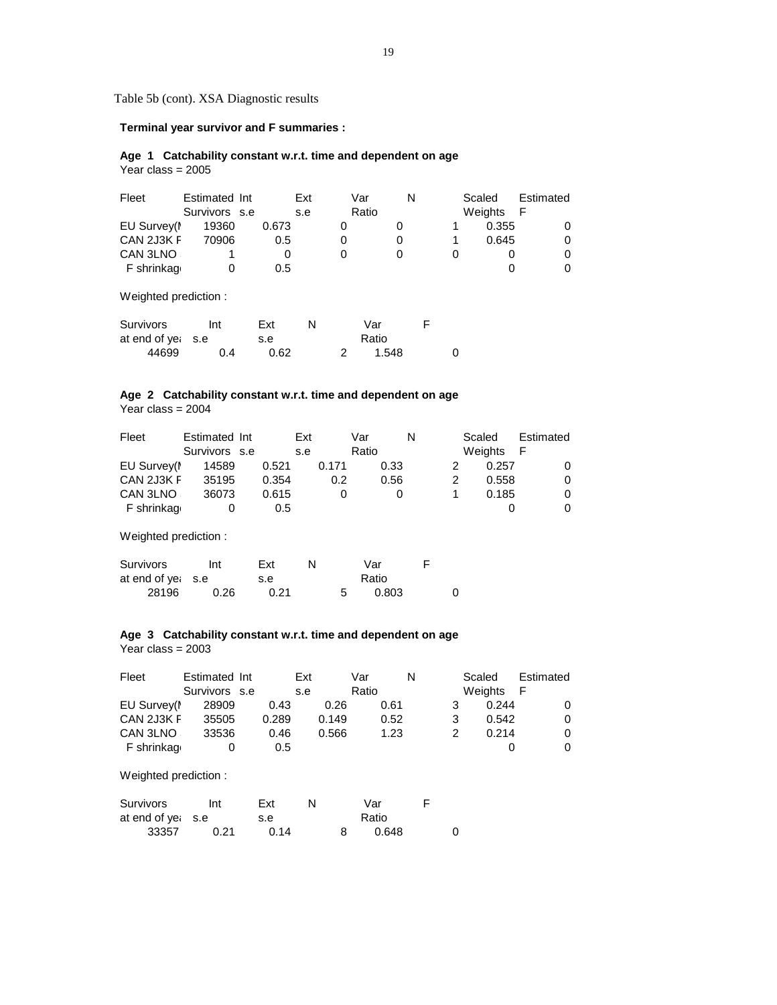Table 5b (cont). XSA Diagnostic results

 **Terminal year survivor and F summaries :**

### **Age 1 Catchability constant w.r.t. time and dependent on age** Year class =  $2005$

| Fleet      | Estimated Int<br>Survivors s.e |       | Ext<br>s.e | Var<br>Ratio | N | Scaled<br>Weights | Estimated<br>- F |
|------------|--------------------------------|-------|------------|--------------|---|-------------------|------------------|
| EU Survey( | 19360                          | 0.673 |            | 0            |   | 0.355             |                  |
| CAN 2J3K F | 70906                          | 0.5   |            | 0            |   | 0.645             |                  |
| CAN 3LNO   |                                |       |            | 0            |   | O                 |                  |
| F shrinkag | 0                              | 0.5   |            |              |   | O                 |                  |
|            |                                |       |            |              |   |                   |                  |

Weighted prediction :

| Survivors         | Int | Ext  |  | Var   |  |
|-------------------|-----|------|--|-------|--|
| at end of yet s.e |     | s.e  |  | Ratio |  |
| 44699             | በ 4 | 0.62 |  | 1.548 |  |

# **Age 2 Catchability constant w.r.t. time and dependent on age**

Year class = 2004

| Fleet       | Estimated Int |       | Ext |       | Var   |      | N | Scaled  | Estimated |
|-------------|---------------|-------|-----|-------|-------|------|---|---------|-----------|
|             | Survivors s.e |       | s.e |       | Ratio |      |   | Weights | - F       |
| EU Survey(I | 14589         | 0.521 |     | 0.171 |       | 0.33 |   | 0.257   |           |
| CAN 2J3K F  | 35195         | 0.354 |     | 0.2   |       | 0.56 |   | 0.558   |           |
| CAN 3LNO    | 36073         | 0.615 |     |       |       |      |   | 0.185   |           |
| F shrinkag  |               |       | 0.5 |       |       |      |   |         |           |

Weighted prediction :

| Survivors         | Int  | Ext  |  | Var   |  |
|-------------------|------|------|--|-------|--|
| at end of yet s.e |      | s.e  |  | Ratio |  |
| 28196             | 0.26 | 0.21 |  | 0.803 |  |

## **Age 3 Catchability constant w.r.t. time and dependent on age**

Year class = 2003

| Fleet       | Estimated Int |       | Ext   | Var   | N | Scaled  |       | Estimated |
|-------------|---------------|-------|-------|-------|---|---------|-------|-----------|
|             | Survivors s.e |       | s.e   | Ratio |   | Weights | - F   |           |
| EU Survey(I | 28909         | 0.43  | 0.26  | 0.61  |   |         | 0.244 |           |
| CAN 2J3K F  | 35505         | 0.289 | 0.149 | 0.52  |   |         | 0.542 |           |
| CAN 3LNO    | 33536         | 0.46  | 0.566 | 1.23  |   |         | 0.214 |           |
| F shrinkaq  |               | 0.5   |       |       |   |         |       |           |

| Survivors         | Int  | Ext  |  | Var   |  |
|-------------------|------|------|--|-------|--|
| at end of yet s.e |      | s.e  |  | Ratio |  |
| 33357             | 0.21 | 0.14 |  | 0.648 |  |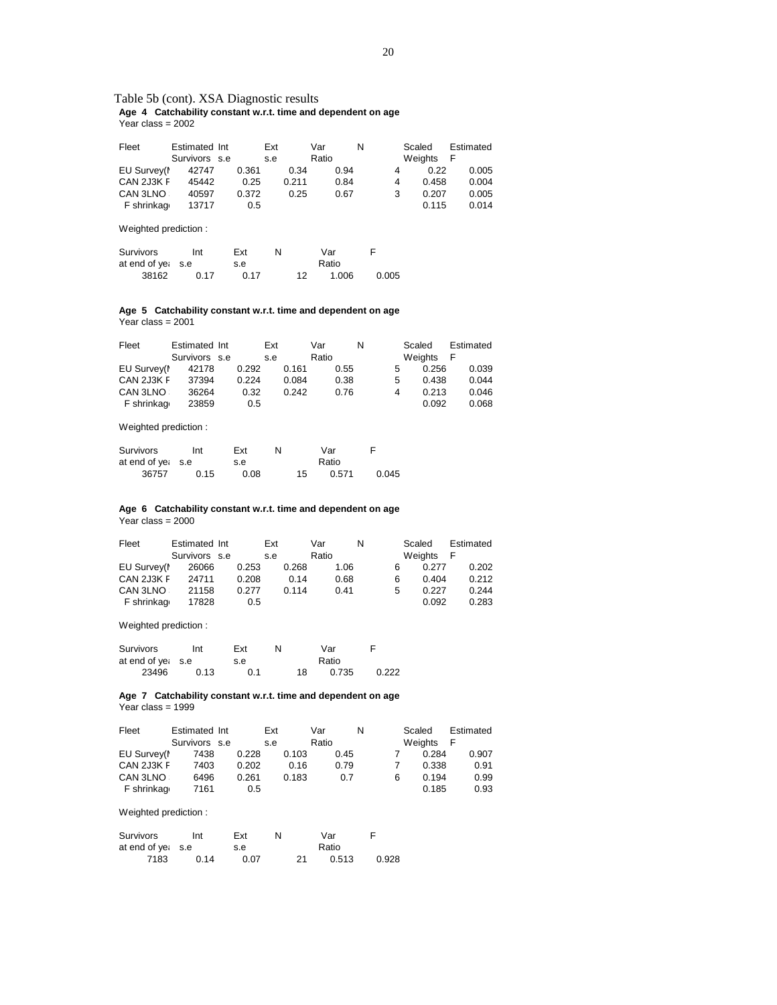#### Table 5b (cont). XSA Diagnostic results  **Age 4 Catchability constant w.r.t. time and dependent on age** Year class = 2002

| Fleet       | Estimated Int<br>Survivors s.e |       | Ext<br>s.e | Var<br>Ratio | N | Scaled<br>Weights | Estimated |
|-------------|--------------------------------|-------|------------|--------------|---|-------------------|-----------|
| EU Survey(I | 42747                          | 0.361 | 0.34       | 0.94         | 4 | 0.22              | 0.005     |
| CAN 2J3K F  | 45442                          | 0.25  | 0.211      | 0.84         | 4 | 0.458             | 0.004     |
| CAN 3LNO    | 40597                          | 0.372 | 0.25       | 0.67         | 3 | 0.207             | 0.005     |
| F shrinkag  | 13717                          | 0.5   |            |              |   | 0.115             | 0.014     |

Weighted prediction :

| Survivors         | Int  | Ext  | N |    | Var   |       |
|-------------------|------|------|---|----|-------|-------|
| at end of yet s.e |      | s.e  |   |    | Ratio |       |
| 38162             | 0.17 | 0.17 |   | 12 | 1.006 | 0.005 |

#### **Age 5 Catchability constant w.r.t. time and dependent on age** Year class = 2001

| Fleet       | Estimated Int |       | Ext |       | Var   |      | N |   | Scaled  | Estimated |  |
|-------------|---------------|-------|-----|-------|-------|------|---|---|---------|-----------|--|
|             | Survivors s.e |       | s.e |       | Ratio |      |   |   | Weights | -F        |  |
| EU Survey(I | 42178         | 0.292 |     | 0.161 |       | 0.55 |   | 5 | 0.256   | 0.039     |  |
| CAN 2J3K F  | 37394         | 0.224 |     | 0.084 |       | 0.38 |   | 5 | 0.438   | 0.044     |  |
| CAN 3LNO    | 36264         | 0.32  |     | 0.242 |       | 0.76 |   | 4 | 0.213   | 0.046     |  |
| F shrinkag  | 23859         | 0.5   |     |       |       |      |   |   | 0.092   | 0.068     |  |

Weighted prediction :

| Survivors         | Int  | Ext  | N |    | Var   |       |
|-------------------|------|------|---|----|-------|-------|
| at end of yet s.e |      | s.e  |   |    | Ratio |       |
| 36757             | 0.15 | 0.08 |   | 15 | 0.571 | 0.045 |

#### **Age 6 Catchability constant w.r.t. time and dependent on age** Year class = 2000

| Fleet       | Estimated Int |       | Ext |       | Var   |      | N |   | Scaled |         |     | Estimated |
|-------------|---------------|-------|-----|-------|-------|------|---|---|--------|---------|-----|-----------|
|             | Survivors s.e |       | s.e |       | Ratio |      |   |   |        | Weights | - F |           |
| EU Survey(I | 26066         | 0.253 |     | 0.268 |       | 1.06 |   |   |        | 0.277   |     | 0.202     |
| CAN 2J3K F  | 24711         | 0.208 |     | 0.14  |       | 0.68 |   | 6 |        | 0.404   |     | 0.212     |
| CAN 3LNO    | 21158         | 0.277 |     | 0.114 |       | 0.41 |   | 5 |        | 0.227   |     | 0.244     |
| F shrinkag  | 17828         | 0.5   |     |       |       |      |   |   |        | 0.092   |     | 0.283     |

Weighted prediction :

| Survivors         | Int  | Ext |    | Var   |       |
|-------------------|------|-----|----|-------|-------|
| at end of yet s.e |      | s.e |    | Ratio |       |
| 23496             | 0.13 | 0.1 | 18 | 0.735 | 0.222 |

#### **Age 7 Catchability constant w.r.t. time and dependent on age** Year class = 1999

| Fleet       | Estimated Int |       | Ext |       | Var   |      | N |   | Scaled         |       |   | Estimated |
|-------------|---------------|-------|-----|-------|-------|------|---|---|----------------|-------|---|-----------|
|             | Survivors s.e |       | s.e |       | Ratio |      |   |   | <b>Weights</b> |       | F |           |
| EU Survey(I | 7438          | 0.228 |     | 0.103 |       | 0.45 |   |   |                | 0.284 |   | 0.907     |
| CAN 2J3K F  | 7403          | 0.202 |     | 0.16  |       | 0.79 |   |   |                | 0.338 |   | 0.91      |
| CAN 3LNO    | 6496          | 0.261 |     | 0.183 |       | 0.7  |   | 6 |                | 0.194 |   | 0.99      |
| F shrinkag  | 7161          | 0.5   |     |       |       |      |   |   |                | 0.185 |   | 0.93      |

| Survivors         | Int  | Ext  | N |    | Var   |       |
|-------------------|------|------|---|----|-------|-------|
| at end of yet s.e |      | s.e  |   |    | Ratio |       |
| 7183              | 0.14 | 0.07 |   | 21 | 0.513 | 0.928 |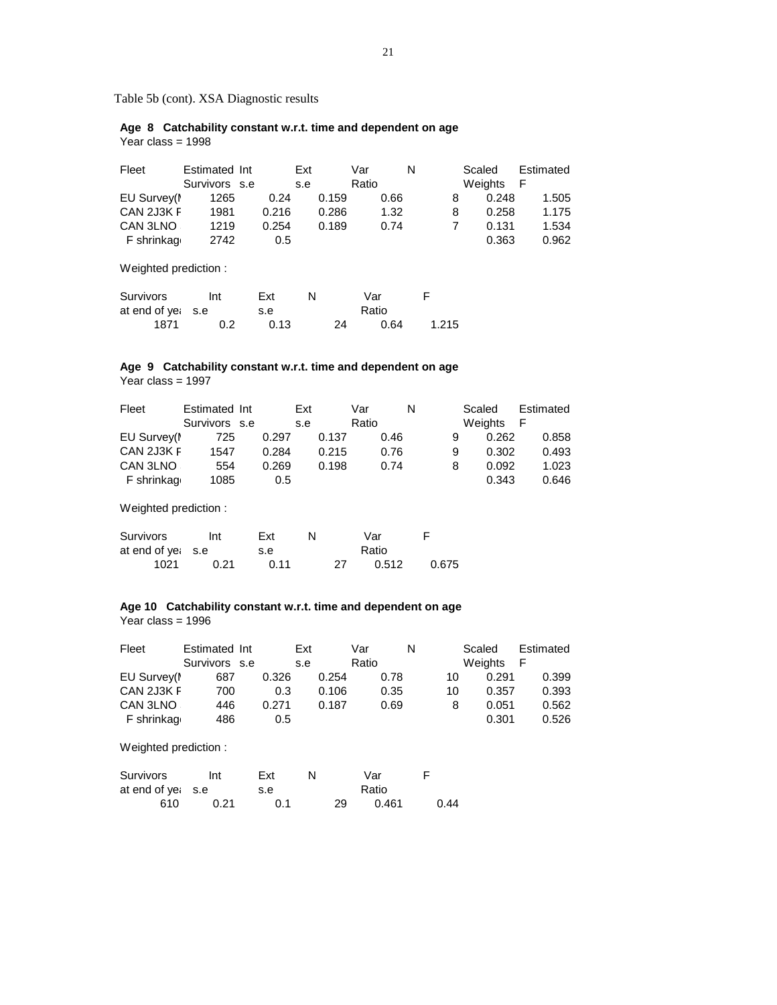Table 5b (cont). XSA Diagnostic results

 **Age 8 Catchability constant w.r.t. time and dependent on age** Year class = 1998

| Fleet       | Estimated Int |       | Ext   | Var   | N | Scaled  | Estimated |
|-------------|---------------|-------|-------|-------|---|---------|-----------|
|             | Survivors s.e |       | s.e   | Ratio |   | Weights | F         |
| EU Survey(I | 1265          | 0.24  | 0.159 | 0.66  |   | 0.248   | 1.505     |
| CAN 2J3K F  | 1981          | 0.216 | 0.286 | 1.32  | 8 | 0.258   | 1.175     |
| CAN 3LNO    | 1219          | 0.254 | 0.189 | 0.74  |   | 0.131   | 1.534     |
| F shrinkag  | 2742          | 0.5   |       |       |   | 0.363   | 0.962     |

Weighted prediction :

| Survivors         | Int | Ext  |    | Var   |       |
|-------------------|-----|------|----|-------|-------|
| at end of yet s.e |     | s.e  |    | Ratio |       |
| 1871              | 0.2 | 0.13 | 24 | 0.64  | 1.215 |

## **Age 9 Catchability constant w.r.t. time and dependent on age**

Year class = 1997

| Fleet       | Estimated Int | Ext   |       | Var   |      | N |   | Scaled  | Estimated |
|-------------|---------------|-------|-------|-------|------|---|---|---------|-----------|
|             | Survivors s.e | s.e   |       | Ratio |      |   |   | Weights | - F       |
| EU Survey(I | 725           | 0.297 | 0.137 |       | 0.46 |   | 9 | 0.262   | 0.858     |
| CAN 2J3K F  | 1547          | 0.284 | 0.215 |       | 0.76 |   | 9 | 0.302   | 0.493     |
| CAN 3LNO    | 554           | 0.269 | 0.198 |       | 0.74 |   | 8 | 0.092   | 1.023     |
| F shrinkag  | 1085          | 0.5   |       |       |      |   |   | 0.343   | 0.646     |

Weighted prediction :

| Survivors         | Int  | Ext  |    | Var   |       |
|-------------------|------|------|----|-------|-------|
| at end of yet s.e |      | s.e  |    | Ratio |       |
| 1021              | 0.21 | 0.11 | 27 | 0.512 | 0.675 |

## **Age 10 Catchability constant w.r.t. time and dependent on age** Year class = 1996

| Fleet       | Estimated Int |       | Ext   | Var   | N  | Scaled  | Estimated |
|-------------|---------------|-------|-------|-------|----|---------|-----------|
|             | Survivors s.e |       | s.e   | Ratio |    | Weights | F         |
| EU Survey(I | 687           | 0.326 | 0.254 | 0.78  | 10 | 0.291   | 0.399     |
| CAN 2J3K F  | 700           | 0.3   | 0.106 | 0.35  | 10 | 0.357   | 0.393     |
| CAN 3LNO    | 446           | 0.271 | 0.187 | 0.69  | 8  | 0.051   | 0.562     |
| F shrinkaq  | 486           | 0.5   |       |       |    | 0.301   | 0.526     |

| Survivors         | Int  | Ext | N |    | Var   |      |
|-------------------|------|-----|---|----|-------|------|
| at end of yet s.e |      | s.e |   |    | Ratio |      |
| 610               | 0.21 | 0.1 |   | 29 | 0.461 | 0.44 |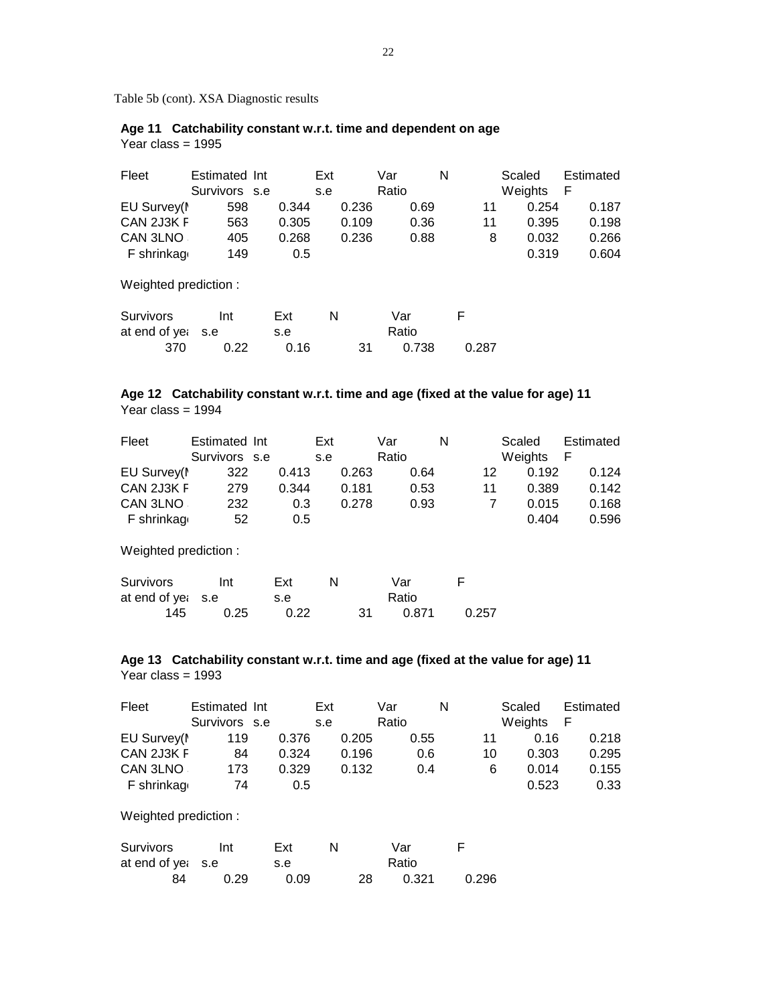Table 5b (cont). XSA Diagnostic results

## **Age 11 Catchability constant w.r.t. time and dependent on age** Year class = 1995

 Fleet Estimated Int Ext Var N Scaled Estimated Survivors s.e s.e Ratio Meights F EU Survey(M 598 0.344 0.236 0.69 11 0.254 0.187 CAN 2J3K F 563 0.305 0.109 0.36 11 0.395 0.198 CAN 3LNO S 405 0.268 0.236 0.88 8 0.032 0.266 F shrinkage 149 0.5 0.319 0.604

Weighted prediction :

| Survivors           | Int  | Ext  | N |     | Var   |       |
|---------------------|------|------|---|-----|-------|-------|
| at end of year. s.e |      | s.e  |   |     | Ratio |       |
| 370                 | 0.22 | 0.16 |   | -31 | 0.738 | 0.287 |

## **Age 12 Catchability constant w.r.t. time and age (fixed at the value for age) 11** Year class = 1994

| Fleet       | Estimated Int |       | Ext          | Var   | N  | Scaled  | Estimated |
|-------------|---------------|-------|--------------|-------|----|---------|-----------|
|             | Survivors s.e |       | s.e          | Ratio |    | Weights | E         |
| EU Survey(M | 322           | 0.413 | 0.263        | 0.64  | 12 | 0.192   | 0.124     |
| CAN 2J3K F  | 279           | 0.344 | 0.181        | 0.53  | 11 | 0.389   | 0.142     |
| CAN 3LNO    | 232           |       | 0.278<br>0.3 | 0.93  |    | 0.015   | 0.168     |
| F shrinkage | 52            |       | 0.5          |       |    | 0.404   | 0.596     |

Weighted prediction :

| Survivors           | Int  | Ext  | N |     | Var   | F     |
|---------------------|------|------|---|-----|-------|-------|
| at end of year. s.e |      | s.e  |   |     | Ratio |       |
| 145                 | 0.25 | 0.22 |   | -31 | 0.871 | 0.257 |

## **Age 13 Catchability constant w.r.t. time and age (fixed at the value for age) 11** Year class = 1993

| Fleet       | Estimated Int |       | Ext   | Var   | N  | Scaled  | Estimated |
|-------------|---------------|-------|-------|-------|----|---------|-----------|
|             | Survivors s.e |       | s.e   | Ratio |    | Weights | -F        |
| EU Survey(M | 119           | 0.376 | 0.205 | 0.55  |    | 0.16    | 0.218     |
| CAN 2J3K F  | 84            | 0.324 | 0.196 | 0.6   | 10 | 0.303   | 0.295     |
| CAN 3LNO    | 173           | 0.329 | 0.132 | 0.4   | 6  | 0.014   | 0.155     |
| F shrinkage | 74            | 0.5   |       |       |    | 0.523   | 0.33      |

| Survivors         | Int  | Ext  |     | Var   |       |  |
|-------------------|------|------|-----|-------|-------|--|
| at end of yet s.e |      | s.e  |     | Ratio |       |  |
| 84                | 0.29 | 0.09 | 28. | 0.321 | 0.296 |  |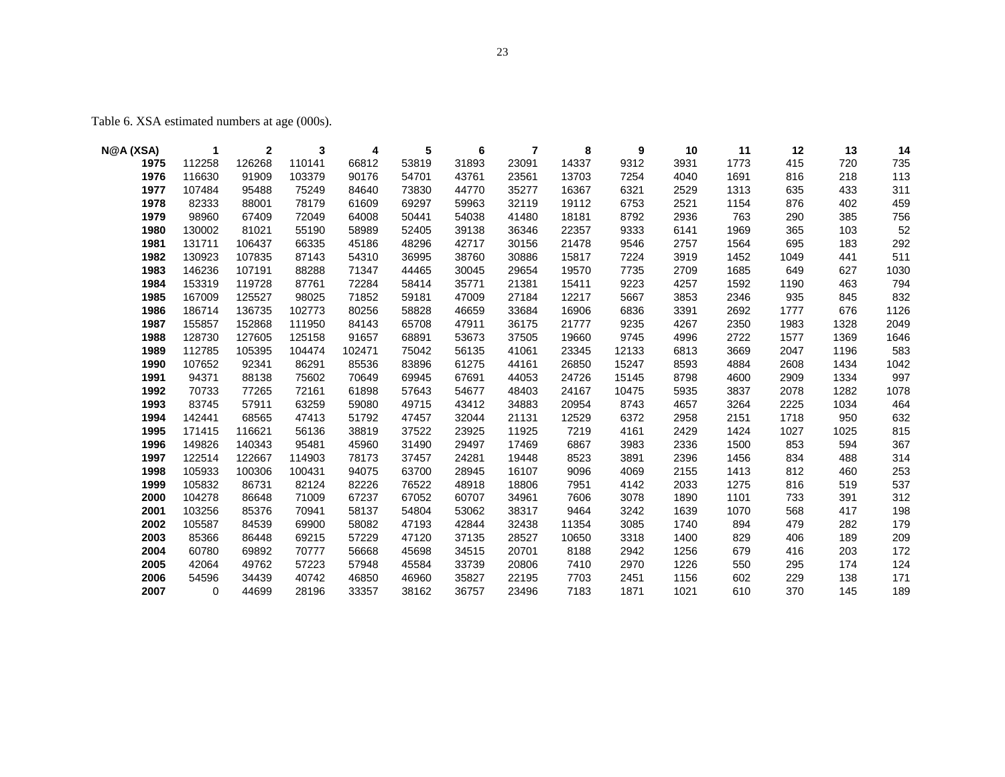Table 6. XSA estimated numbers at age (000s).

| N@A (XSA) | 1           | 2      | 3      | 4      | 5     | 6     | 7     | 8     | 9     | 10   | 11   | 12   | 13   | 14   |
|-----------|-------------|--------|--------|--------|-------|-------|-------|-------|-------|------|------|------|------|------|
| 1975      | 112258      | 126268 | 110141 | 66812  | 53819 | 31893 | 23091 | 14337 | 9312  | 3931 | 1773 | 415  | 720  | 735  |
| 1976      | 116630      | 91909  | 103379 | 90176  | 54701 | 43761 | 23561 | 13703 | 7254  | 4040 | 1691 | 816  | 218  | 113  |
| 1977      | 107484      | 95488  | 75249  | 84640  | 73830 | 44770 | 35277 | 16367 | 6321  | 2529 | 1313 | 635  | 433  | 311  |
| 1978      | 82333       | 88001  | 78179  | 61609  | 69297 | 59963 | 32119 | 19112 | 6753  | 2521 | 1154 | 876  | 402  | 459  |
| 1979      | 98960       | 67409  | 72049  | 64008  | 50441 | 54038 | 41480 | 18181 | 8792  | 2936 | 763  | 290  | 385  | 756  |
| 1980      | 130002      | 81021  | 55190  | 58989  | 52405 | 39138 | 36346 | 22357 | 9333  | 6141 | 1969 | 365  | 103  | 52   |
| 1981      | 131711      | 106437 | 66335  | 45186  | 48296 | 42717 | 30156 | 21478 | 9546  | 2757 | 1564 | 695  | 183  | 292  |
| 1982      | 130923      | 107835 | 87143  | 54310  | 36995 | 38760 | 30886 | 15817 | 7224  | 3919 | 1452 | 1049 | 441  | 511  |
| 1983      | 146236      | 107191 | 88288  | 71347  | 44465 | 30045 | 29654 | 19570 | 7735  | 2709 | 1685 | 649  | 627  | 1030 |
| 1984      | 153319      | 119728 | 87761  | 72284  | 58414 | 35771 | 21381 | 15411 | 9223  | 4257 | 1592 | 1190 | 463  | 794  |
| 1985      | 167009      | 125527 | 98025  | 71852  | 59181 | 47009 | 27184 | 12217 | 5667  | 3853 | 2346 | 935  | 845  | 832  |
| 1986      | 186714      | 136735 | 102773 | 80256  | 58828 | 46659 | 33684 | 16906 | 6836  | 3391 | 2692 | 1777 | 676  | 1126 |
| 1987      | 155857      | 152868 | 111950 | 84143  | 65708 | 47911 | 36175 | 21777 | 9235  | 4267 | 2350 | 1983 | 1328 | 2049 |
| 1988      | 128730      | 127605 | 125158 | 91657  | 68891 | 53673 | 37505 | 19660 | 9745  | 4996 | 2722 | 1577 | 1369 | 1646 |
| 1989      | 112785      | 105395 | 104474 | 102471 | 75042 | 56135 | 41061 | 23345 | 12133 | 6813 | 3669 | 2047 | 1196 | 583  |
| 1990      | 107652      | 92341  | 86291  | 85536  | 83896 | 61275 | 44161 | 26850 | 15247 | 8593 | 4884 | 2608 | 1434 | 1042 |
| 1991      | 94371       | 88138  | 75602  | 70649  | 69945 | 67691 | 44053 | 24726 | 15145 | 8798 | 4600 | 2909 | 1334 | 997  |
| 1992      | 70733       | 77265  | 72161  | 61898  | 57643 | 54677 | 48403 | 24167 | 10475 | 5935 | 3837 | 2078 | 1282 | 1078 |
| 1993      | 83745       | 57911  | 63259  | 59080  | 49715 | 43412 | 34883 | 20954 | 8743  | 4657 | 3264 | 2225 | 1034 | 464  |
| 1994      | 142441      | 68565  | 47413  | 51792  | 47457 | 32044 | 21131 | 12529 | 6372  | 2958 | 2151 | 1718 | 950  | 632  |
| 1995      | 171415      | 116621 | 56136  | 38819  | 37522 | 23925 | 11925 | 7219  | 4161  | 2429 | 1424 | 1027 | 1025 | 815  |
| 1996      | 149826      | 140343 | 95481  | 45960  | 31490 | 29497 | 17469 | 6867  | 3983  | 2336 | 1500 | 853  | 594  | 367  |
| 1997      | 122514      | 122667 | 114903 | 78173  | 37457 | 24281 | 19448 | 8523  | 3891  | 2396 | 1456 | 834  | 488  | 314  |
| 1998      | 105933      | 100306 | 100431 | 94075  | 63700 | 28945 | 16107 | 9096  | 4069  | 2155 | 1413 | 812  | 460  | 253  |
| 1999      | 105832      | 86731  | 82124  | 82226  | 76522 | 48918 | 18806 | 7951  | 4142  | 2033 | 1275 | 816  | 519  | 537  |
| 2000      | 104278      | 86648  | 71009  | 67237  | 67052 | 60707 | 34961 | 7606  | 3078  | 1890 | 1101 | 733  | 391  | 312  |
| 2001      | 103256      | 85376  | 70941  | 58137  | 54804 | 53062 | 38317 | 9464  | 3242  | 1639 | 1070 | 568  | 417  | 198  |
| 2002      | 105587      | 84539  | 69900  | 58082  | 47193 | 42844 | 32438 | 11354 | 3085  | 1740 | 894  | 479  | 282  | 179  |
| 2003      | 85366       | 86448  | 69215  | 57229  | 47120 | 37135 | 28527 | 10650 | 3318  | 1400 | 829  | 406  | 189  | 209  |
| 2004      | 60780       | 69892  | 70777  | 56668  | 45698 | 34515 | 20701 | 8188  | 2942  | 1256 | 679  | 416  | 203  | 172  |
| 2005      | 42064       | 49762  | 57223  | 57948  | 45584 | 33739 | 20806 | 7410  | 2970  | 1226 | 550  | 295  | 174  | 124  |
| 2006      | 54596       | 34439  | 40742  | 46850  | 46960 | 35827 | 22195 | 7703  | 2451  | 1156 | 602  | 229  | 138  | 171  |
| 2007      | $\mathbf 0$ | 44699  | 28196  | 33357  | 38162 | 36757 | 23496 | 7183  | 1871  | 1021 | 610  | 370  | 145  | 189  |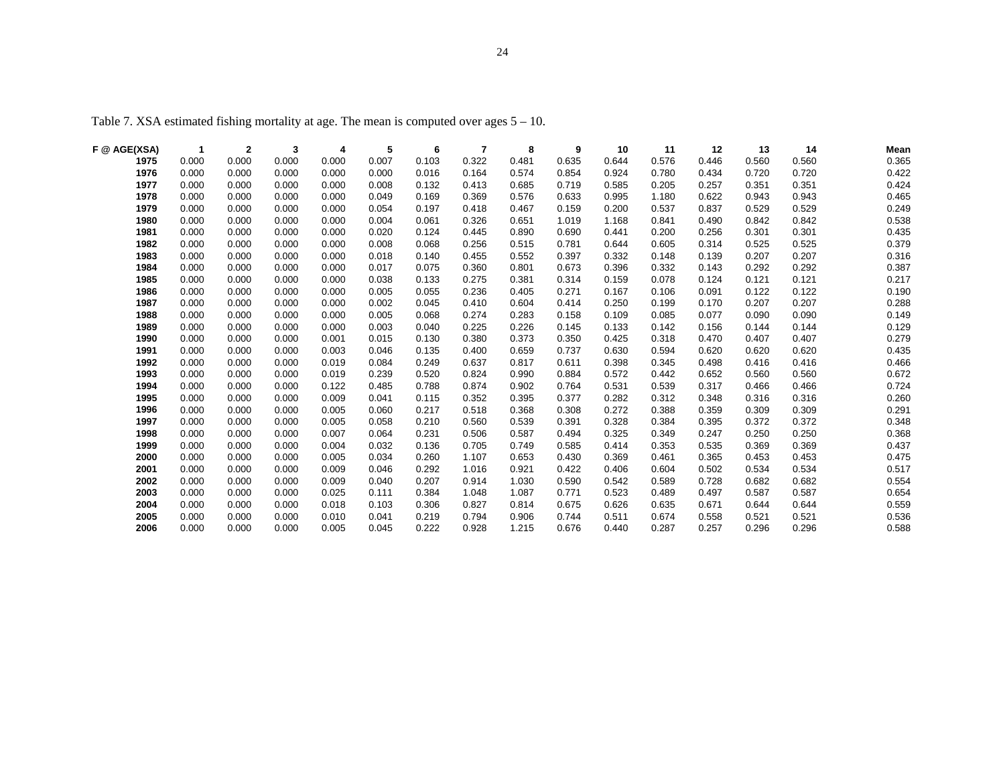| F @ AGE(XSA) | -1    | $\mathbf{2}$ | 3     | 4     | 5     | 6     | 7     | 8     | 9     | 10    | 11    | 12    | 13    | 14    | Mean  |
|--------------|-------|--------------|-------|-------|-------|-------|-------|-------|-------|-------|-------|-------|-------|-------|-------|
| 1975         | 0.000 | 0.000        | 0.000 | 0.000 | 0.007 | 0.103 | 0.322 | 0.481 | 0.635 | 0.644 | 0.576 | 0.446 | 0.560 | 0.560 | 0.365 |
| 1976         | 0.000 | 0.000        | 0.000 | 0.000 | 0.000 | 0.016 | 0.164 | 0.574 | 0.854 | 0.924 | 0.780 | 0.434 | 0.720 | 0.720 | 0.422 |
| 1977         | 0.000 | 0.000        | 0.000 | 0.000 | 0.008 | 0.132 | 0.413 | 0.685 | 0.719 | 0.585 | 0.205 | 0.257 | 0.351 | 0.351 | 0.424 |
| 1978         | 0.000 | 0.000        | 0.000 | 0.000 | 0.049 | 0.169 | 0.369 | 0.576 | 0.633 | 0.995 | 1.180 | 0.622 | 0.943 | 0.943 | 0.465 |
| 1979         | 0.000 | 0.000        | 0.000 | 0.000 | 0.054 | 0.197 | 0.418 | 0.467 | 0.159 | 0.200 | 0.537 | 0.837 | 0.529 | 0.529 | 0.249 |
| 1980         | 0.000 | 0.000        | 0.000 | 0.000 | 0.004 | 0.061 | 0.326 | 0.651 | 1.019 | 1.168 | 0.841 | 0.490 | 0.842 | 0.842 | 0.538 |
| 1981         | 0.000 | 0.000        | 0.000 | 0.000 | 0.020 | 0.124 | 0.445 | 0.890 | 0.690 | 0.441 | 0.200 | 0.256 | 0.301 | 0.301 | 0.435 |
| 1982         | 0.000 | 0.000        | 0.000 | 0.000 | 0.008 | 0.068 | 0.256 | 0.515 | 0.781 | 0.644 | 0.605 | 0.314 | 0.525 | 0.525 | 0.379 |
| 1983         | 0.000 | 0.000        | 0.000 | 0.000 | 0.018 | 0.140 | 0.455 | 0.552 | 0.397 | 0.332 | 0.148 | 0.139 | 0.207 | 0.207 | 0.316 |
| 1984         | 0.000 | 0.000        | 0.000 | 0.000 | 0.017 | 0.075 | 0.360 | 0.801 | 0.673 | 0.396 | 0.332 | 0.143 | 0.292 | 0.292 | 0.387 |
| 1985         | 0.000 | 0.000        | 0.000 | 0.000 | 0.038 | 0.133 | 0.275 | 0.381 | 0.314 | 0.159 | 0.078 | 0.124 | 0.121 | 0.121 | 0.217 |
| 1986         | 0.000 | 0.000        | 0.000 | 0.000 | 0.005 | 0.055 | 0.236 | 0.405 | 0.271 | 0.167 | 0.106 | 0.091 | 0.122 | 0.122 | 0.190 |
| 1987         | 0.000 | 0.000        | 0.000 | 0.000 | 0.002 | 0.045 | 0.410 | 0.604 | 0.414 | 0.250 | 0.199 | 0.170 | 0.207 | 0.207 | 0.288 |
| 1988         | 0.000 | 0.000        | 0.000 | 0.000 | 0.005 | 0.068 | 0.274 | 0.283 | 0.158 | 0.109 | 0.085 | 0.077 | 0.090 | 0.090 | 0.149 |
| 1989         | 0.000 | 0.000        | 0.000 | 0.000 | 0.003 | 0.040 | 0.225 | 0.226 | 0.145 | 0.133 | 0.142 | 0.156 | 0.144 | 0.144 | 0.129 |
| 1990         | 0.000 | 0.000        | 0.000 | 0.001 | 0.015 | 0.130 | 0.380 | 0.373 | 0.350 | 0.425 | 0.318 | 0.470 | 0.407 | 0.407 | 0.279 |
| 1991         | 0.000 | 0.000        | 0.000 | 0.003 | 0.046 | 0.135 | 0.400 | 0.659 | 0.737 | 0.630 | 0.594 | 0.620 | 0.620 | 0.620 | 0.435 |
| 1992         | 0.000 | 0.000        | 0.000 | 0.019 | 0.084 | 0.249 | 0.637 | 0.817 | 0.611 | 0.398 | 0.345 | 0.498 | 0.416 | 0.416 | 0.466 |
| 1993         | 0.000 | 0.000        | 0.000 | 0.019 | 0.239 | 0.520 | 0.824 | 0.990 | 0.884 | 0.572 | 0.442 | 0.652 | 0.560 | 0.560 | 0.672 |
| 1994         | 0.000 | 0.000        | 0.000 | 0.122 | 0.485 | 0.788 | 0.874 | 0.902 | 0.764 | 0.531 | 0.539 | 0.317 | 0.466 | 0.466 | 0.724 |
| 1995         | 0.000 | 0.000        | 0.000 | 0.009 | 0.041 | 0.115 | 0.352 | 0.395 | 0.377 | 0.282 | 0.312 | 0.348 | 0.316 | 0.316 | 0.260 |
| 1996         | 0.000 | 0.000        | 0.000 | 0.005 | 0.060 | 0.217 | 0.518 | 0.368 | 0.308 | 0.272 | 0.388 | 0.359 | 0.309 | 0.309 | 0.291 |
| 1997         | 0.000 | 0.000        | 0.000 | 0.005 | 0.058 | 0.210 | 0.560 | 0.539 | 0.391 | 0.328 | 0.384 | 0.395 | 0.372 | 0.372 | 0.348 |
| 1998         | 0.000 | 0.000        | 0.000 | 0.007 | 0.064 | 0.231 | 0.506 | 0.587 | 0.494 | 0.325 | 0.349 | 0.247 | 0.250 | 0.250 | 0.368 |
| 1999         | 0.000 | 0.000        | 0.000 | 0.004 | 0.032 | 0.136 | 0.705 | 0.749 | 0.585 | 0.414 | 0.353 | 0.535 | 0.369 | 0.369 | 0.437 |
| 2000         | 0.000 | 0.000        | 0.000 | 0.005 | 0.034 | 0.260 | 1.107 | 0.653 | 0.430 | 0.369 | 0.461 | 0.365 | 0.453 | 0.453 | 0.475 |
| 2001         | 0.000 | 0.000        | 0.000 | 0.009 | 0.046 | 0.292 | 1.016 | 0.921 | 0.422 | 0.406 | 0.604 | 0.502 | 0.534 | 0.534 | 0.517 |
| 2002         | 0.000 | 0.000        | 0.000 | 0.009 | 0.040 | 0.207 | 0.914 | 1.030 | 0.590 | 0.542 | 0.589 | 0.728 | 0.682 | 0.682 | 0.554 |
| 2003         | 0.000 | 0.000        | 0.000 | 0.025 | 0.111 | 0.384 | 1.048 | 1.087 | 0.771 | 0.523 | 0.489 | 0.497 | 0.587 | 0.587 | 0.654 |
| 2004         | 0.000 | 0.000        | 0.000 | 0.018 | 0.103 | 0.306 | 0.827 | 0.814 | 0.675 | 0.626 | 0.635 | 0.671 | 0.644 | 0.644 | 0.559 |
| 2005         | 0.000 | 0.000        | 0.000 | 0.010 | 0.041 | 0.219 | 0.794 | 0.906 | 0.744 | 0.511 | 0.674 | 0.558 | 0.521 | 0.521 | 0.536 |
| 2006         | 0.000 | 0.000        | 0.000 | 0.005 | 0.045 | 0.222 | 0.928 | 1.215 | 0.676 | 0.440 | 0.287 | 0.257 | 0.296 | 0.296 | 0.588 |

Table 7. XSA estimated fishing mortality at age. The mean is computed over ages 5 – 10.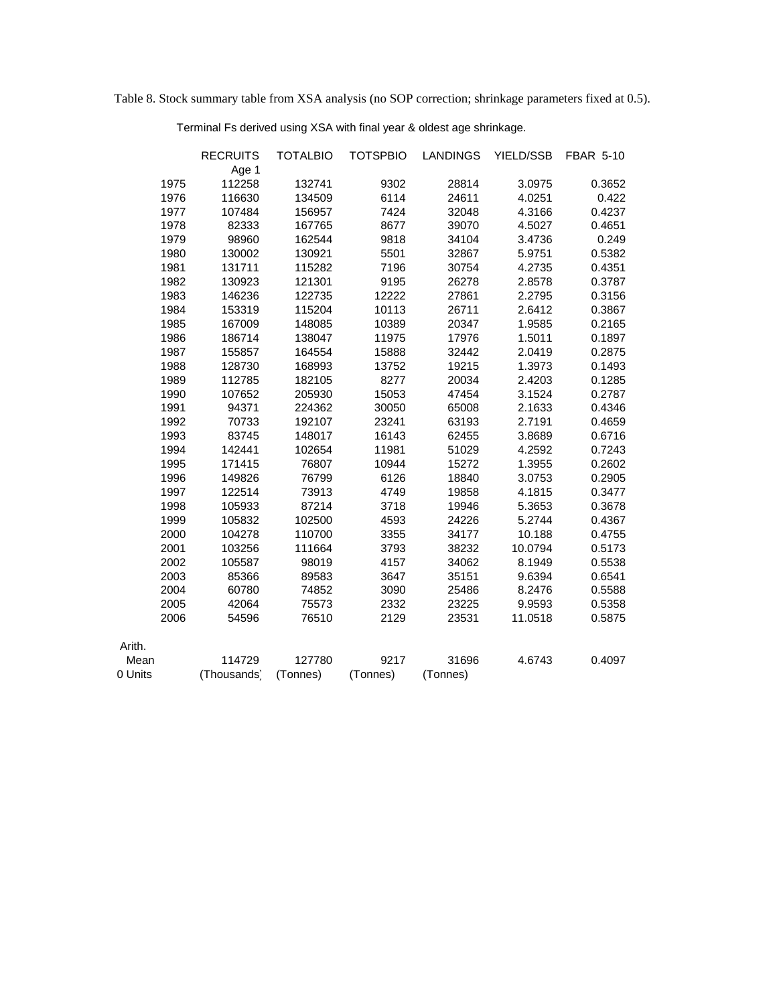Table 8. Stock summary table from XSA analysis (no SOP correction; shrinkage parameters fixed at 0.5).

Terminal Fs derived using XSA with final year & oldest age shrinkage.

|         |      | <b>RECRUITS</b> | <b>TOTALBIO</b> | <b>TOTSPBIO</b> | <b>LANDINGS</b> | YIELD/SSB | <b>FBAR 5-10</b> |
|---------|------|-----------------|-----------------|-----------------|-----------------|-----------|------------------|
|         |      | Age 1           |                 |                 |                 |           |                  |
|         | 1975 | 112258          | 132741          | 9302            | 28814           | 3.0975    | 0.3652           |
|         | 1976 | 116630          | 134509          | 6114            | 24611           | 4.0251    | 0.422            |
|         | 1977 | 107484          | 156957          | 7424            | 32048           | 4.3166    | 0.4237           |
|         | 1978 | 82333           | 167765          | 8677            | 39070           | 4.5027    | 0.4651           |
|         | 1979 | 98960           | 162544          | 9818            | 34104           | 3.4736    | 0.249            |
|         | 1980 | 130002          | 130921          | 5501            | 32867           | 5.9751    | 0.5382           |
|         | 1981 | 131711          | 115282          | 7196            | 30754           | 4.2735    | 0.4351           |
|         | 1982 | 130923          | 121301          | 9195            | 26278           | 2.8578    | 0.3787           |
|         | 1983 | 146236          | 122735          | 12222           | 27861           | 2.2795    | 0.3156           |
|         | 1984 | 153319          | 115204          | 10113           | 26711           | 2.6412    | 0.3867           |
|         | 1985 | 167009          | 148085          | 10389           | 20347           | 1.9585    | 0.2165           |
|         | 1986 | 186714          | 138047          | 11975           | 17976           | 1.5011    | 0.1897           |
|         | 1987 | 155857          | 164554          | 15888           | 32442           | 2.0419    | 0.2875           |
|         | 1988 | 128730          | 168993          | 13752           | 19215           | 1.3973    | 0.1493           |
|         | 1989 | 112785          | 182105          | 8277            | 20034           | 2.4203    | 0.1285           |
|         | 1990 | 107652          | 205930          | 15053           | 47454           | 3.1524    | 0.2787           |
|         | 1991 | 94371           | 224362          | 30050           | 65008           | 2.1633    | 0.4346           |
|         | 1992 | 70733           | 192107          | 23241           | 63193           | 2.7191    | 0.4659           |
|         | 1993 | 83745           | 148017          | 16143           | 62455           | 3.8689    | 0.6716           |
|         | 1994 | 142441          | 102654          | 11981           | 51029           | 4.2592    | 0.7243           |
|         | 1995 | 171415          | 76807           | 10944           | 15272           | 1.3955    | 0.2602           |
|         | 1996 | 149826          | 76799           | 6126            | 18840           | 3.0753    | 0.2905           |
|         | 1997 | 122514          | 73913           | 4749            | 19858           | 4.1815    | 0.3477           |
|         | 1998 | 105933          | 87214           | 3718            | 19946           | 5.3653    | 0.3678           |
|         | 1999 | 105832          | 102500          | 4593            | 24226           | 5.2744    | 0.4367           |
|         | 2000 | 104278          | 110700          | 3355            | 34177           | 10.188    | 0.4755           |
|         | 2001 | 103256          | 111664          | 3793            | 38232           | 10.0794   | 0.5173           |
|         | 2002 | 105587          | 98019           | 4157            | 34062           | 8.1949    | 0.5538           |
|         | 2003 | 85366           | 89583           | 3647            | 35151           | 9.6394    | 0.6541           |
|         | 2004 | 60780           | 74852           | 3090            | 25486           | 8.2476    | 0.5588           |
|         | 2005 | 42064           | 75573           | 2332            | 23225           | 9.9593    | 0.5358           |
|         | 2006 | 54596           | 76510           | 2129            | 23531           | 11.0518   | 0.5875           |
| Arith.  |      |                 |                 |                 |                 |           |                  |
| Mean    |      | 114729          | 127780          | 9217            | 31696           | 4.6743    | 0.4097           |
| 0 Units |      | (Thousands)     | (Tonnes)        | (Tonnes)        | (Tonnes)        |           |                  |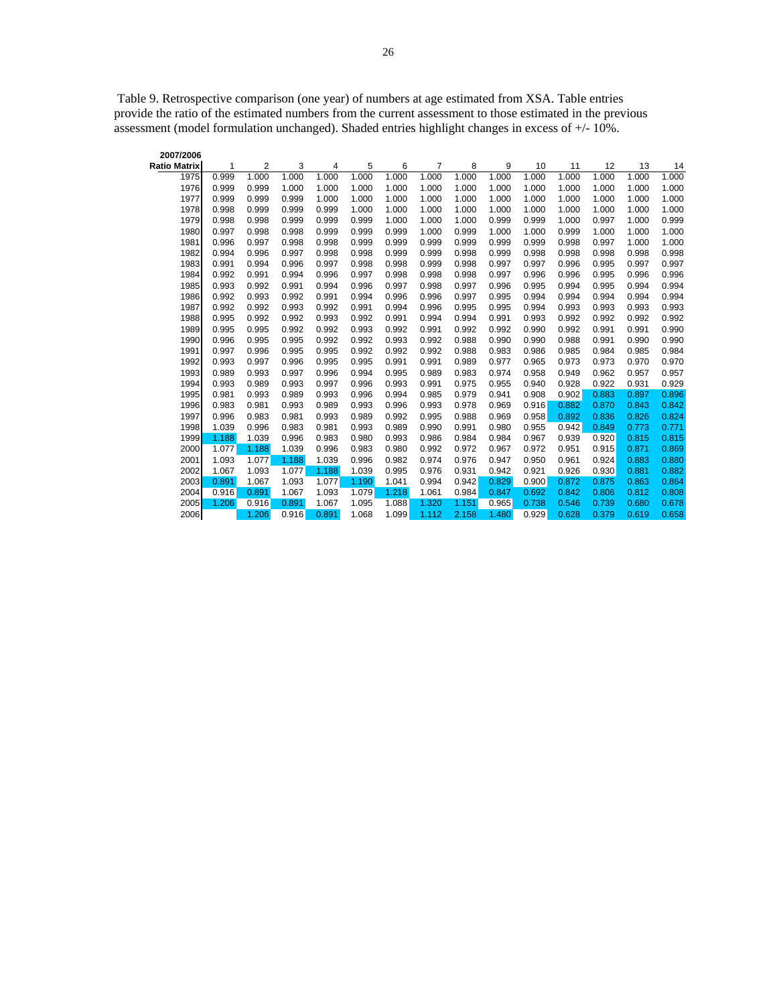Table 9. Retrospective comparison (one year) of numbers at age estimated from XSA. Table entries provide the ratio of the estimated numbers from the current assessment to those estimated in the previous assessment (model formulation unchanged). Shaded entries highlight changes in excess of +/- 10%.

| 2007/2006           |       |       |       |       |       |       |       |       |       |       |       |       |       |       |
|---------------------|-------|-------|-------|-------|-------|-------|-------|-------|-------|-------|-------|-------|-------|-------|
| <b>Ratio Matrix</b> | 1     | 2     | 3     | 4     | 5     | 6     | 7     | 8     | 9     | 10    | 11    | 12    | 13    | 14    |
| 1975                | 0.999 | 1.000 | 1.000 | 1.000 | 1.000 | 1.000 | 1.000 | 1.000 | 1.000 | 1.000 | 1.000 | 1.000 | 1.000 | 1.000 |
| 1976                | 0.999 | 0.999 | 1.000 | 1.000 | 1.000 | 1.000 | 1.000 | 1.000 | 1.000 | 1.000 | 1.000 | 1.000 | 1.000 | 1.000 |
| 1977                | 0.999 | 0.999 | 0.999 | 1.000 | 1.000 | 1.000 | 1.000 | 1.000 | 1.000 | 1.000 | 1.000 | 1.000 | 1.000 | 1.000 |
| 1978                | 0.998 | 0.999 | 0.999 | 0.999 | 1.000 | 1.000 | 1.000 | 1.000 | 1.000 | 1.000 | 1.000 | 1.000 | 1.000 | 1.000 |
| 1979                | 0.998 | 0.998 | 0.999 | 0.999 | 0.999 | 1.000 | 1.000 | 1.000 | 0.999 | 0.999 | 1.000 | 0.997 | 1.000 | 0.999 |
| 1980                | 0.997 | 0.998 | 0.998 | 0.999 | 0.999 | 0.999 | 1.000 | 0.999 | 1.000 | 1.000 | 0.999 | 1.000 | 1.000 | 1.000 |
| 1981                | 0.996 | 0.997 | 0.998 | 0.998 | 0.999 | 0.999 | 0.999 | 0.999 | 0.999 | 0.999 | 0.998 | 0.997 | 1.000 | 1.000 |
| 1982                | 0.994 | 0.996 | 0.997 | 0.998 | 0.998 | 0.999 | 0.999 | 0.998 | 0.999 | 0.998 | 0.998 | 0.998 | 0.998 | 0.998 |
| 1983                | 0.991 | 0.994 | 0.996 | 0.997 | 0.998 | 0.998 | 0.999 | 0.998 | 0.997 | 0.997 | 0.996 | 0.995 | 0.997 | 0.997 |
| 1984                | 0.992 | 0.991 | 0.994 | 0.996 | 0.997 | 0.998 | 0.998 | 0.998 | 0.997 | 0.996 | 0.996 | 0.995 | 0.996 | 0.996 |
| 1985                | 0.993 | 0.992 | 0.991 | 0.994 | 0.996 | 0.997 | 0.998 | 0.997 | 0.996 | 0.995 | 0.994 | 0.995 | 0.994 | 0.994 |
| 1986                | 0.992 | 0.993 | 0.992 | 0.991 | 0.994 | 0.996 | 0.996 | 0.997 | 0.995 | 0.994 | 0.994 | 0.994 | 0.994 | 0.994 |
| 1987                | 0.992 | 0.992 | 0.993 | 0.992 | 0.991 | 0.994 | 0.996 | 0.995 | 0.995 | 0.994 | 0.993 | 0.993 | 0.993 | 0.993 |
| 1988                | 0.995 | 0.992 | 0.992 | 0.993 | 0.992 | 0.991 | 0.994 | 0.994 | 0.991 | 0.993 | 0.992 | 0.992 | 0.992 | 0.992 |
| 1989                | 0.995 | 0.995 | 0.992 | 0.992 | 0.993 | 0.992 | 0.991 | 0.992 | 0.992 | 0.990 | 0.992 | 0.991 | 0.991 | 0.990 |
| 1990                | 0.996 | 0.995 | 0.995 | 0.992 | 0.992 | 0.993 | 0.992 | 0.988 | 0.990 | 0.990 | 0.988 | 0.991 | 0.990 | 0.990 |
| 1991                | 0.997 | 0.996 | 0.995 | 0.995 | 0.992 | 0.992 | 0.992 | 0.988 | 0.983 | 0.986 | 0.985 | 0.984 | 0.985 | 0.984 |
| 1992                | 0.993 | 0.997 | 0.996 | 0.995 | 0.995 | 0.991 | 0.991 | 0.989 | 0.977 | 0.965 | 0.973 | 0.973 | 0.970 | 0.970 |
| 1993                | 0.989 | 0.993 | 0.997 | 0.996 | 0.994 | 0.995 | 0.989 | 0.983 | 0.974 | 0.958 | 0.949 | 0.962 | 0.957 | 0.957 |
| 1994                | 0.993 | 0.989 | 0.993 | 0.997 | 0.996 | 0.993 | 0.991 | 0.975 | 0.955 | 0.940 | 0.928 | 0.922 | 0.931 | 0.929 |
| 1995                | 0.981 | 0.993 | 0.989 | 0.993 | 0.996 | 0.994 | 0.985 | 0.979 | 0.941 | 0.908 | 0.902 | 0.883 | 0.897 | 0.896 |
| 1996                | 0.983 | 0.981 | 0.993 | 0.989 | 0.993 | 0.996 | 0.993 | 0.978 | 0.969 | 0.916 | 0.882 | 0.870 | 0.843 | 0.842 |
| 1997                | 0.996 | 0.983 | 0.981 | 0.993 | 0.989 | 0.992 | 0.995 | 0.988 | 0.969 | 0.958 | 0.892 | 0.836 | 0.826 | 0.824 |
| 1998                | 1.039 | 0.996 | 0.983 | 0.981 | 0.993 | 0.989 | 0.990 | 0.991 | 0.980 | 0.955 | 0.942 | 0.849 | 0.773 | 0.771 |
| 1999                | 1.188 | 1.039 | 0.996 | 0.983 | 0.980 | 0.993 | 0.986 | 0.984 | 0.984 | 0.967 | 0.939 | 0.920 | 0.815 | 0.815 |
| 2000                | 1.077 | 1.188 | 1.039 | 0.996 | 0.983 | 0.980 | 0.992 | 0.972 | 0.967 | 0.972 | 0.951 | 0.915 | 0.871 | 0.869 |
| 2001                | 1.093 | 1.077 | 1.188 | 1.039 | 0.996 | 0.982 | 0.974 | 0.976 | 0.947 | 0.950 | 0.961 | 0.924 | 0.883 | 0.880 |
| 2002                | 1.067 | 1.093 | 1.077 | 1.188 | 1.039 | 0.995 | 0.976 | 0.931 | 0.942 | 0.921 | 0.926 | 0.930 | 0.881 | 0.882 |
| 2003                | 0.891 | 1.067 | 1.093 | 1.077 | 1.190 | 1.041 | 0.994 | 0.942 | 0.829 | 0.900 | 0.872 | 0.875 | 0.863 | 0.864 |
| 2004                | 0.916 | 0.891 | 1.067 | 1.093 | 1.079 | 1.218 | 1.061 | 0.984 | 0.847 | 0.692 | 0.842 | 0.806 | 0.812 | 0.808 |
| 2005                | 1.206 | 0.916 | 0.891 | 1.067 | 1.095 | 1.088 | 1.320 | 1.151 | 0.965 | 0.738 | 0.546 | 0.739 | 0.680 | 0.678 |
| 2006                |       | 1.206 | 0.916 | 0.891 | 1.068 | 1.099 | 1.112 | 2.158 | 1.480 | 0.929 | 0.628 | 0.379 | 0.619 | 0.658 |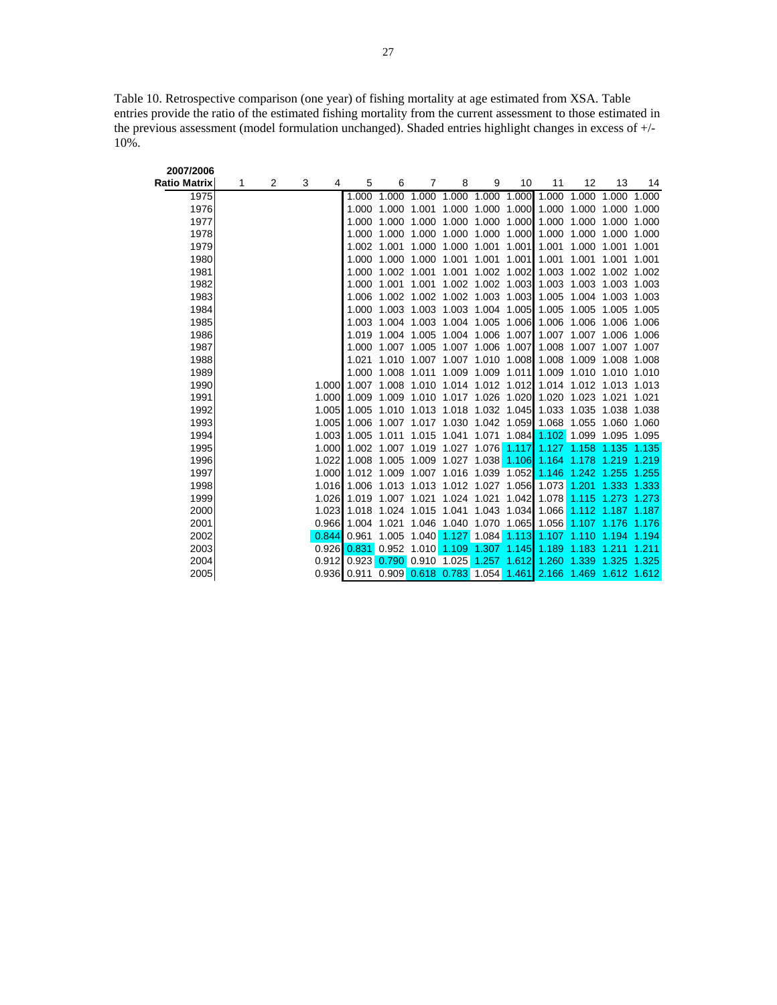Table 10. Retrospective comparison (one year) of fishing mortality at age estimated from XSA. Table entries provide the ratio of the estimated fishing mortality from the current assessment to those estimated in the previous assessment (model formulation unchanged). Shaded entries highlight changes in excess of +/- 10%.

| 2007/2006    |   |   |        |                                                                   |                                                             |             |       |                         |             |                               |                                                       |             |                   |
|--------------|---|---|--------|-------------------------------------------------------------------|-------------------------------------------------------------|-------------|-------|-------------------------|-------------|-------------------------------|-------------------------------------------------------|-------------|-------------------|
| Ratio Matrix | 1 | 2 | 3<br>4 | 5                                                                 | 6                                                           | 7           | 8     | 9                       | 10          | 11                            | 12                                                    | 13          | 14                |
| 1975         |   |   |        | 1.000                                                             | 1.000                                                       | 1.000       | 1.000 | 1.000                   | 1.000       | 1.000                         | 1.000                                                 | 1.000 1.000 |                   |
| 1976         |   |   |        | 1.000                                                             | 1.000 1.001                                                 |             | 1.000 |                         |             | 1.000 1.000 1.000 1.000       |                                                       | 1.000 1.000 |                   |
| 1977         |   |   |        | 1.000                                                             |                                                             | 1.000 1.000 | 1.000 | 1.000                   | 1.000       |                               | 1.000 1.000                                           | 1.000 1.000 |                   |
| 1978         |   |   |        | 1.000                                                             |                                                             | 1.000 1.000 | 1.000 | 1.000                   | 1.000       |                               | 1.000 1.000                                           | 1.000       | 1.000             |
| 1979         |   |   |        | 1.002                                                             | 1.001                                                       | 1.000       | 1.000 | 1.001                   | 1.001       | 1.001                         | 1.000                                                 | 1.001       | 1.001             |
| 1980         |   |   |        | 1.000                                                             |                                                             | 1.000 1.000 | 1.001 | 1.001                   | 1.001       | 1.001                         | 1.001                                                 | 1.001       | 1.001             |
| 1981         |   |   |        | 1.000                                                             | 1.002 1.001                                                 |             | 1.001 |                         |             |                               | 1.002 1.002 1.003 1.002 1.002 1.002                   |             |                   |
| 1982         |   |   |        | 1.000                                                             | 1.001                                                       | 1.001       |       | 1.002 1.002 1.003       |             |                               | 1.003 1.003 1.003 1.003                               |             |                   |
| 1983         |   |   |        | 1.006                                                             |                                                             | 1.002 1.002 |       |                         |             |                               | 1.002 1.003 1.003 1.005 1.004 1.003 1.003             |             |                   |
| 1984         |   |   |        | 1.000                                                             |                                                             | 1.003 1.003 |       | 1.003 1.004 1.005       |             |                               | 1.005 1.005 1.005 1.005                               |             |                   |
| 1985         |   |   |        | 1.003                                                             |                                                             | 1.004 1.003 | 1.004 | 1.005                   | 1.006       |                               | 1.006 1.006                                           | 1.006       | 1.006             |
| 1986         |   |   |        | 1.019                                                             |                                                             | 1.004 1.005 | 1.004 | 1.006                   | 1.007       | 1.007                         | 1.007                                                 | 1.006 1.006 |                   |
| 1987         |   |   |        | 1.000                                                             |                                                             | 1.007 1.005 | 1.007 | 1.006                   | 1.007       |                               | 1.008 1.007 1.007 1.007                               |             |                   |
| 1988         |   |   |        | 1.021                                                             |                                                             | 1.010 1.007 | 1.007 | 1.010 1.008             |             |                               | 1.008 1.009 1.008 1.008                               |             |                   |
| 1989         |   |   |        | 1.000                                                             |                                                             | 1.008 1.011 |       | 1.009 1.009 1.011       |             |                               | 1.009 1.010 1.010 1.010                               |             |                   |
| 1990         |   |   | 1.000  | 1.007                                                             |                                                             |             |       |                         |             |                               | 1.008 1.010 1.014 1.012 1.012 1.014 1.012 1.013 1.013 |             |                   |
| 1991         |   |   | 1.000  | 1.009                                                             |                                                             |             |       |                         |             |                               | 1.009 1.010 1.017 1.026 1.020 1.020 1.023 1.021       |             | 1.021             |
| 1992         |   |   | 1.005  | 1.005                                                             | 1.010 1.013 1.018 1.032 1.045                               |             |       |                         |             |                               | 1.033 1.035 1.038 1.038                               |             |                   |
| 1993         |   |   | 1.005  |                                                                   | 1.006 1.007 1.017 1.030 1.042 1.059 1.068 1.055 1.060 1.060 |             |       |                         |             |                               |                                                       |             |                   |
| 1994         |   |   | 1.003  | 1.005                                                             |                                                             | 1.011 1.015 | 1.041 |                         |             |                               | 1.071 1.084 1.102 1.099 1.095 1.095                   |             |                   |
| 1995         |   |   | 1.000  |                                                                   | 1.002 1.007 1.019                                           |             |       |                         |             | 1.027 1.076 1.117 1.127 1.158 |                                                       | 1.135 1.135 |                   |
| 1996         |   |   | 1.022  |                                                                   | 1.008 1.005 1.009                                           |             | 1.027 | 1.038                   |             | $1.106$ 1.164                 | 1.178                                                 | 1.219       | 1.219             |
| 1997         |   |   | 1.000  |                                                                   | 1.012 1.009 1.007 1.016 1.039 1.052 1.146 1.242             |             |       |                         |             |                               |                                                       | 1.255 1.255 |                   |
| 1998         |   |   | 1.016  | 1.006                                                             | 1.013 1.013                                                 |             |       | 1.012 1.027 1.056 1.073 |             |                               | 1.201                                                 | 1.333 1.333 |                   |
| 1999         |   |   | 1.026  |                                                                   | 1.019 1.007 1.021                                           |             | 1.024 | 1.021                   | 1.042       | 1.078                         | 1.115 1.273                                           |             | 1.273             |
| 2000         |   |   | 1.023  | 1.018                                                             |                                                             | 1.024 1.015 | 1.041 |                         | 1.043 1.034 | 1.066                         |                                                       |             | 1.112 1.187 1.187 |
| 2001         |   |   | 0.966  | 1.004                                                             | 1.021                                                       |             |       |                         |             |                               | 1.046 1.040 1.070 1.065 1.056 1.107 1.176 1.176       |             |                   |
| 2002         |   |   | 0.844  | 0.961                                                             |                                                             | 1.005 1.040 |       |                         |             | 1.127 1.084 1.113 1.107 1.110 |                                                       | 1.194 1.194 |                   |
| 2003         |   |   | 0.926  |                                                                   | 0.831 0.952 1.010 1.109 1.307 1.145 1.189                   |             |       |                         |             |                               | 1.183                                                 | 1.211       | 1.211             |
| 2004         |   |   |        | 0.912 0.923 0.790 0.910 1.025 1.257 1.612 1.260 1.339             |                                                             |             |       |                         |             |                               |                                                       | 1.325       | 1.325             |
| 2005         |   |   |        | 0.936 0.911 0.909 0.618 0.783 1.054 1.461 2.166 1.469 1.612 1.612 |                                                             |             |       |                         |             |                               |                                                       |             |                   |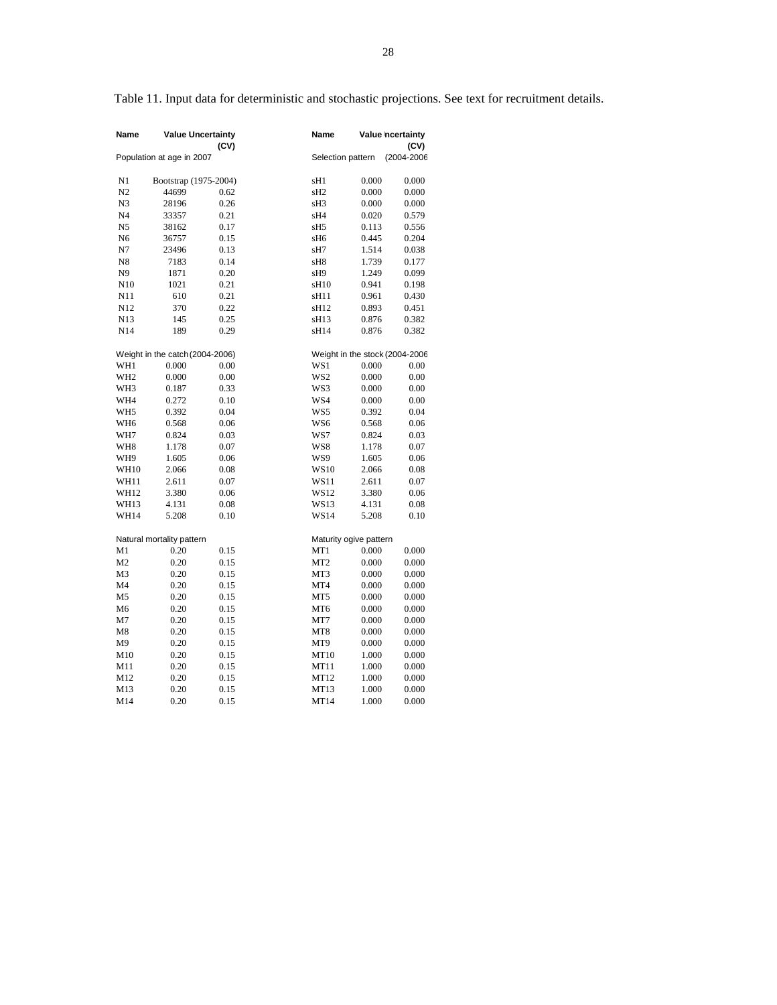Table 11. Input data for deterministic and stochastic projections. See text for recruitment details.

| Name            | <b>Value Uncertainty</b>        | (CV) | Name             |                                | Value Incertainty<br>(CV) |
|-----------------|---------------------------------|------|------------------|--------------------------------|---------------------------|
|                 | Population at age in 2007       |      |                  | Selection pattern              | (2004-2006                |
| N1              | Bootstrap (1975-2004)           |      | sH1              | 0.000                          | 0.000                     |
| N2              | 44699                           | 0.62 | sH <sub>2</sub>  | 0.000                          | 0.000                     |
| N <sub>3</sub>  | 28196                           | 0.26 | sH <sub>3</sub>  | 0.000                          | 0.000                     |
| N <sub>4</sub>  | 33357                           | 0.21 | sH4              | 0.020                          | 0.579                     |
| N5              | 38162                           | 0.17 | sH5              | 0.113                          | 0.556                     |
| N6              | 36757                           | 0.15 | sH6              | 0.445                          | 0.204                     |
| N7              | 23496                           | 0.13 | sH7              | 1.514                          | 0.038                     |
| N8              | 7183                            | 0.14 | sH8              | 1.739                          | 0.177                     |
| N <sub>9</sub>  | 1871                            | 0.20 | sH9              | 1.249                          | 0.099                     |
| N <sub>10</sub> | 1021                            | 0.21 | sH <sub>10</sub> | 0.941                          | 0.198                     |
| N11             | 610                             | 0.21 | sH11             | 0.961                          | 0.430                     |
| N12             | 370                             | 0.22 | sH12             | 0.893                          | 0.451                     |
| N13             | 145                             | 0.25 | sH <sub>13</sub> | 0.876                          | 0.382                     |
| N <sub>14</sub> | 189                             | 0.29 | sH14             | 0.876                          | 0.382                     |
|                 |                                 |      |                  |                                |                           |
|                 | Weight in the catch (2004-2006) |      |                  | Weight in the stock (2004-2006 |                           |
| WH1             | 0.000                           | 0.00 | WS1              | 0.000                          | 0.00                      |
| WH <sub>2</sub> | 0.000                           | 0.00 | WS <sub>2</sub>  | 0.000                          | 0.00                      |
| WH <sub>3</sub> | 0.187                           | 0.33 | WS3              | 0.000                          | 0.00                      |
| WH4             | 0.272                           | 0.10 | WS4              | 0.000                          | 0.00                      |
| WH <sub>5</sub> | 0.392                           | 0.04 | WS5              | 0.392                          | 0.04                      |
| WH <sub>6</sub> | 0.568                           | 0.06 | WS6              | 0.568                          | 0.06                      |
| WH7             | 0.824                           | 0.03 | WS7              | 0.824                          | 0.03                      |
| WH <sub>8</sub> | 1.178                           | 0.07 | WS8              | 1.178                          | 0.07                      |
| WH9             | 1.605                           | 0.06 | WS9              | 1.605                          | 0.06                      |
| <b>WH10</b>     | 2.066                           | 0.08 | <b>WS10</b>      | 2.066                          | 0.08                      |
| WH11            | 2.611                           | 0.07 | WS11             | 2.611                          | 0.07                      |
| WH12            | 3.380                           | 0.06 | WS12             | 3.380                          | 0.06                      |
| WH13            | 4.131                           | 0.08 | WS13             | 4.131                          | 0.08                      |
| WH14            | 5.208                           | 0.10 | <b>WS14</b>      | 5.208                          | 0.10                      |
|                 | Natural mortality pattern       |      |                  | Maturity ogive pattern         |                           |
| M1              | 0.20                            | 0.15 | MT1              | 0.000                          | 0.000                     |
| M <sub>2</sub>  | 0.20                            | 0.15 | MT <sub>2</sub>  | 0.000                          | 0.000                     |
| M <sub>3</sub>  | 0.20                            | 0.15 | MT3              | 0.000                          | 0.000                     |
| M <sub>4</sub>  | 0.20                            | 0.15 | MT4              | 0.000                          | 0.000                     |
| M <sub>5</sub>  | 0.20                            | 0.15 | MT5              | 0.000                          | 0.000                     |
| M6              | 0.20                            | 0.15 | MT <sub>6</sub>  | 0.000                          | 0.000                     |
|                 |                                 |      |                  |                                |                           |
| M7              | 0.20                            | 0.15 | MT7              | 0.000                          | 0.000                     |
| M8              | 0.20                            | 0.15 | MT <sub>8</sub>  | 0.000                          | 0.000                     |
| M9              | 0.20                            | 0.15 | MT9              | 0.000                          | 0.000                     |
| M10             | 0.20                            | 0.15 | MT10             | 1.000                          | 0.000                     |
| M11             | 0.20                            | 0.15 | MT11             | 1.000                          | 0.000                     |
| M12             | 0.20                            | 0.15 | MT12             | 1.000                          | 0.000                     |
| M13             | 0.20                            | 0.15 | MT13             | 1.000                          | 0.000                     |
| M14             | 0.20                            | 0.15 | MT14             | 1.000                          | 0.000                     |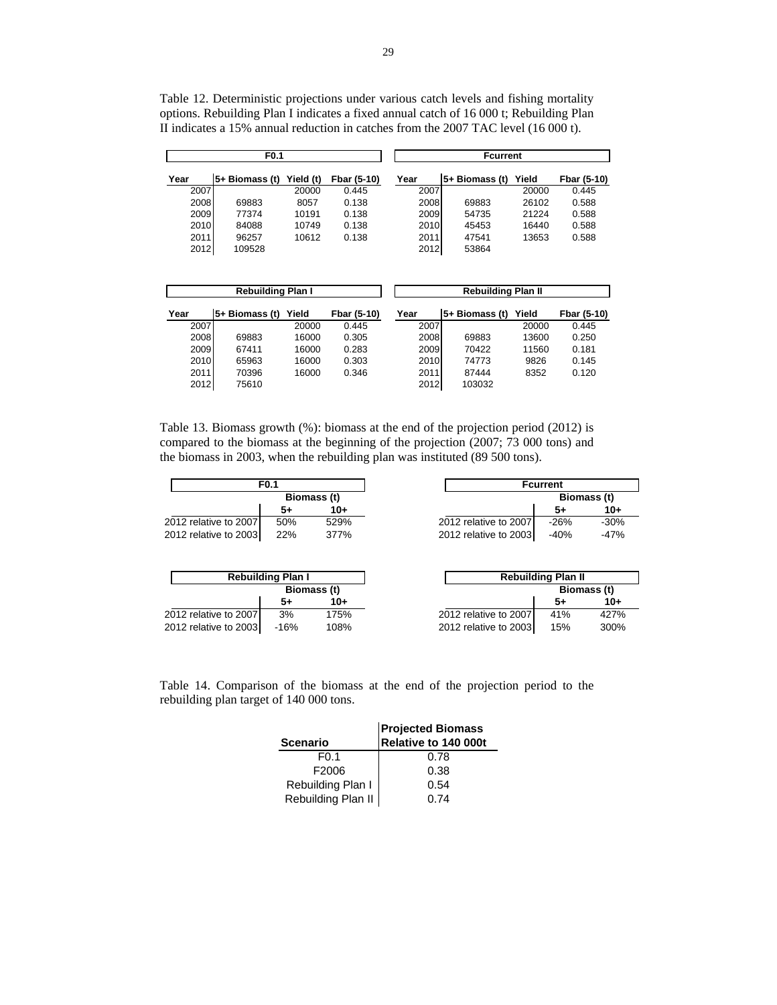Table 12. Deterministic projections under various catch levels and fishing mortality options. Rebuilding Plan I indicates a fixed annual catch of 16 000 t; Rebuilding Plan II indicates a 15% annual reduction in catches from the 2007 TAC level (16 000 t).

|      | F <sub>0.1</sub>         |           |             | <b>Fcurrent</b> |                           |       |             |  |  |  |
|------|--------------------------|-----------|-------------|-----------------|---------------------------|-------|-------------|--|--|--|
| Year | 5+ Biomass (t)           | Yield (t) | Fbar (5-10) | Year            | 5+ Biomass (t)            | Yield | Fbar (5-10) |  |  |  |
| 2007 |                          | 20000     | 0.445       | 2007            |                           | 20000 | 0.445       |  |  |  |
| 2008 | 69883                    | 8057      | 0.138       | 2008            | 69883                     | 26102 | 0.588       |  |  |  |
| 2009 | 77374                    | 10191     | 0.138       | 2009            | 54735                     | 21224 | 0.588       |  |  |  |
| 2010 | 84088                    | 10749     | 0.138       | 2010            | 45453                     | 16440 | 0.588       |  |  |  |
| 2011 | 96257                    | 10612     | 0.138       | 2011            | 47541                     | 13653 | 0.588       |  |  |  |
| 2012 | 109528                   |           |             | 2012            | 53864                     |       |             |  |  |  |
|      |                          |           |             |                 |                           |       |             |  |  |  |
|      |                          |           |             |                 |                           |       |             |  |  |  |
|      | <b>Rebuilding Plan I</b> |           |             |                 | <b>Rebuilding Plan II</b> |       |             |  |  |  |

| Year | 5+ Biomass (t) | Yield | Fbar (5-10) | Year | ∣5+ Biomass (t) | Yield | Fbar (5-10) |
|------|----------------|-------|-------------|------|-----------------|-------|-------------|
| 2007 |                | 20000 | 0.445       | 2007 |                 | 20000 | 0.445       |
| 2008 | 69883          | 16000 | 0.305       | 2008 | 69883           | 13600 | 0.250       |
| 2009 | 67411          | 16000 | 0.283       | 2009 | 70422           | 11560 | 0.181       |
| 2010 | 65963          | 16000 | 0.303       | 2010 | 74773           | 9826  | 0.145       |
| 2011 | 70396          | 16000 | 0.346       | 2011 | 87444           | 8352  | 0.120       |
| 2012 | 75610          |       |             | 2012 | 103032          |       |             |

Table 13. Biomass growth (%): biomass at the end of the projection period (2012) is compared to the biomass at the beginning of the projection (2007; 73 000 tons) and the biomass in 2003, when the rebuilding plan was instituted (89 500 tons).

| F <sub>0.1</sub>      |     |             |  |  |  |  |  |  |  |  |
|-----------------------|-----|-------------|--|--|--|--|--|--|--|--|
|                       |     | Biomass (t) |  |  |  |  |  |  |  |  |
|                       | 5+  | $10+$       |  |  |  |  |  |  |  |  |
| 2012 relative to 2007 | 50% | 529%        |  |  |  |  |  |  |  |  |
| 2012 relative to 2003 | 22% | 377%        |  |  |  |  |  |  |  |  |

| <b>Fcurrent</b>       |             |        |  |  |
|-----------------------|-------------|--------|--|--|
|                       | Biomass (t) |        |  |  |
|                       | 5+          | 10+    |  |  |
| 2012 relative to 2007 | $-26%$      | $-30%$ |  |  |
| 2012 relative to 2003 | $-40%$      | $-47%$ |  |  |

|                       | <b>Rebuilding Plan I</b> |             |                 |
|-----------------------|--------------------------|-------------|-----------------|
|                       |                          | Biomass (t) |                 |
|                       | 5+                       | $10+$       |                 |
| 2012 relative to 2007 | 3%                       | 175%        | 2012 relative t |
| 2012 relative to 2003 | $-16%$                   | 108%        | 2012 relative t |

| <b>Rebuilding Plan II</b> |             |       |  |
|---------------------------|-------------|-------|--|
|                           | Biomass (t) |       |  |
|                           | 5+          | $10+$ |  |
| 2012 relative to 2007     | 41%         | 427%  |  |
| 2012 relative to 2003     | 15%         | 300%  |  |

Table 14. Comparison of the biomass at the end of the projection period to the rebuilding plan target of 140 000 tons.

|                    | <b>Projected Biomass</b> |  |
|--------------------|--------------------------|--|
| <b>Scenario</b>    | Relative to 140 000t     |  |
| F <sub>0.1</sub>   | 0.78                     |  |
| F2006              | 0.38                     |  |
| Rebuilding Plan I  | 0.54                     |  |
| Rebuilding Plan II | በ 74                     |  |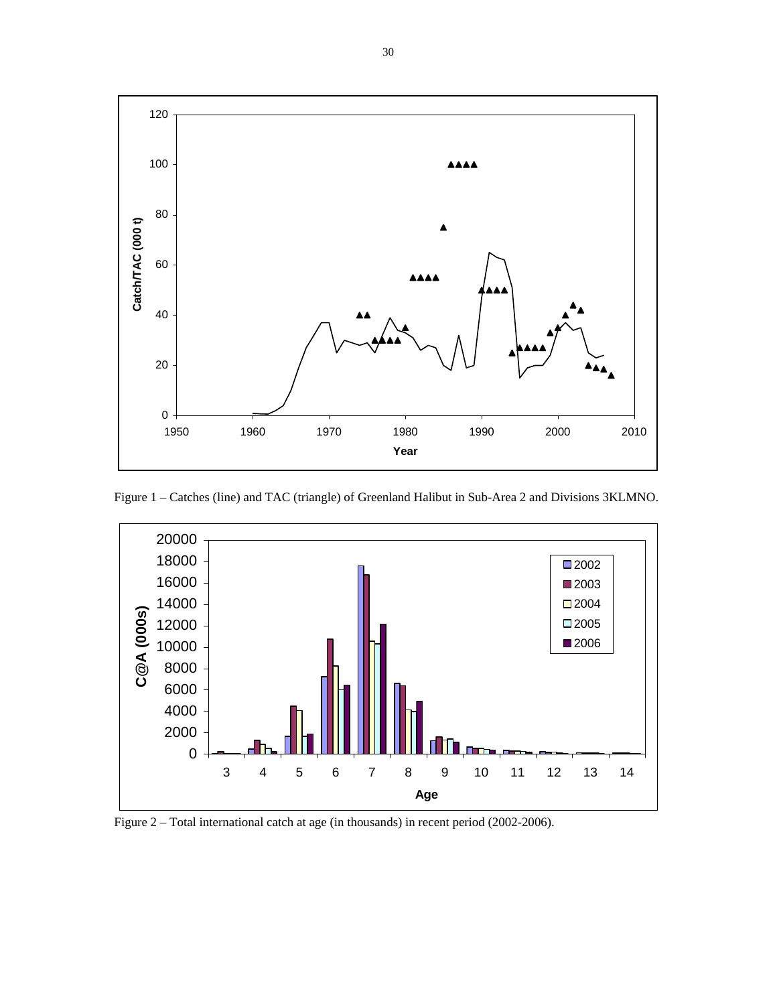

Figure 1 – Catches (line) and TAC (triangle) of Greenland Halibut in Sub-Area 2 and Divisions 3KLMNO.



Figure 2 – Total international catch at age (in thousands) in recent period (2002-2006).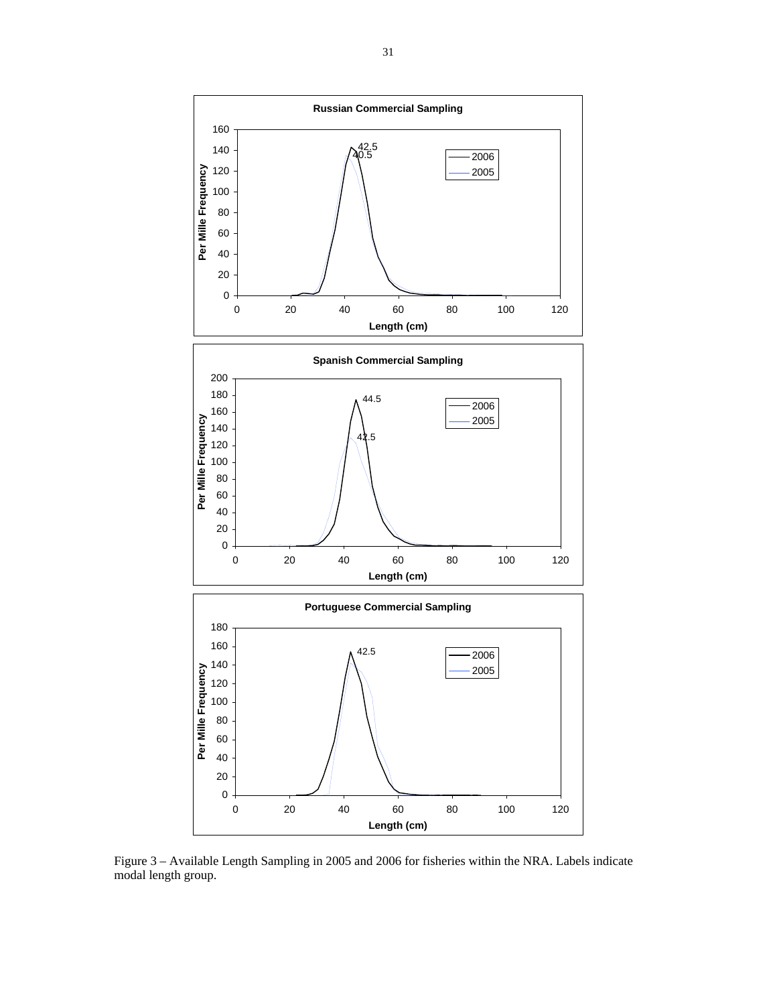

Figure 3 – Available Length Sampling in 2005 and 2006 for fisheries within the NRA. Labels indicate modal length group.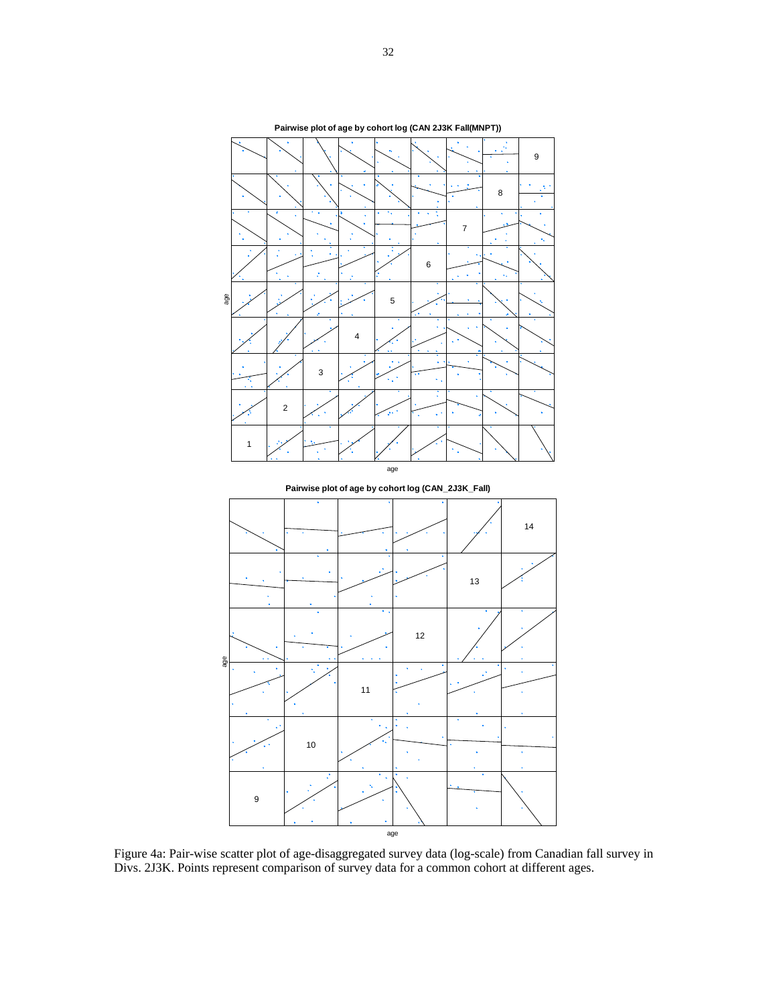

Figure 4a: Pair-wise scatter plot of age-disaggregated survey data (log-scale) from Canadian fall survey in Divs. 2J3K. Points represent comparison of survey data for a common cohort at different ages.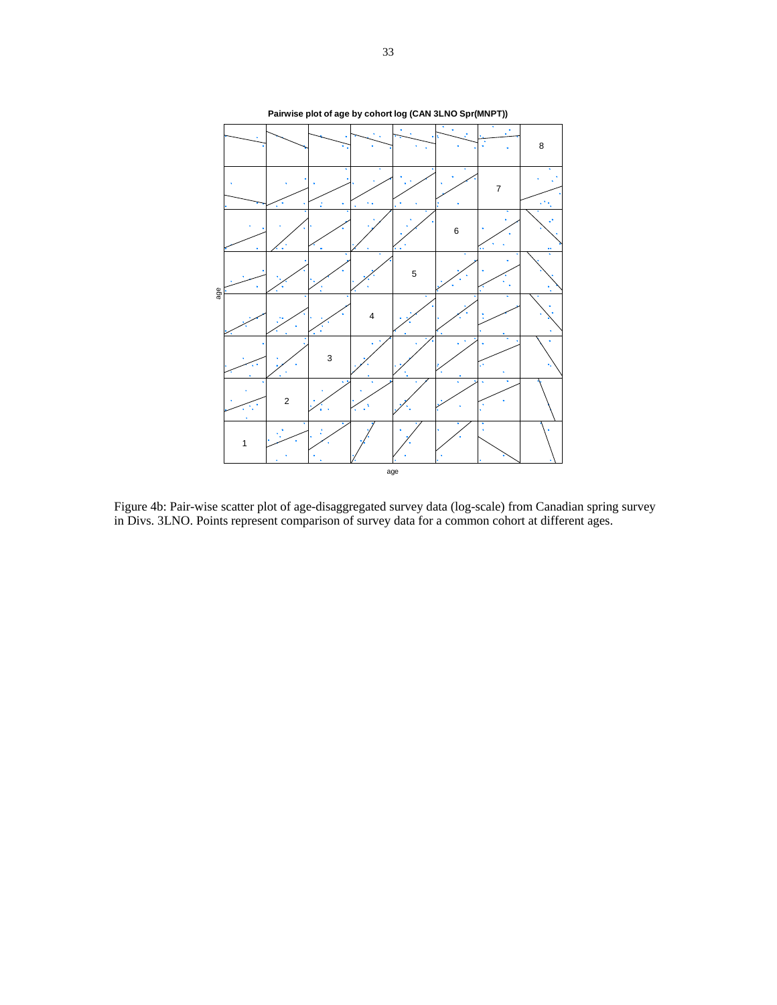

Figure 4b: Pair-wise scatter plot of age-disaggregated survey data (log-scale) from Canadian spring survey in Divs. 3LNO. Points represent comparison of survey data for a common cohort at different ages.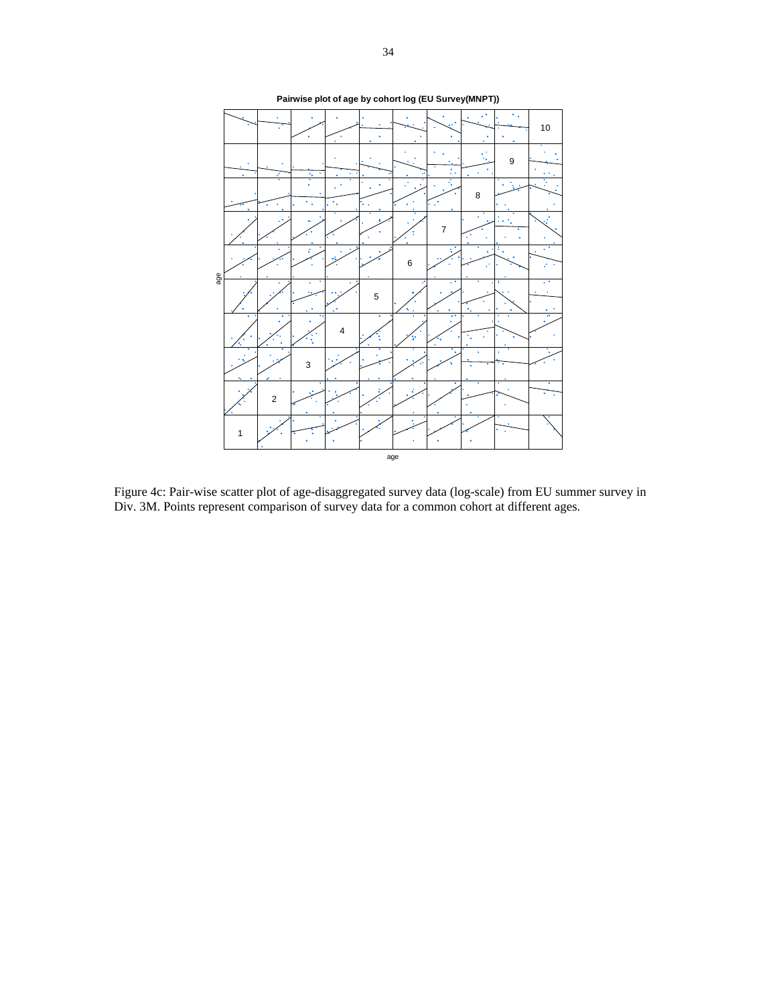

Figure 4c: Pair-wise scatter plot of age-disaggregated survey data (log-scale) from EU summer survey in Div. 3M. Points represent comparison of survey data for a common cohort at different ages.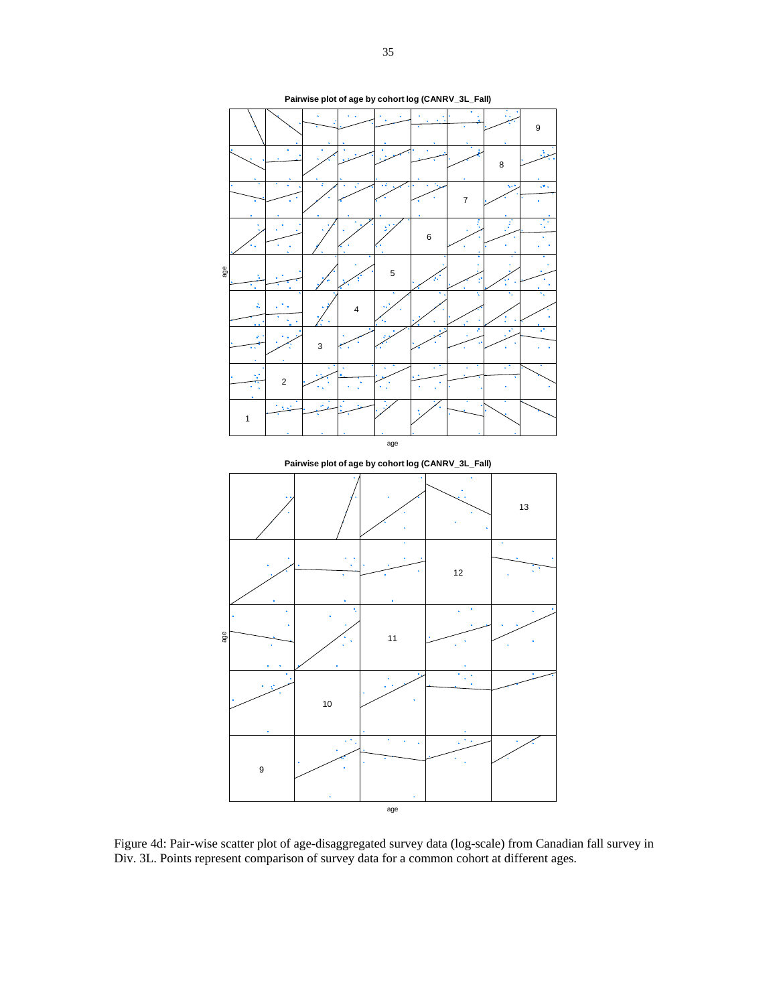

Figure 4d: Pair-wise scatter plot of age-disaggregated survey data (log-scale) from Canadian fall survey in Div. 3L. Points represent comparison of survey data for a common cohort at different ages.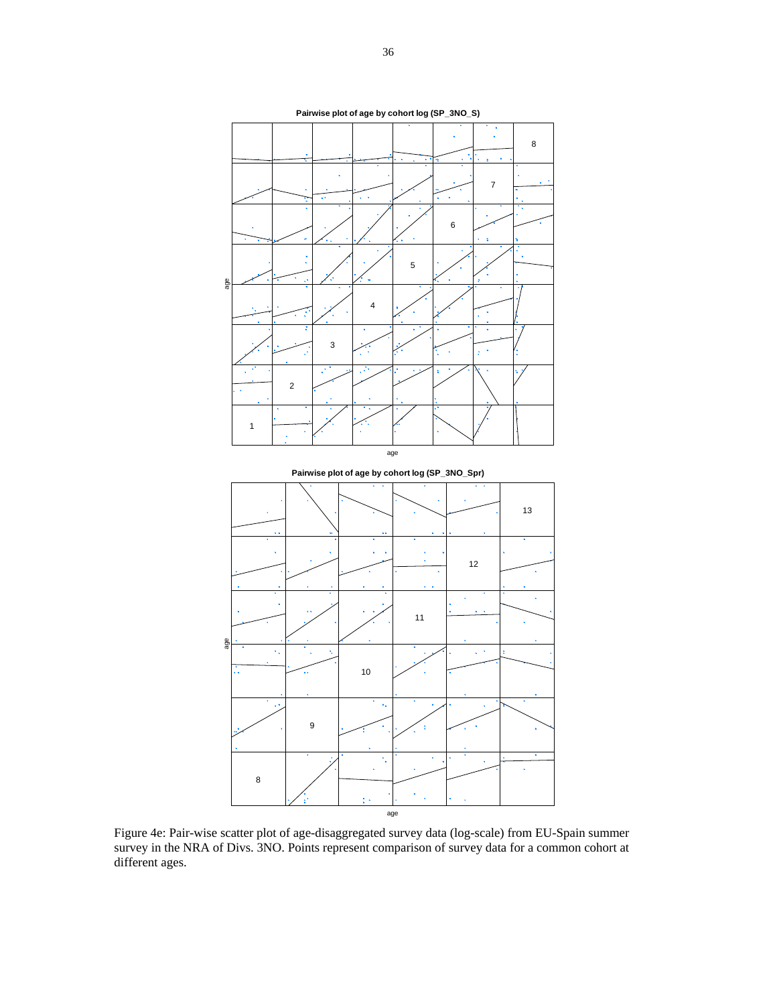

Figure 4e: Pair-wise scatter plot of age-disaggregated survey data (log-scale) from EU-Spain summer survey in the NRA of Divs. 3NO. Points represent comparison of survey data for a common cohort at different ages.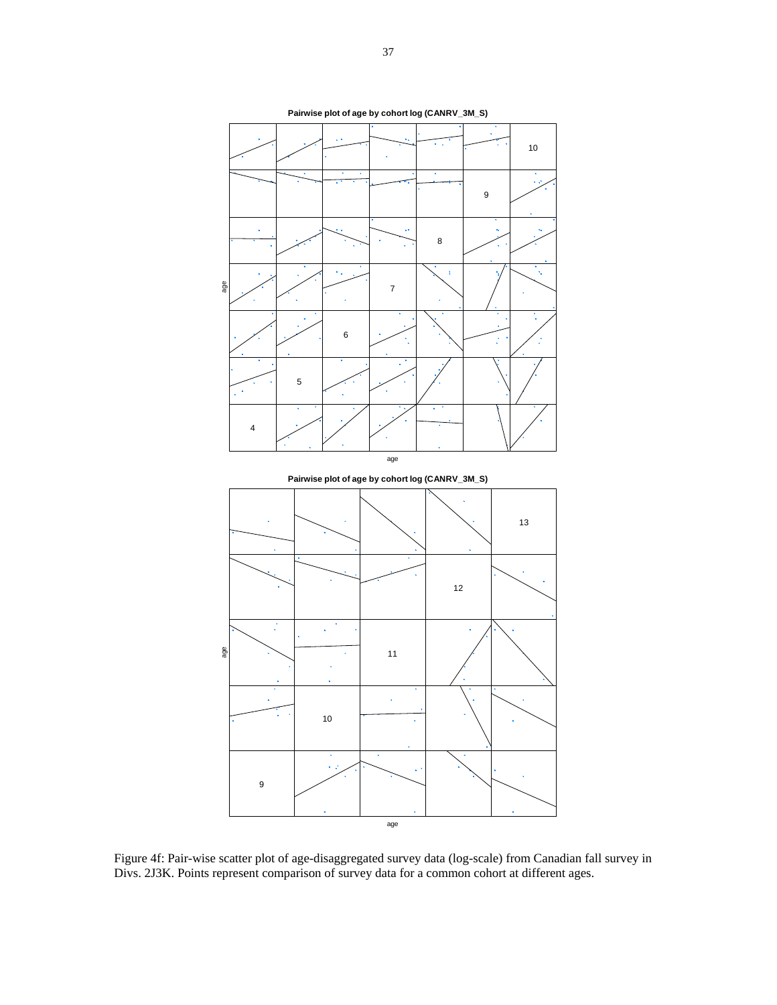

Figure 4f: Pair-wise scatter plot of age-disaggregated survey data (log-scale) from Canadian fall survey in Divs. 2J3K. Points represent comparison of survey data for a common cohort at different ages.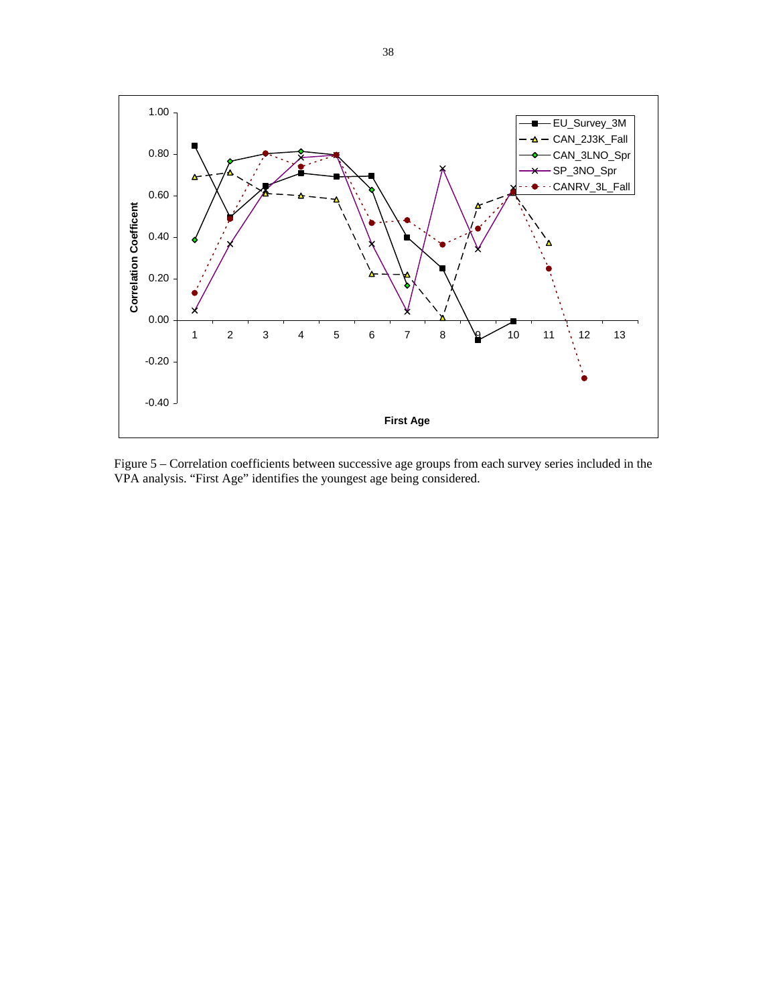

Figure 5 – Correlation coefficients between successive age groups from each survey series included in the VPA analysis. "First Age" identifies the youngest age being considered.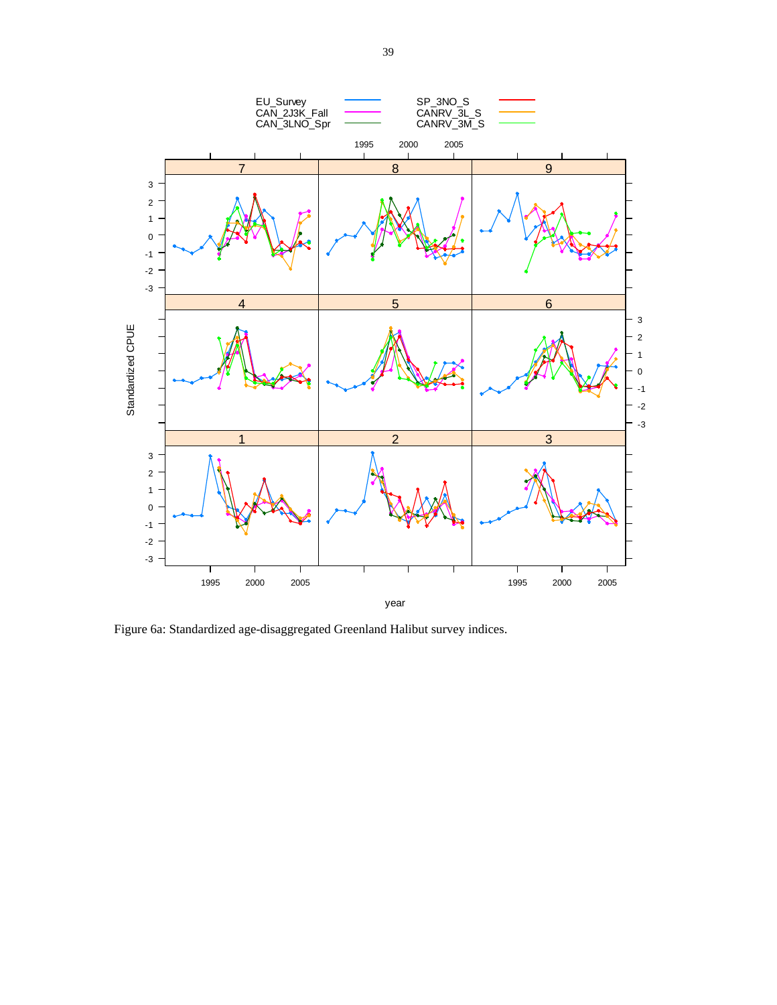

Figure 6a: Standardized age-disaggregated Greenland Halibut survey indices.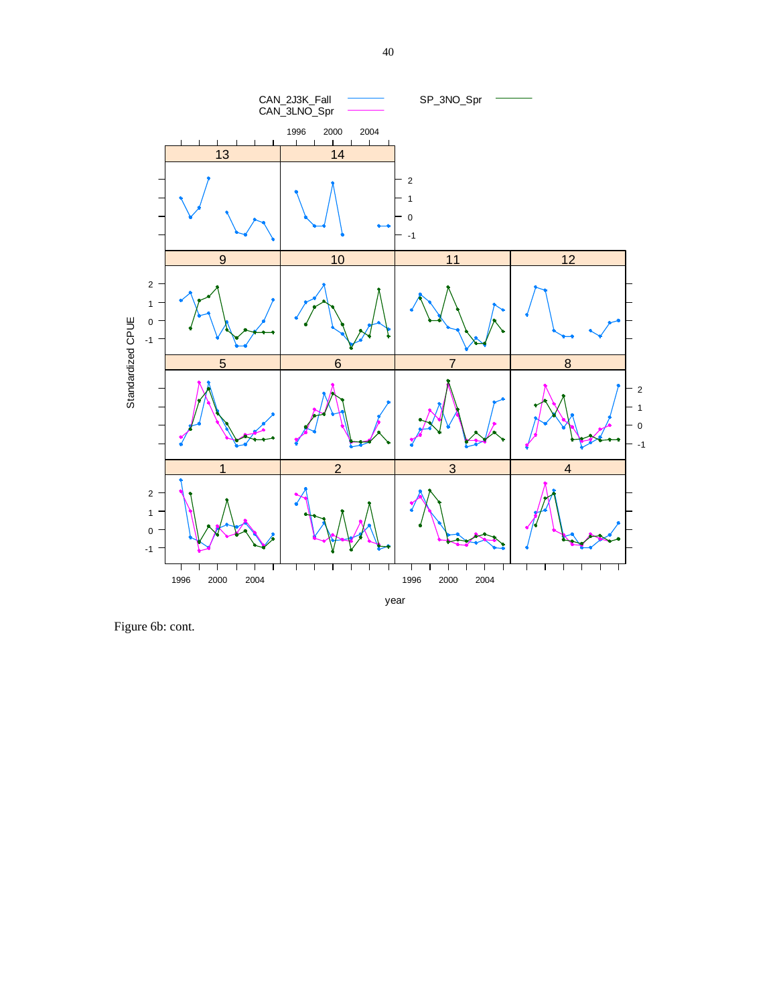

Figure 6b: cont.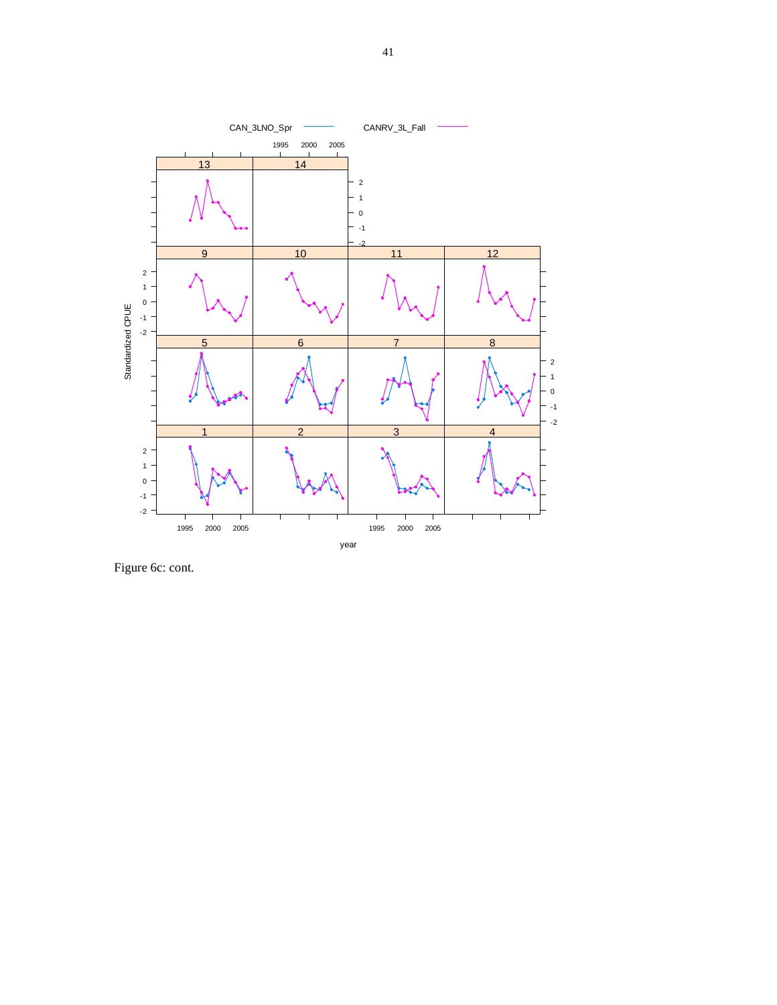

Figure 6c: cont.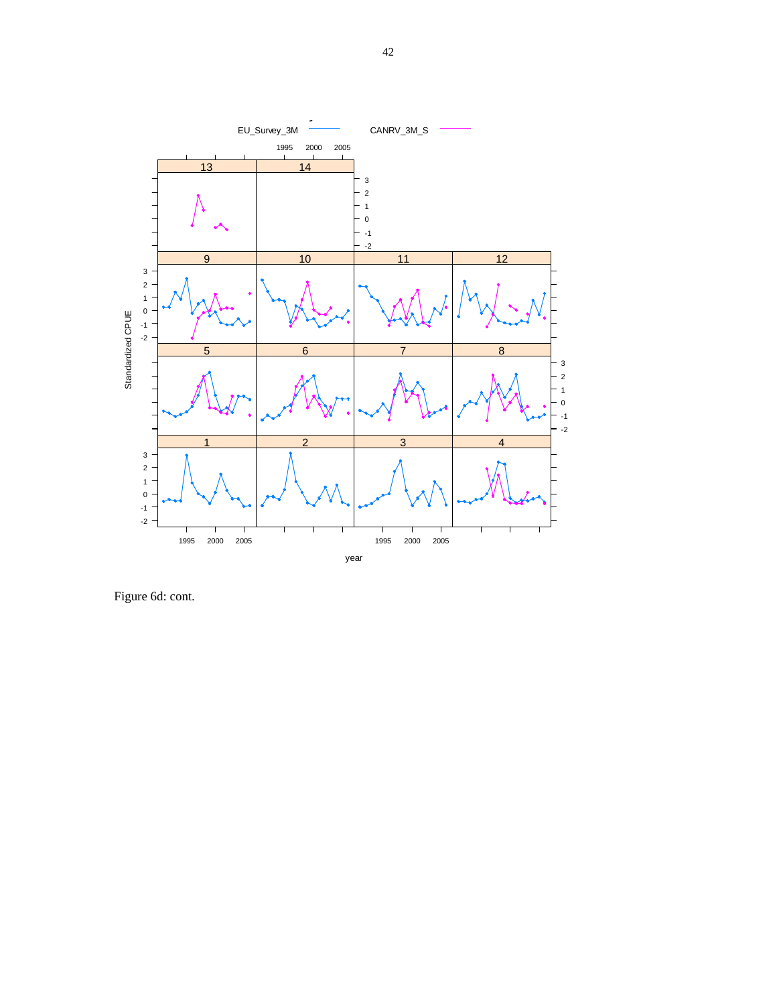

Figure 6d: cont.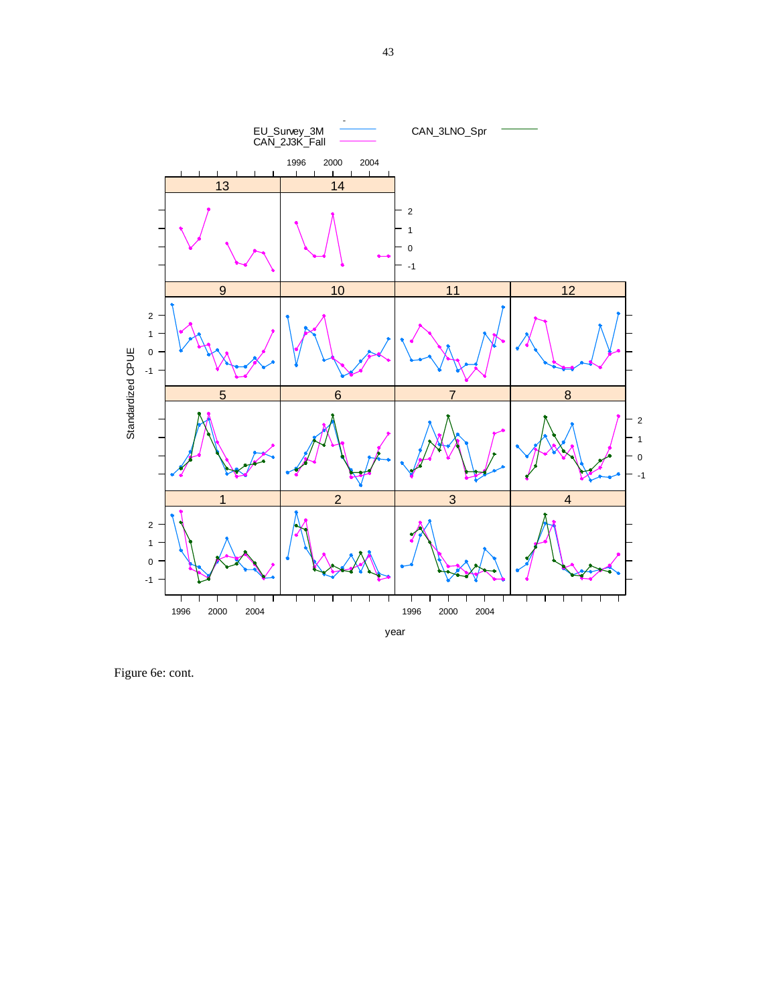

Figure 6e: cont.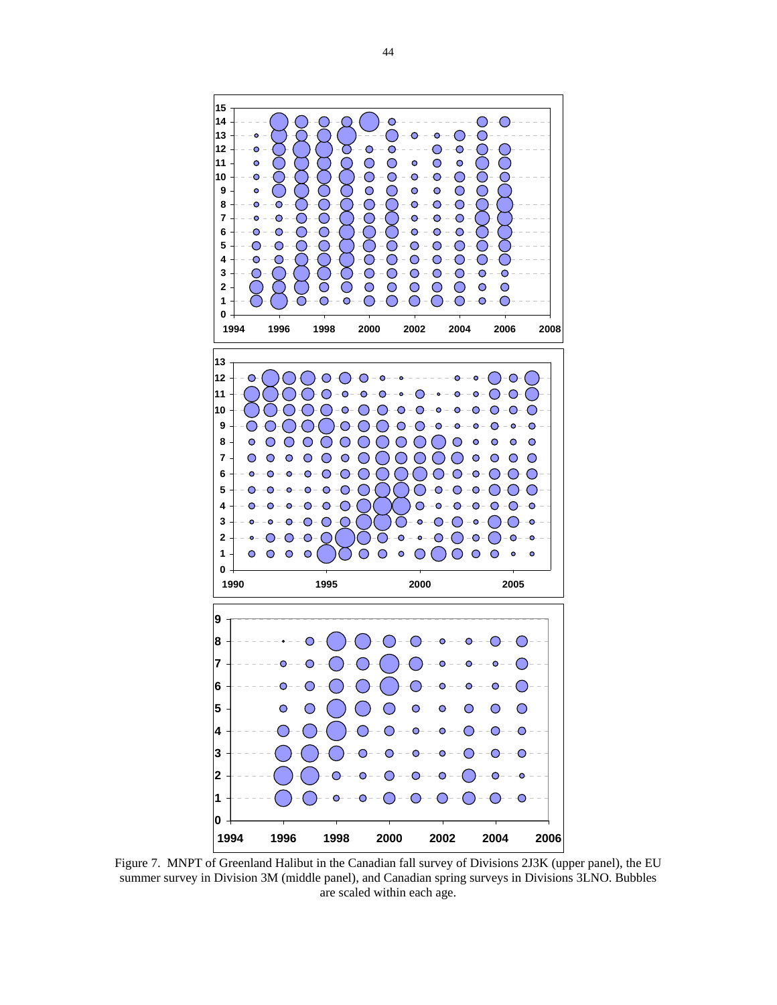

Figure 7. MNPT of Greenland Halibut in the Canadian fall survey of Divisions 2J3K (upper panel), the EU summer survey in Division 3M (middle panel), and Canadian spring surveys in Divisions 3LNO. Bubbles are scaled within each age.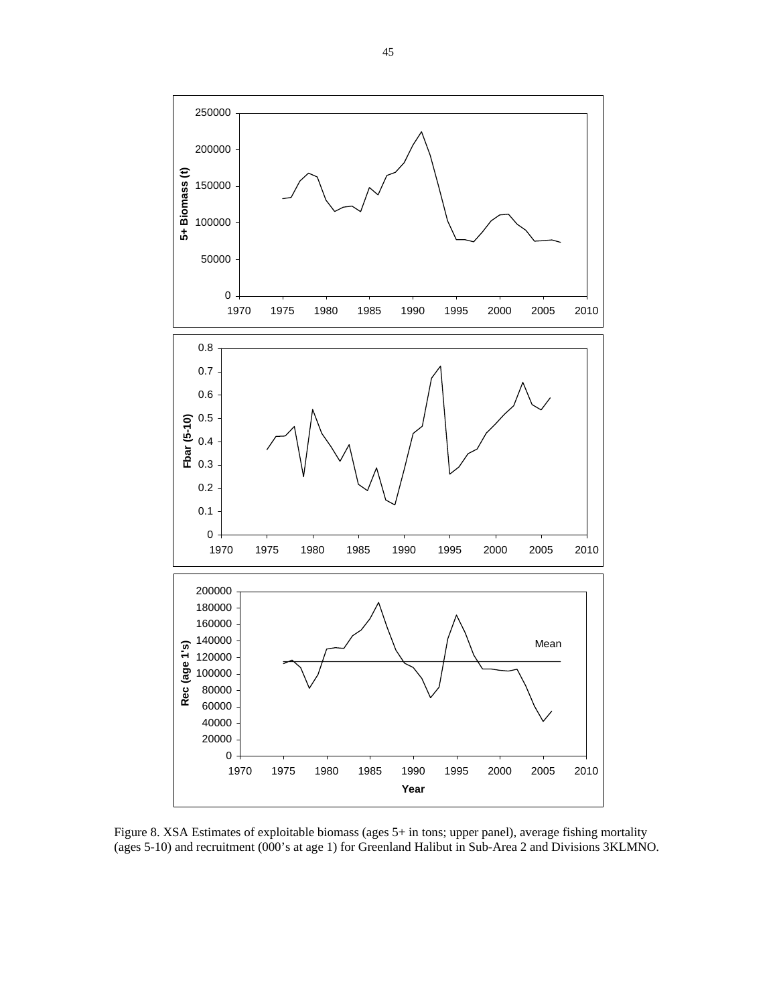

Figure 8. XSA Estimates of exploitable biomass (ages 5+ in tons; upper panel), average fishing mortality (ages 5-10) and recruitment (000's at age 1) for Greenland Halibut in Sub-Area 2 and Divisions 3KLMNO.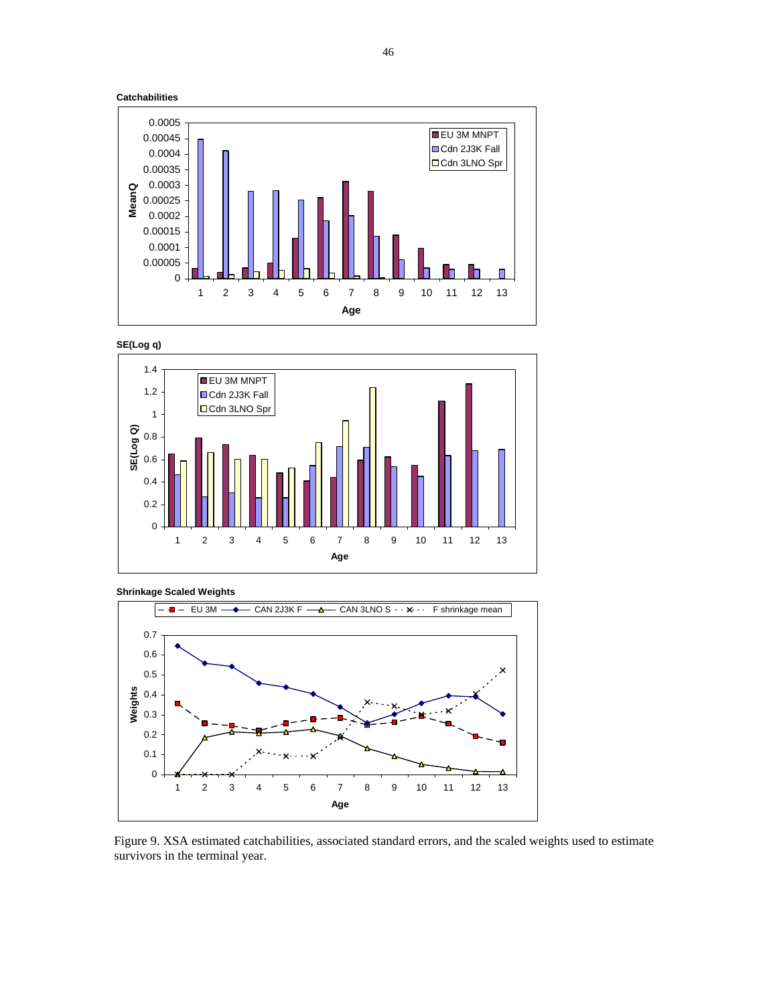





**Shrinkage Scaled Weights**



Figure 9. XSA estimated catchabilities, associated standard errors, and the scaled weights used to estimate survivors in the terminal year.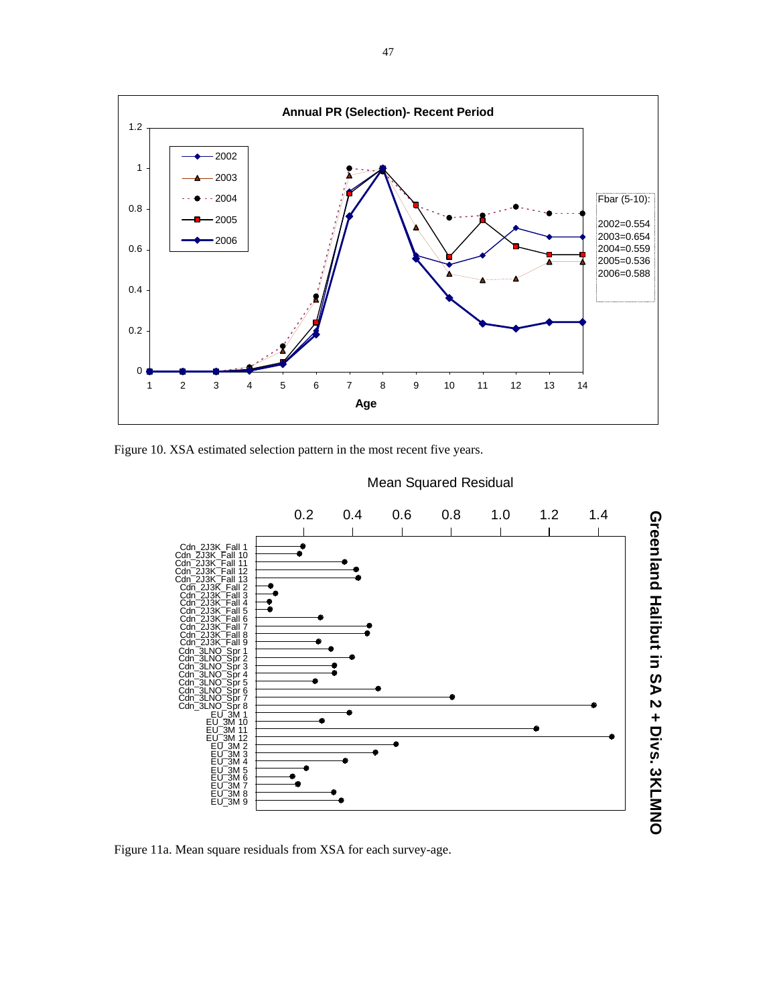

Figure 10. XSA estimated selection pattern in the most recent five years.



Mean Squared Residual

Figure 11a. Mean square residuals from XSA for each survey-age.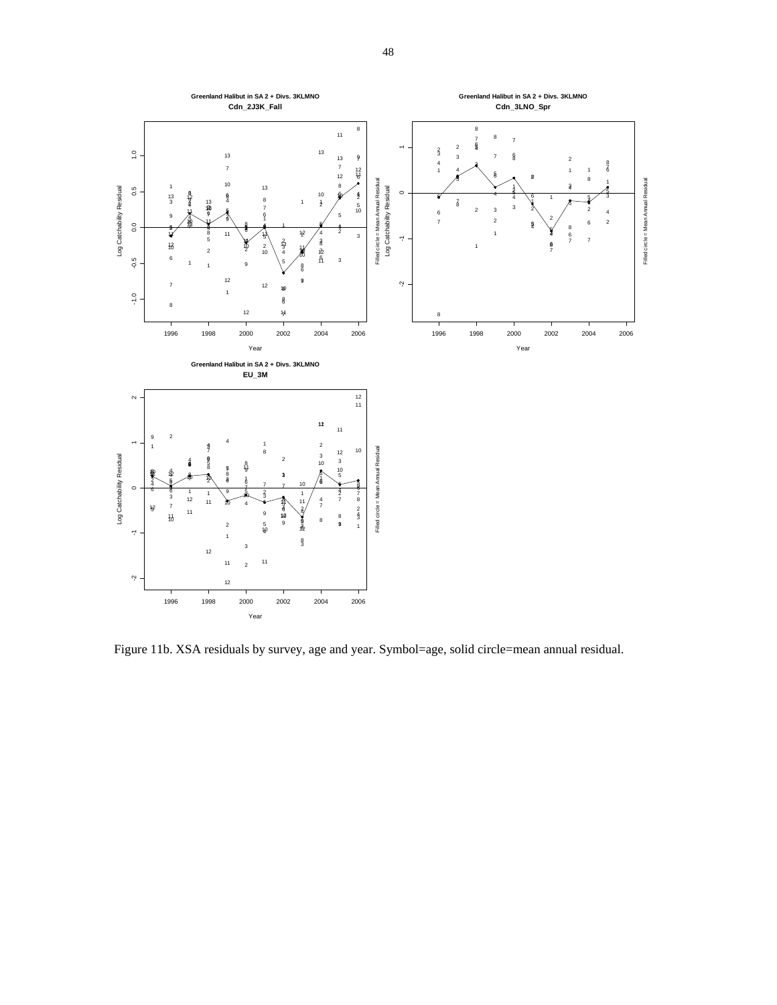

Figure 11b. XSA residuals by survey, age and year. Symbol=age, solid circle=mean annual residual.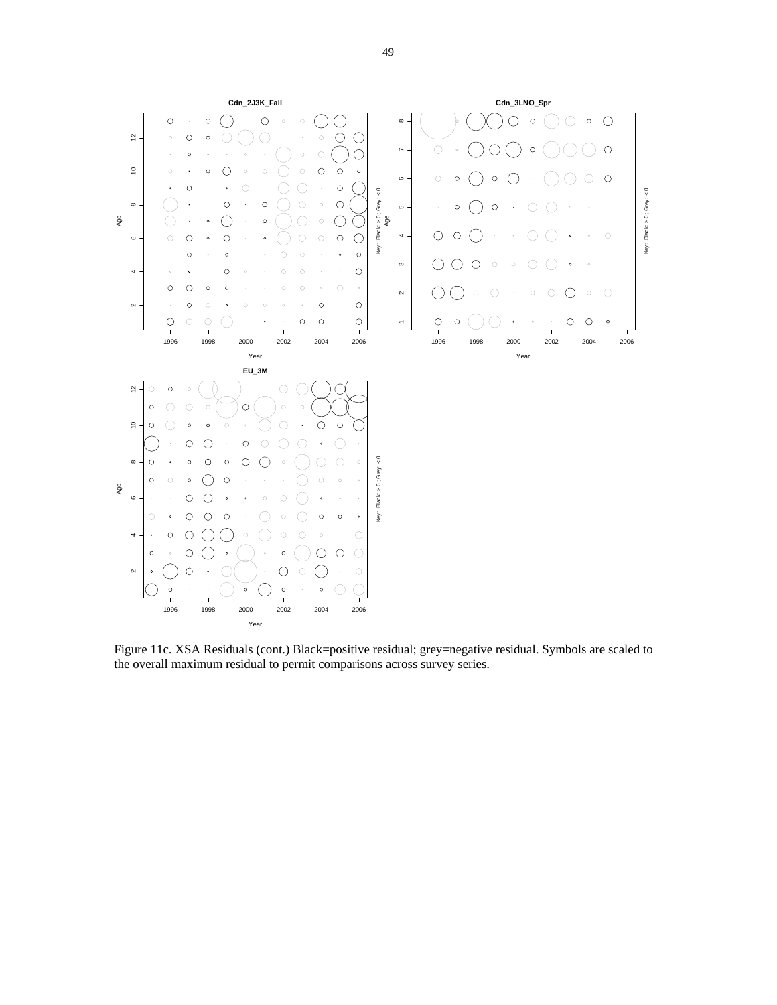

Figure 11c. XSA Residuals (cont.) Black=positive residual; grey=negative residual. Symbols are scaled to the overall maximum residual to permit comparisons across survey series.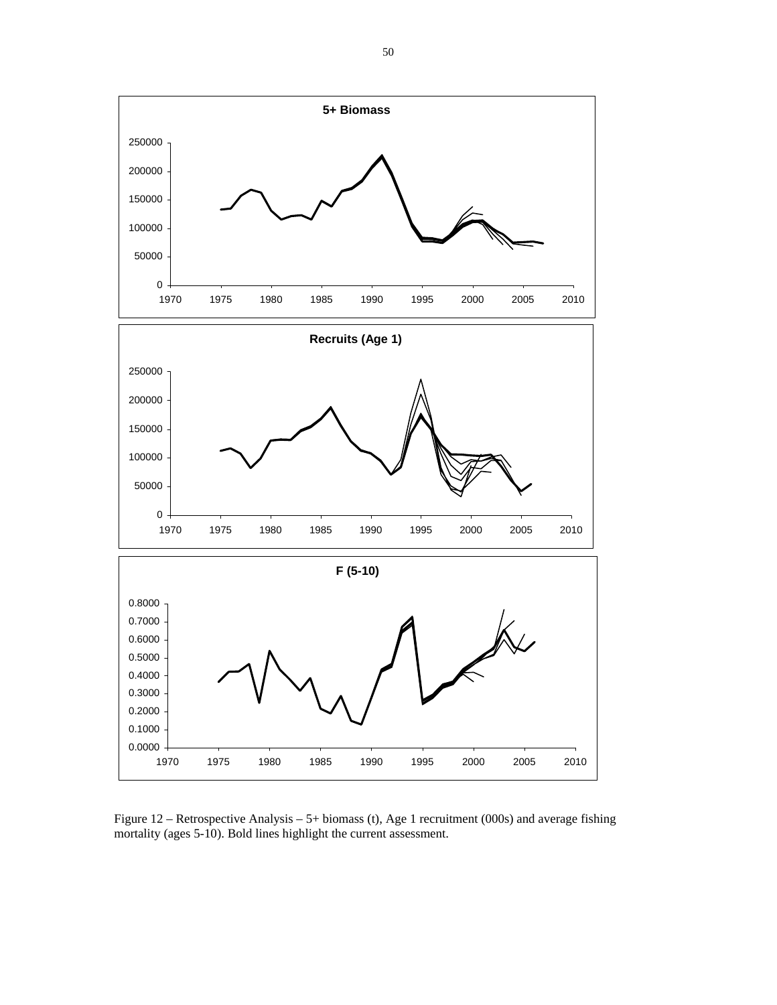

Figure 12 – Retrospective Analysis – 5+ biomass (t), Age 1 recruitment (000s) and average fishing mortality (ages 5-10). Bold lines highlight the current assessment.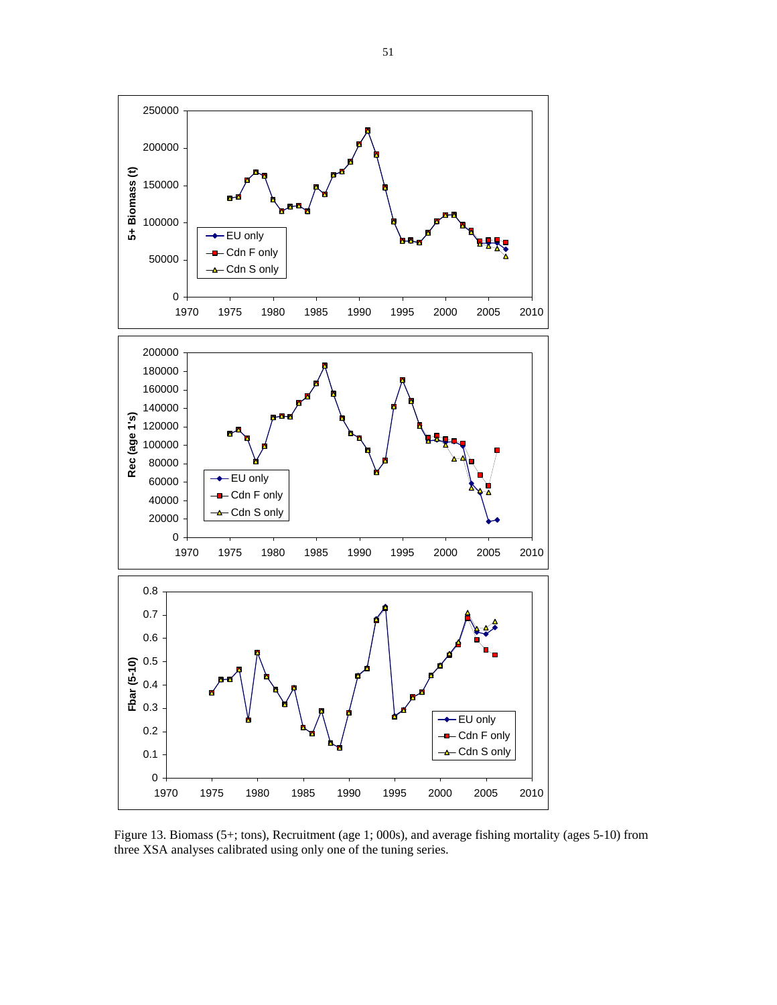

Figure 13. Biomass (5+; tons), Recruitment (age 1; 000s), and average fishing mortality (ages 5-10) from three XSA analyses calibrated using only one of the tuning series.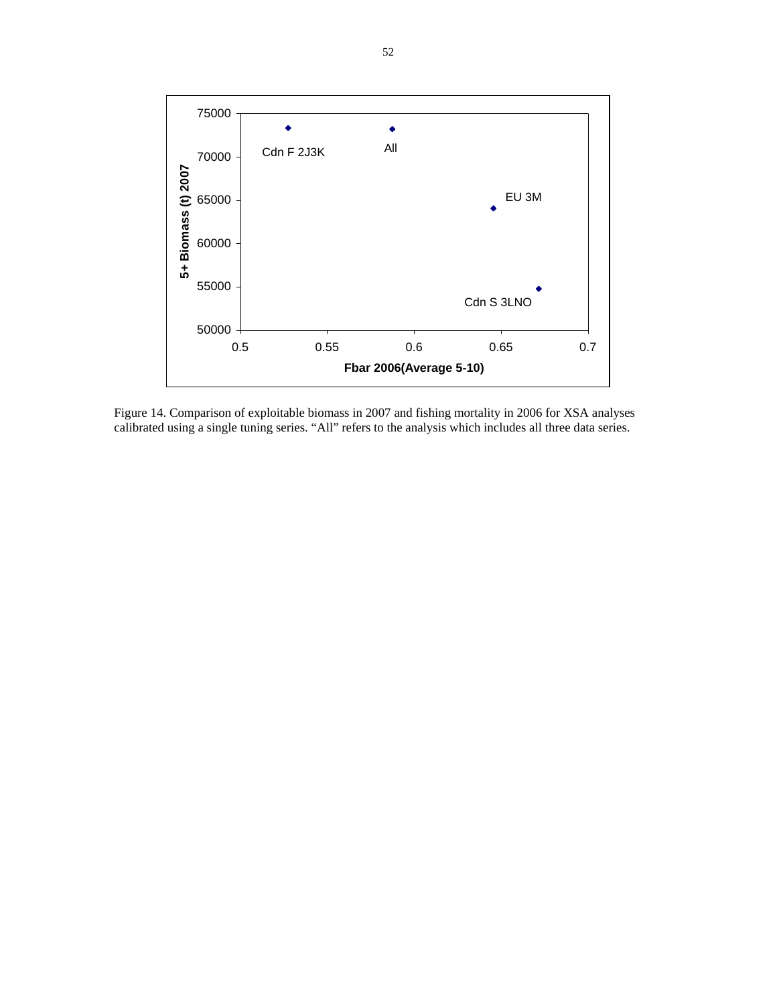

Figure 14. Comparison of exploitable biomass in 2007 and fishing mortality in 2006 for XSA analyses calibrated using a single tuning series. "All" refers to the analysis which includes all three data series.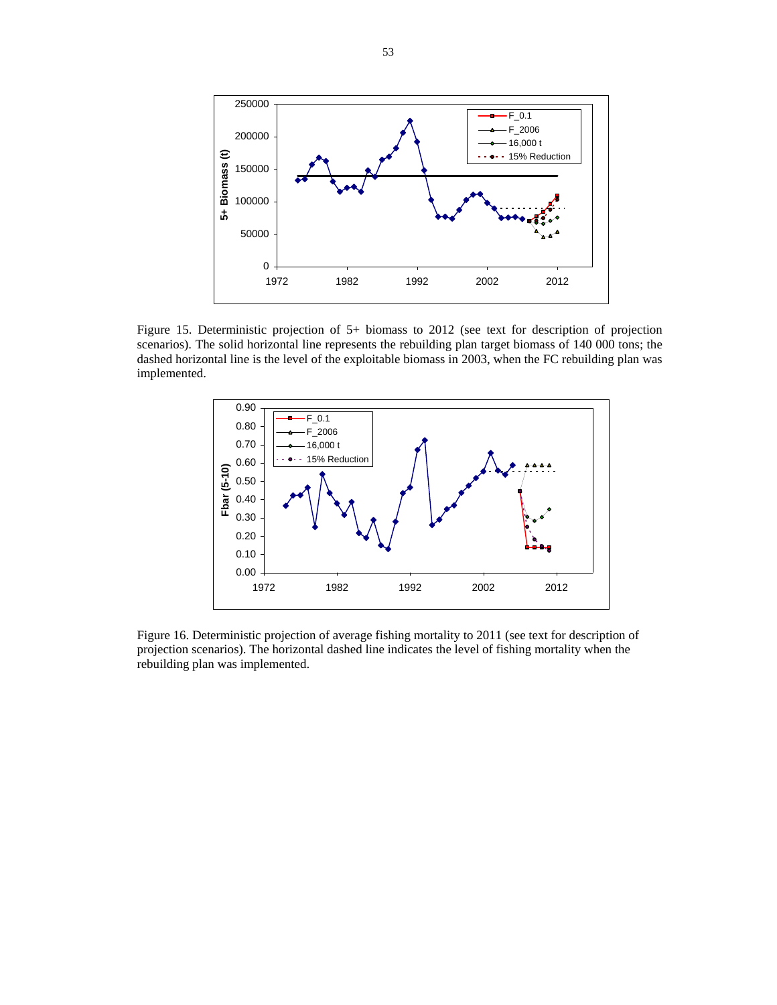

Figure 15. Deterministic projection of 5+ biomass to 2012 (see text for description of projection scenarios). The solid horizontal line represents the rebuilding plan target biomass of 140 000 tons; the dashed horizontal line is the level of the exploitable biomass in 2003, when the FC rebuilding plan was implemented.



Figure 16. Deterministic projection of average fishing mortality to 2011 (see text for description of projection scenarios). The horizontal dashed line indicates the level of fishing mortality when the rebuilding plan was implemented.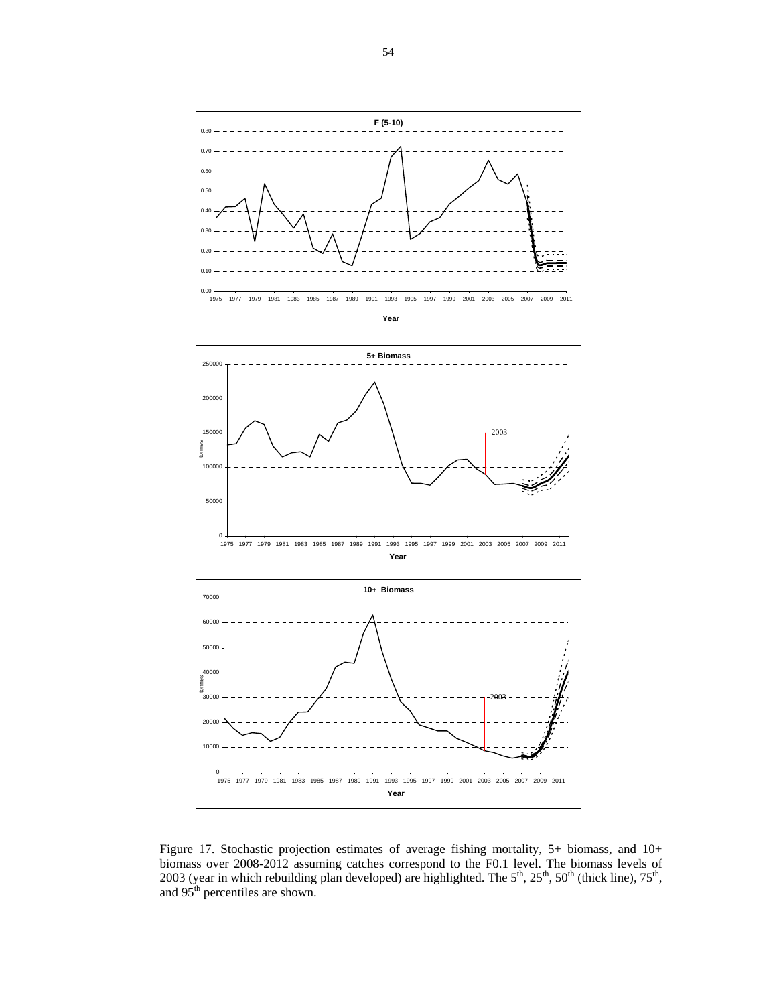

Figure 17. Stochastic projection estimates of average fishing mortality, 5+ biomass, and 10+ biomass over 2008-2012 assuming catches correspond to the F0.1 level. The biomass levels of 2003 (year in which rebuilding plan developed) are highlighted. The  $5<sup>th</sup>$ ,  $25<sup>th</sup>$ ,  $50<sup>th</sup>$  (thick line),  $75<sup>th</sup>$ , and 95<sup>th</sup> percentiles are shown.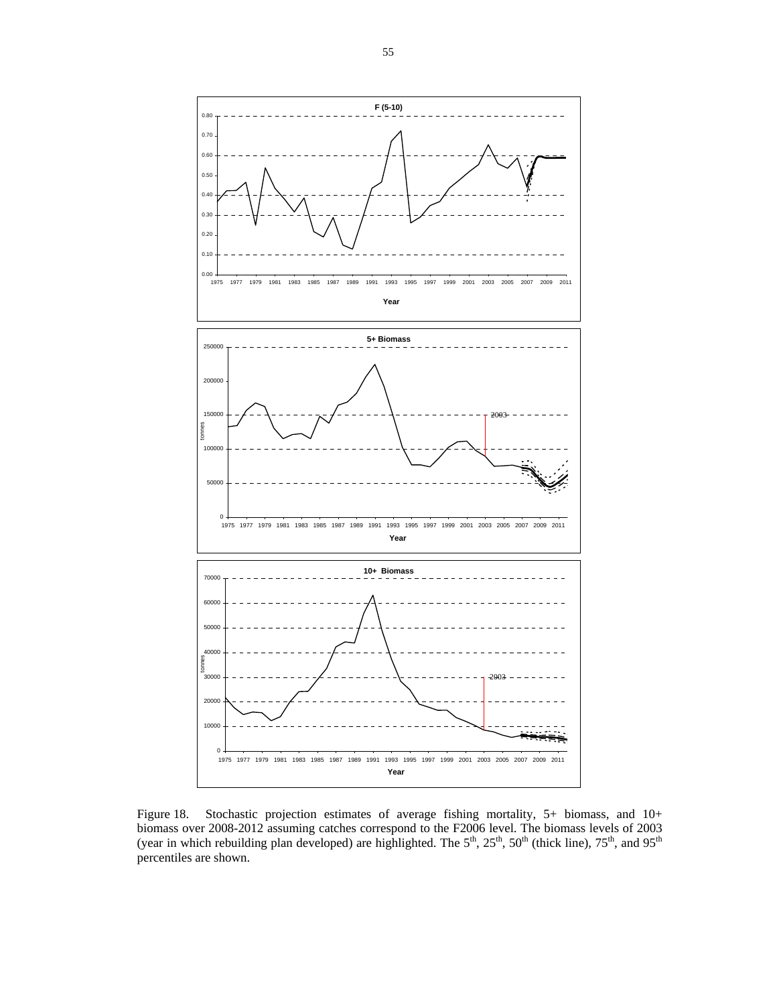

Figure 18. Stochastic projection estimates of average fishing mortality, 5+ biomass, and 10+ biomass over 2008-2012 assuming catches correspond to the F2006 level. The biomass levels of 2003 (year in which rebuilding plan developed) are highlighted. The  $5<sup>th</sup>$ ,  $25<sup>th</sup>$ ,  $50<sup>th</sup>$  (thick line),  $75<sup>th</sup>$ , and  $95<sup>th</sup>$ percentiles are shown.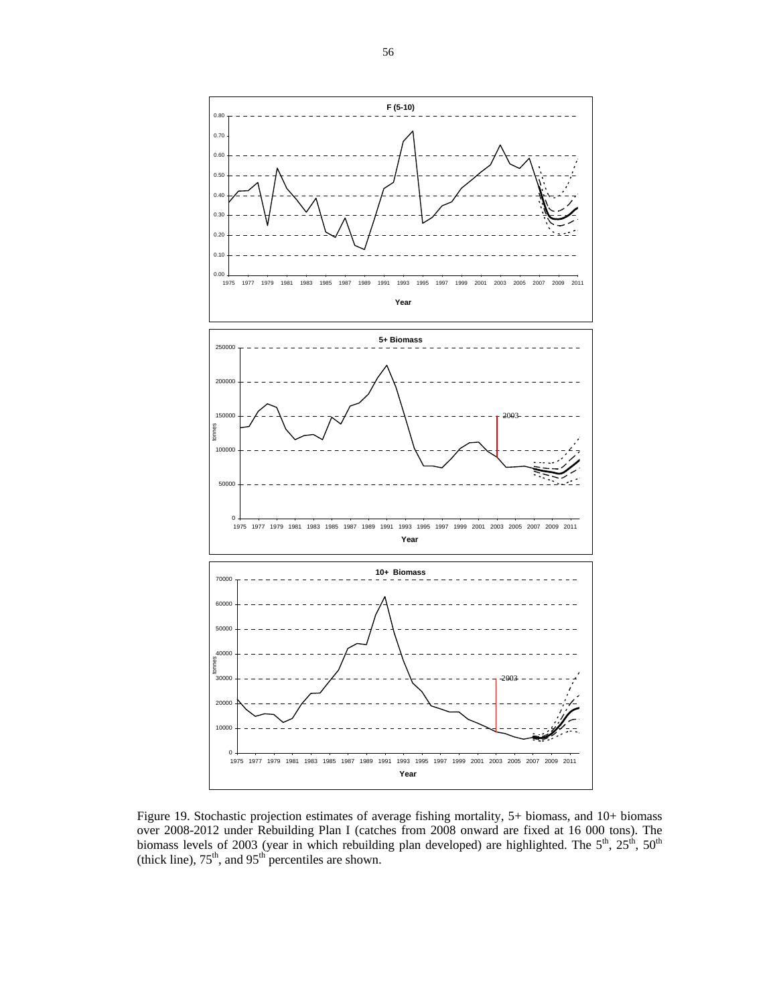

Figure 19. Stochastic projection estimates of average fishing mortality, 5+ biomass, and 10+ biomass over 2008-2012 under Rebuilding Plan I (catches from 2008 onward are fixed at 16 000 tons). The biomass levels of 2003 (year in which rebuilding plan developed) are highlighted. The  $5<sup>th</sup>$ ,  $25<sup>th</sup>$ ,  $50<sup>th</sup>$ (thick line),  $75<sup>th</sup>$ , and  $95<sup>th</sup>$  percentiles are shown.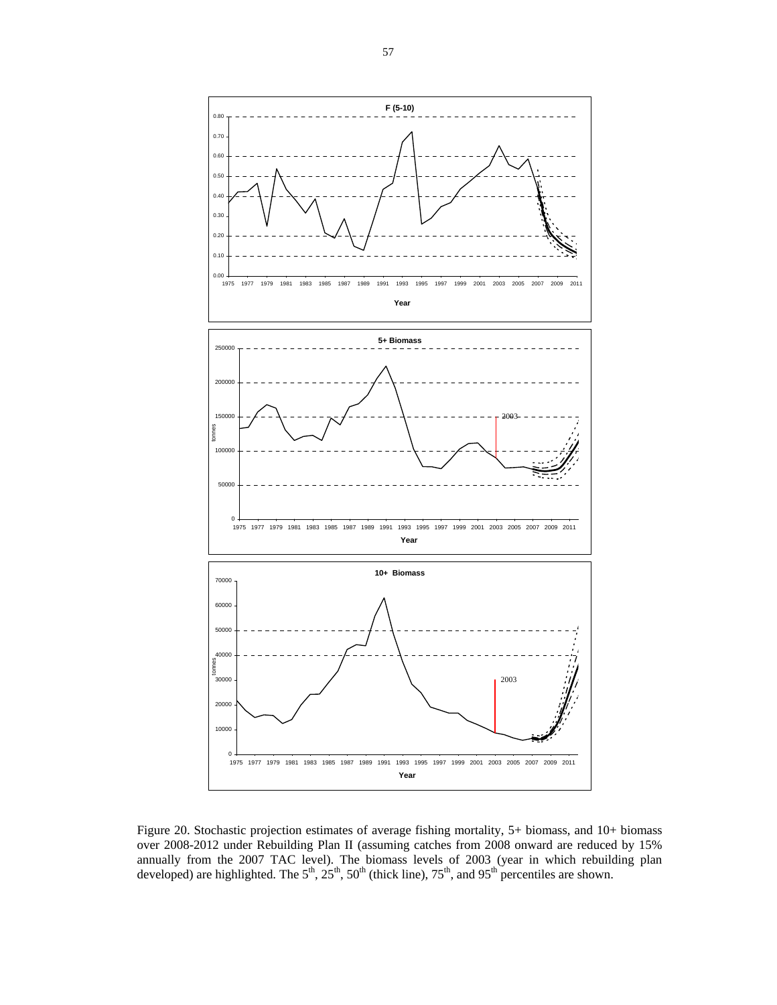

Figure 20. Stochastic projection estimates of average fishing mortality, 5+ biomass, and 10+ biomass over 2008-2012 under Rebuilding Plan II (assuming catches from 2008 onward are reduced by 15% annually from the 2007 TAC level). The biomass levels of 2003 (year in which rebuilding plan developed) are highlighted. The  $5<sup>th</sup>$ ,  $25<sup>th</sup>$ ,  $50<sup>th</sup>$  (thick line),  $75<sup>th</sup>$ , and  $95<sup>th</sup>$  percentiles are shown.